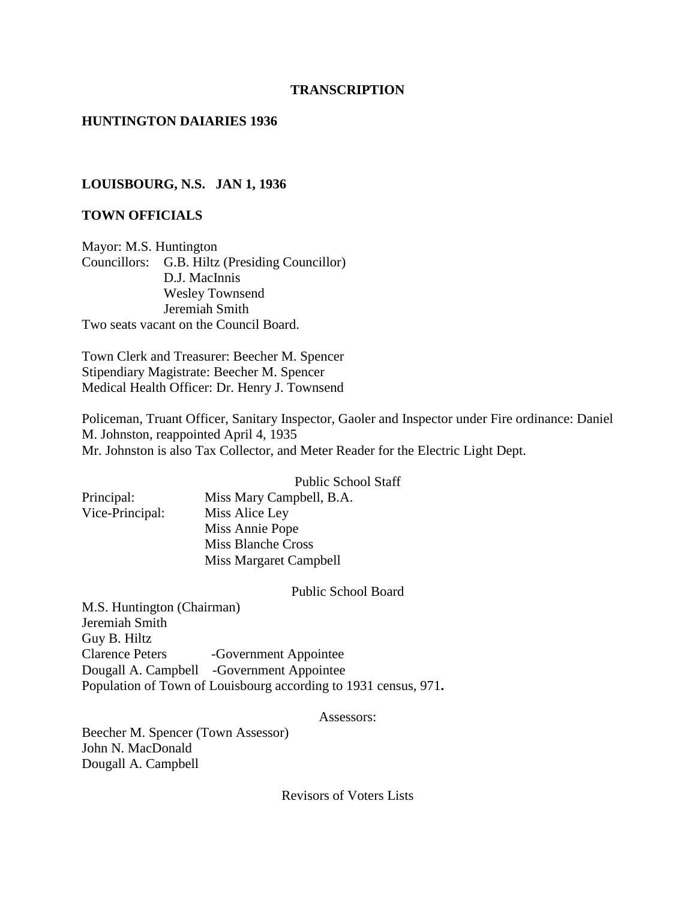#### **TRANSCRIPTION**

### **HUNTINGTON DAIARIES 1936**

#### **LOUISBOURG, N.S. JAN 1, 1936**

### **TOWN OFFICIALS**

Mayor: M.S. Huntington Councillors: G.B. Hiltz (Presiding Councillor) D.J. MacInnis Wesley Townsend Jeremiah Smith Two seats vacant on the Council Board.

Town Clerk and Treasurer: Beecher M. Spencer Stipendiary Magistrate: Beecher M. Spencer Medical Health Officer: Dr. Henry J. Townsend

Policeman, Truant Officer, Sanitary Inspector, Gaoler and Inspector under Fire ordinance: Daniel M. Johnston, reappointed April 4, 1935 Mr. Johnston is also Tax Collector, and Meter Reader for the Electric Light Dept.

Public School Staff

| Principal:      | Miss Ma  |
|-----------------|----------|
| Vice-Principal: | Miss Ali |
|                 | Miss Ani |
|                 | Miss Bla |

ry Campbell, B.A. ce Ley nie Pope nche Cross Miss Margaret Campbell

Public School Board

M.S. Huntington (Chairman) Jeremiah Smith Guy B. Hiltz Clarence Peters -Government Appointee Dougall A. Campbell -Government Appointee Population of Town of Louisbourg according to 1931 census, 971**.**

Assessors:

Beecher M. Spencer (Town Assessor) John N. MacDonald Dougall A. Campbell

Revisors of Voters Lists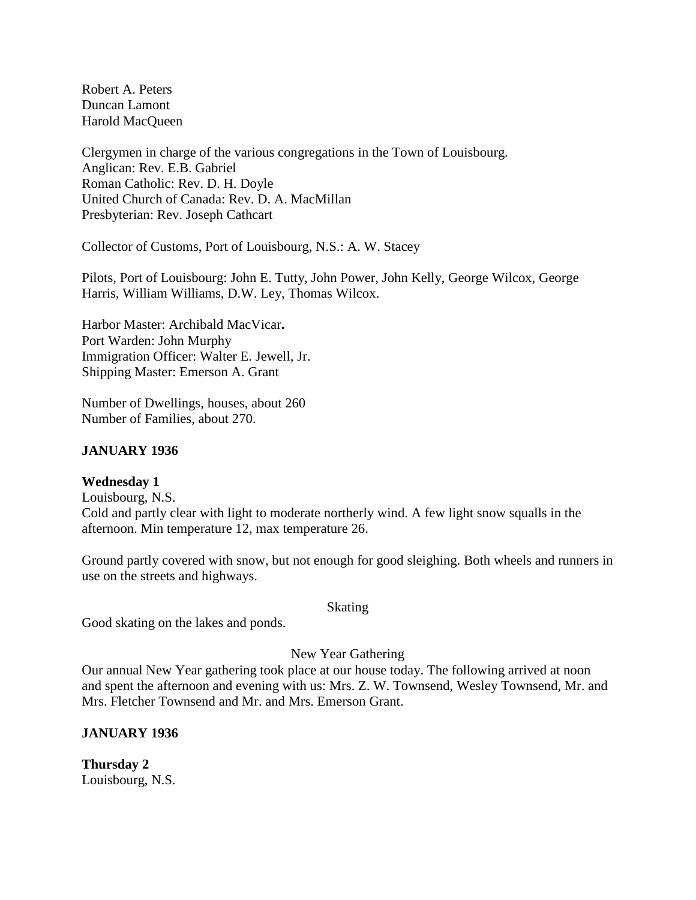Robert A. Peters Duncan Lamont Harold MacQueen

Clergymen in charge of the various congregations in the Town of Louisbourg. Anglican: Rev. E.B. Gabriel Roman Catholic: Rev. D. H. Doyle United Church of Canada: Rev. D. A. MacMillan Presbyterian: Rev. Joseph Cathcart

Collector of Customs, Port of Louisbourg, N.S.: A. W. Stacey

Pilots, Port of Louisbourg: John E. Tutty, John Power, John Kelly, George Wilcox, George Harris, William Williams, D.W. Ley, Thomas Wilcox.

Harbor Master: Archibald MacVicar**.** Port Warden: John Murphy Immigration Officer: Walter E. Jewell, Jr. Shipping Master: Emerson A. Grant

Number of Dwellings, houses, about 260 Number of Families, about 270.

### **JANUARY 1936**

### **Wednesday 1**

Louisbourg, N.S. Cold and partly clear with light to moderate northerly wind. A few light snow squalls in the afternoon. Min temperature 12, max temperature 26.

Ground partly covered with snow, but not enough for good sleighing. Both wheels and runners in use on the streets and highways.

#### Skating

Good skating on the lakes and ponds.

New Year Gathering

Our annual New Year gathering took place at our house today. The following arrived at noon and spent the afternoon and evening with us: Mrs. Z. W. Townsend, Wesley Townsend, Mr. and Mrs. Fletcher Townsend and Mr. and Mrs. Emerson Grant.

### **JANUARY 1936**

**Thursday 2** Louisbourg, N.S.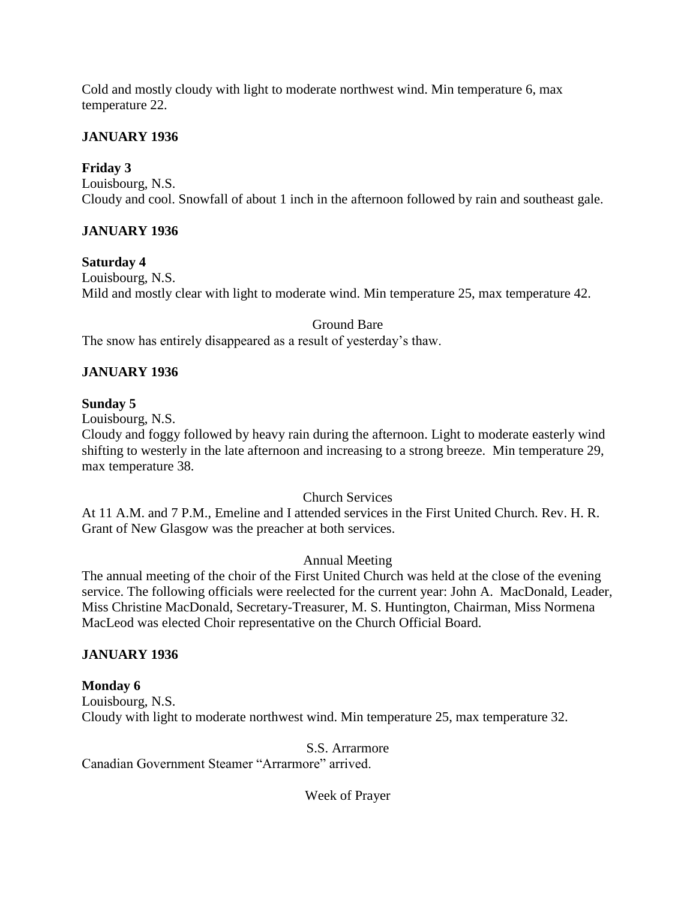Cold and mostly cloudy with light to moderate northwest wind. Min temperature 6, max temperature 22.

## **JANUARY 1936**

# **Friday 3**

Louisbourg, N.S. Cloudy and cool. Snowfall of about 1 inch in the afternoon followed by rain and southeast gale.

# **JANUARY 1936**

### **Saturday 4**

Louisbourg, N.S. Mild and mostly clear with light to moderate wind. Min temperature 25, max temperature 42.

Ground Bare

The snow has entirely disappeared as a result of yesterday's thaw.

# **JANUARY 1936**

## **Sunday 5**

Louisbourg, N.S.

Cloudy and foggy followed by heavy rain during the afternoon. Light to moderate easterly wind shifting to westerly in the late afternoon and increasing to a strong breeze. Min temperature 29, max temperature 38.

Church Services

At 11 A.M. and 7 P.M., Emeline and I attended services in the First United Church. Rev. H. R. Grant of New Glasgow was the preacher at both services.

## Annual Meeting

The annual meeting of the choir of the First United Church was held at the close of the evening service. The following officials were reelected for the current year: John A. MacDonald, Leader, Miss Christine MacDonald, Secretary-Treasurer, M. S. Huntington, Chairman, Miss Normena MacLeod was elected Choir representative on the Church Official Board.

## **JANUARY 1936**

## **Monday 6**

Louisbourg, N.S. Cloudy with light to moderate northwest wind. Min temperature 25, max temperature 32.

### S.S. Arrarmore

Canadian Government Steamer "Arrarmore" arrived.

### Week of Prayer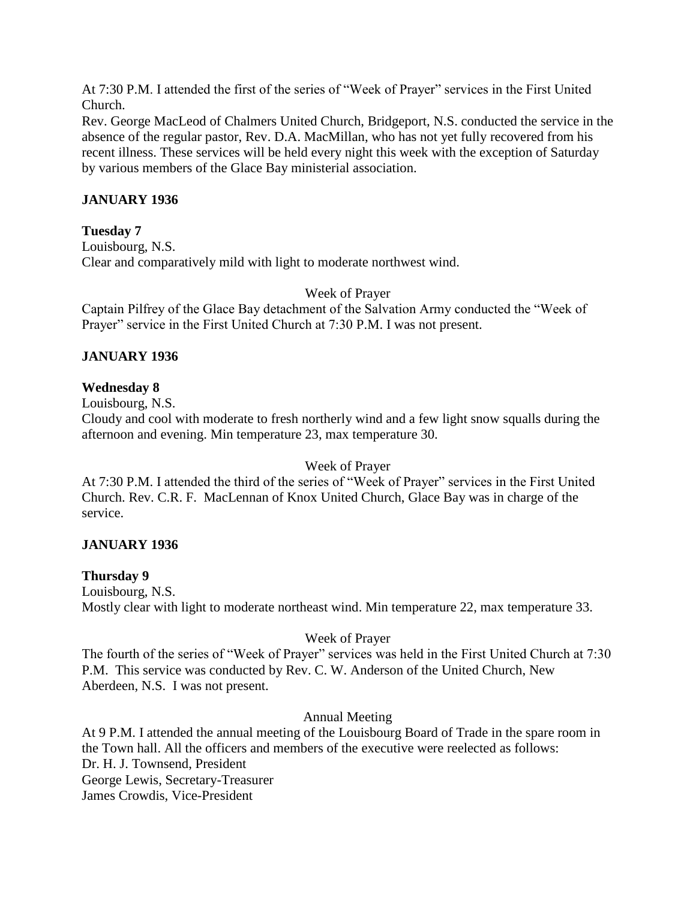At 7:30 P.M. I attended the first of the series of "Week of Prayer" services in the First United Church.

Rev. George MacLeod of Chalmers United Church, Bridgeport, N.S. conducted the service in the absence of the regular pastor, Rev. D.A. MacMillan, who has not yet fully recovered from his recent illness. These services will be held every night this week with the exception of Saturday by various members of the Glace Bay ministerial association.

# **JANUARY 1936**

## **Tuesday 7**

Louisbourg, N.S. Clear and comparatively mild with light to moderate northwest wind.

Week of Prayer

Captain Pilfrey of the Glace Bay detachment of the Salvation Army conducted the "Week of Prayer" service in the First United Church at 7:30 P.M. I was not present.

# **JANUARY 1936**

## **Wednesday 8**

Louisbourg, N.S.

Cloudy and cool with moderate to fresh northerly wind and a few light snow squalls during the afternoon and evening. Min temperature 23, max temperature 30.

Week of Prayer

At 7:30 P.M. I attended the third of the series of "Week of Prayer" services in the First United Church. Rev. C.R. F. MacLennan of Knox United Church, Glace Bay was in charge of the service.

# **JANUARY 1936**

## **Thursday 9**

Louisbourg, N.S. Mostly clear with light to moderate northeast wind. Min temperature 22, max temperature 33.

## Week of Prayer

The fourth of the series of "Week of Prayer" services was held in the First United Church at 7:30 P.M. This service was conducted by Rev. C. W. Anderson of the United Church, New Aberdeen, N.S. I was not present.

## Annual Meeting

At 9 P.M. I attended the annual meeting of the Louisbourg Board of Trade in the spare room in the Town hall. All the officers and members of the executive were reelected as follows: Dr. H. J. Townsend, President George Lewis, Secretary-Treasurer James Crowdis, Vice-President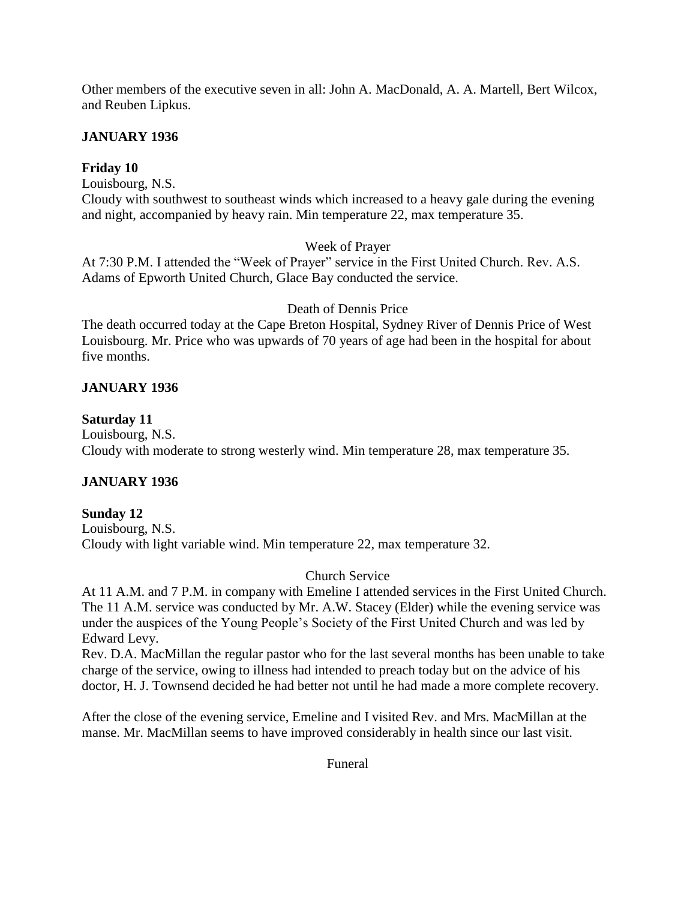Other members of the executive seven in all: John A. MacDonald, A. A. Martell, Bert Wilcox, and Reuben Lipkus.

### **JANUARY 1936**

### **Friday 10**

Louisbourg, N.S.

Cloudy with southwest to southeast winds which increased to a heavy gale during the evening and night, accompanied by heavy rain. Min temperature 22, max temperature 35.

### Week of Prayer

At 7:30 P.M. I attended the "Week of Prayer" service in the First United Church. Rev. A.S. Adams of Epworth United Church, Glace Bay conducted the service.

### Death of Dennis Price

The death occurred today at the Cape Breton Hospital, Sydney River of Dennis Price of West Louisbourg. Mr. Price who was upwards of 70 years of age had been in the hospital for about five months.

## **JANUARY 1936**

### **Saturday 11**

Louisbourg, N.S. Cloudy with moderate to strong westerly wind. Min temperature 28, max temperature 35.

## **JANUARY 1936**

## **Sunday 12**

Louisbourg, N.S. Cloudy with light variable wind. Min temperature 22, max temperature 32.

## Church Service

At 11 A.M. and 7 P.M. in company with Emeline I attended services in the First United Church. The 11 A.M. service was conducted by Mr. A.W. Stacey (Elder) while the evening service was under the auspices of the Young People's Society of the First United Church and was led by Edward Levy.

Rev. D.A. MacMillan the regular pastor who for the last several months has been unable to take charge of the service, owing to illness had intended to preach today but on the advice of his doctor, H. J. Townsend decided he had better not until he had made a more complete recovery.

After the close of the evening service, Emeline and I visited Rev. and Mrs. MacMillan at the manse. Mr. MacMillan seems to have improved considerably in health since our last visit.

Funeral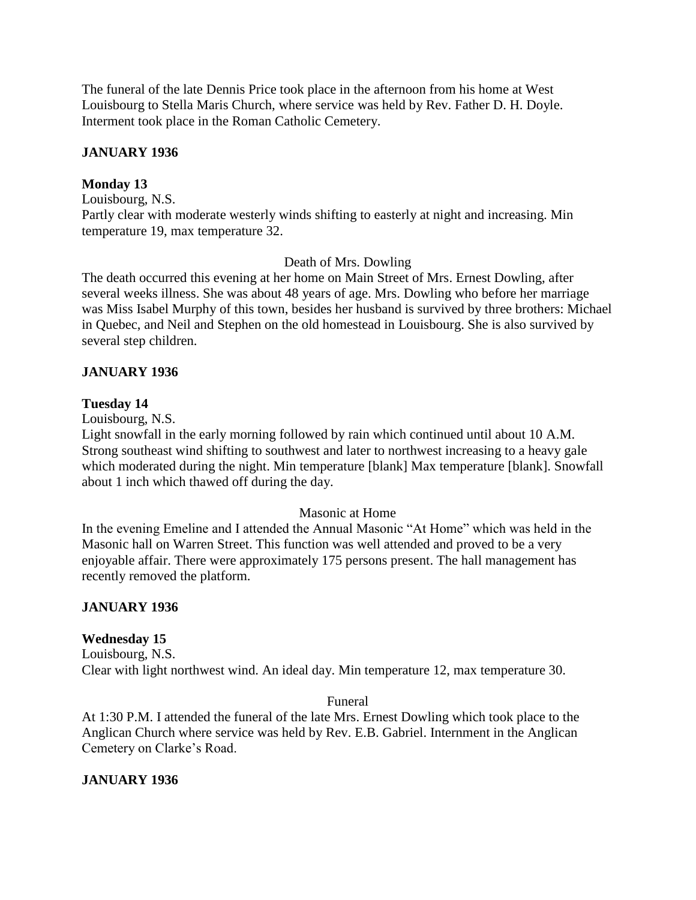The funeral of the late Dennis Price took place in the afternoon from his home at West Louisbourg to Stella Maris Church, where service was held by Rev. Father D. H. Doyle. Interment took place in the Roman Catholic Cemetery.

## **JANUARY 1936**

## **Monday 13**

Louisbourg, N.S. Partly clear with moderate westerly winds shifting to easterly at night and increasing. Min temperature 19, max temperature 32.

## Death of Mrs. Dowling

The death occurred this evening at her home on Main Street of Mrs. Ernest Dowling, after several weeks illness. She was about 48 years of age. Mrs. Dowling who before her marriage was Miss Isabel Murphy of this town, besides her husband is survived by three brothers: Michael in Quebec, and Neil and Stephen on the old homestead in Louisbourg. She is also survived by several step children.

### **JANUARY 1936**

### **Tuesday 14**

Louisbourg, N.S.

Light snowfall in the early morning followed by rain which continued until about 10 A.M. Strong southeast wind shifting to southwest and later to northwest increasing to a heavy gale which moderated during the night. Min temperature [blank] Max temperature [blank]. Snowfall about 1 inch which thawed off during the day.

### Masonic at Home

In the evening Emeline and I attended the Annual Masonic "At Home" which was held in the Masonic hall on Warren Street. This function was well attended and proved to be a very enjoyable affair. There were approximately 175 persons present. The hall management has recently removed the platform.

### **JANUARY 1936**

## **Wednesday 15**

Louisbourg, N.S. Clear with light northwest wind. An ideal day. Min temperature 12, max temperature 30.

### Funeral

At 1:30 P.M. I attended the funeral of the late Mrs. Ernest Dowling which took place to the Anglican Church where service was held by Rev. E.B. Gabriel. Internment in the Anglican Cemetery on Clarke's Road.

## **JANUARY 1936**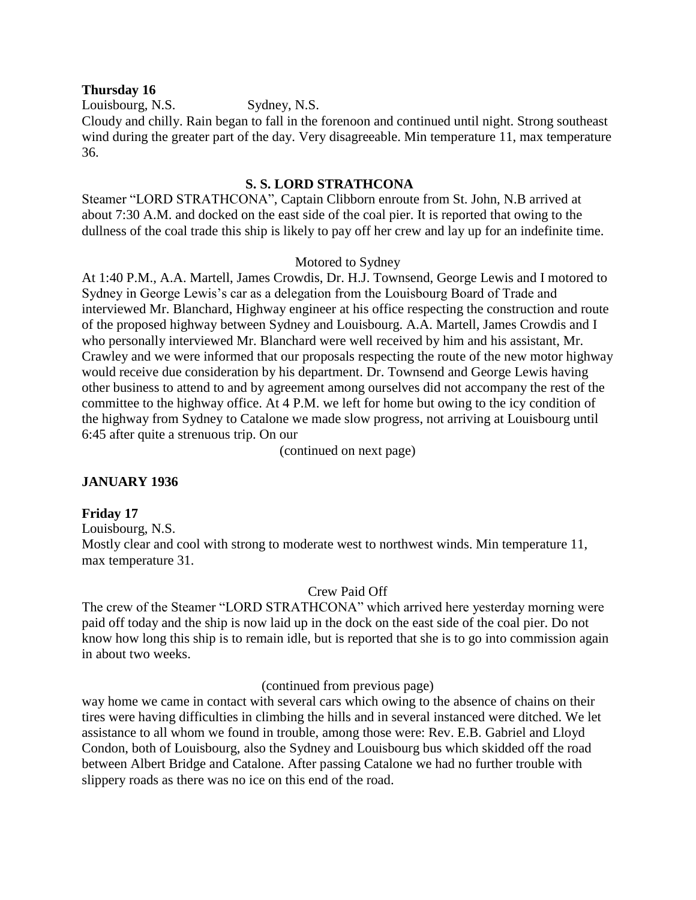#### **Thursday 16**

Louisbourg, N.S. Sydney, N.S.

Cloudy and chilly. Rain began to fall in the forenoon and continued until night. Strong southeast wind during the greater part of the day. Very disagreeable. Min temperature 11, max temperature 36.

### **S. S. LORD STRATHCONA**

Steamer "LORD STRATHCONA", Captain Clibborn enroute from St. John, N.B arrived at about 7:30 A.M. and docked on the east side of the coal pier. It is reported that owing to the dullness of the coal trade this ship is likely to pay off her crew and lay up for an indefinite time.

### Motored to Sydney

At 1:40 P.M., A.A. Martell, James Crowdis, Dr. H.J. Townsend, George Lewis and I motored to Sydney in George Lewis's car as a delegation from the Louisbourg Board of Trade and interviewed Mr. Blanchard, Highway engineer at his office respecting the construction and route of the proposed highway between Sydney and Louisbourg. A.A. Martell, James Crowdis and I who personally interviewed Mr. Blanchard were well received by him and his assistant, Mr. Crawley and we were informed that our proposals respecting the route of the new motor highway would receive due consideration by his department. Dr. Townsend and George Lewis having other business to attend to and by agreement among ourselves did not accompany the rest of the committee to the highway office. At 4 P.M. we left for home but owing to the icy condition of the highway from Sydney to Catalone we made slow progress, not arriving at Louisbourg until 6:45 after quite a strenuous trip. On our

(continued on next page)

## **JANUARY 1936**

### **Friday 17**

Louisbourg, N.S.

Mostly clear and cool with strong to moderate west to northwest winds. Min temperature 11, max temperature 31.

### Crew Paid Off

The crew of the Steamer "LORD STRATHCONA" which arrived here yesterday morning were paid off today and the ship is now laid up in the dock on the east side of the coal pier. Do not know how long this ship is to remain idle, but is reported that she is to go into commission again in about two weeks.

(continued from previous page)

way home we came in contact with several cars which owing to the absence of chains on their tires were having difficulties in climbing the hills and in several instanced were ditched. We let assistance to all whom we found in trouble, among those were: Rev. E.B. Gabriel and Lloyd Condon, both of Louisbourg, also the Sydney and Louisbourg bus which skidded off the road between Albert Bridge and Catalone. After passing Catalone we had no further trouble with slippery roads as there was no ice on this end of the road.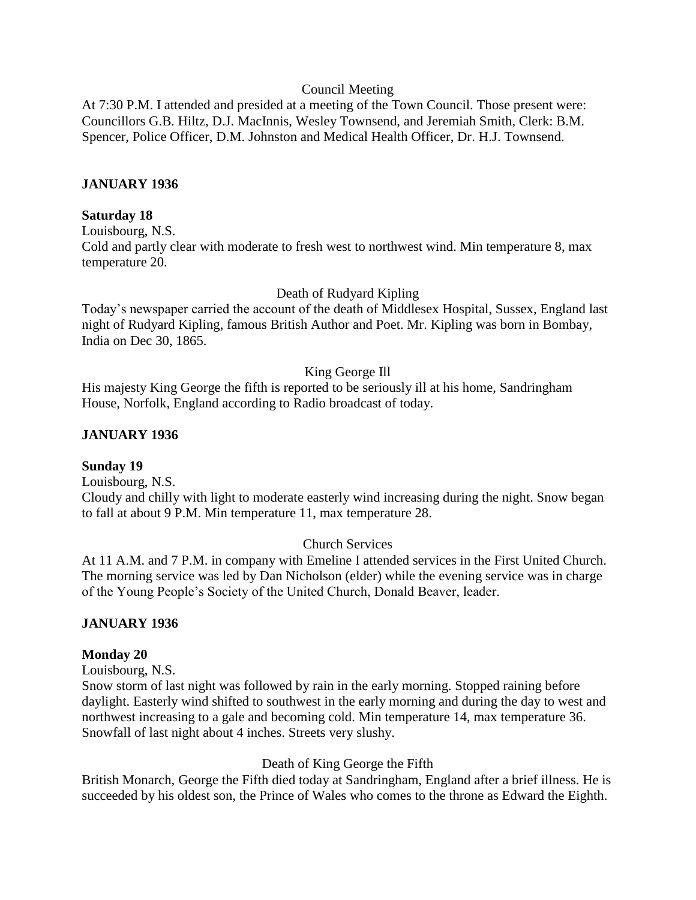#### Council Meeting

At 7:30 P.M. I attended and presided at a meeting of the Town Council. Those present were: Councillors G.B. Hiltz, D.J. MacInnis, Wesley Townsend, and Jeremiah Smith, Clerk: B.M. Spencer, Police Officer, D.M. Johnston and Medical Health Officer, Dr. H.J. Townsend.

#### **JANUARY 1936**

#### **Saturday 18**

Louisbourg, N.S.

Cold and partly clear with moderate to fresh west to northwest wind. Min temperature 8, max temperature 20.

Death of Rudyard Kipling

Today's newspaper carried the account of the death of Middlesex Hospital, Sussex, England last night of Rudyard Kipling, famous British Author and Poet. Mr. Kipling was born in Bombay, India on Dec 30, 1865.

#### King George Ill

His majesty King George the fifth is reported to be seriously ill at his home, Sandringham House, Norfolk, England according to Radio broadcast of today.

#### **JANUARY 1936**

#### **Sunday 19**

Louisbourg, N.S. Cloudy and chilly with light to moderate easterly wind increasing during the night. Snow began to fall at about 9 P.M. Min temperature 11, max temperature 28.

### Church Services

At 11 A.M. and 7 P.M. in company with Emeline I attended services in the First United Church. The morning service was led by Dan Nicholson (elder) while the evening service was in charge of the Young People's Society of the United Church, Donald Beaver, leader.

### **JANUARY 1936**

#### **Monday 20**

Louisbourg, N.S.

Snow storm of last night was followed by rain in the early morning. Stopped raining before daylight. Easterly wind shifted to southwest in the early morning and during the day to west and northwest increasing to a gale and becoming cold. Min temperature 14, max temperature 36. Snowfall of last night about 4 inches. Streets very slushy.

#### Death of King George the Fifth

British Monarch, George the Fifth died today at Sandringham, England after a brief illness. He is succeeded by his oldest son, the Prince of Wales who comes to the throne as Edward the Eighth.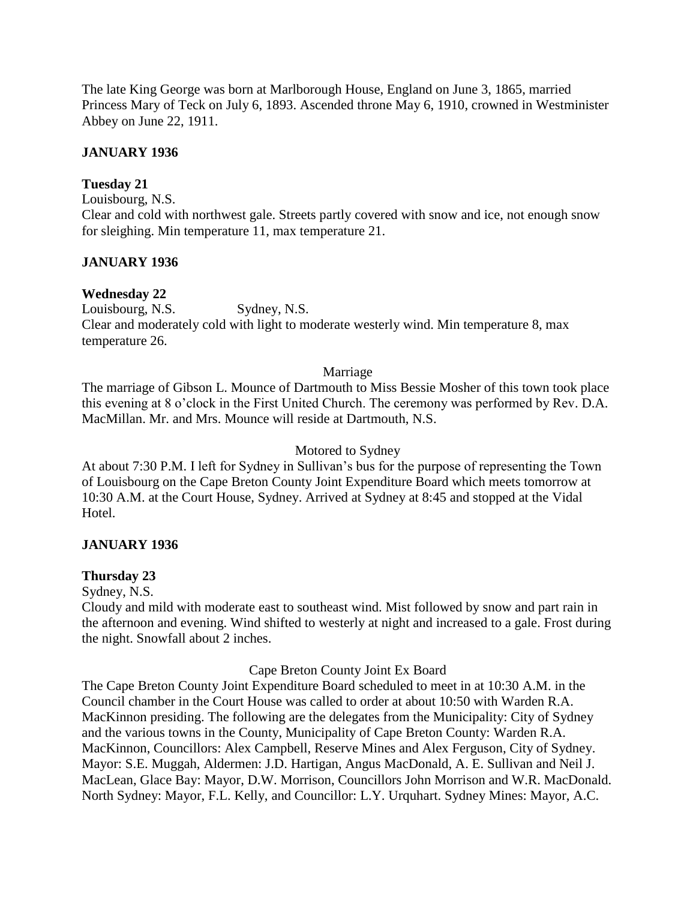The late King George was born at Marlborough House, England on June 3, 1865, married Princess Mary of Teck on July 6, 1893. Ascended throne May 6, 1910, crowned in Westminister Abbey on June 22, 1911.

### **JANUARY 1936**

### **Tuesday 21**

Louisbourg, N.S. Clear and cold with northwest gale. Streets partly covered with snow and ice, not enough snow for sleighing. Min temperature 11, max temperature 21.

## **JANUARY 1936**

## **Wednesday 22**

Louisbourg, N.S. Sydney, N.S. Clear and moderately cold with light to moderate westerly wind. Min temperature 8, max temperature 26.

#### Marriage

The marriage of Gibson L. Mounce of Dartmouth to Miss Bessie Mosher of this town took place this evening at 8 o'clock in the First United Church. The ceremony was performed by Rev. D.A. MacMillan. Mr. and Mrs. Mounce will reside at Dartmouth, N.S.

### Motored to Sydney

At about 7:30 P.M. I left for Sydney in Sullivan's bus for the purpose of representing the Town of Louisbourg on the Cape Breton County Joint Expenditure Board which meets tomorrow at 10:30 A.M. at the Court House, Sydney. Arrived at Sydney at 8:45 and stopped at the Vidal Hotel.

### **JANUARY 1936**

### **Thursday 23**

Sydney, N.S.

Cloudy and mild with moderate east to southeast wind. Mist followed by snow and part rain in the afternoon and evening. Wind shifted to westerly at night and increased to a gale. Frost during the night. Snowfall about 2 inches.

### Cape Breton County Joint Ex Board

The Cape Breton County Joint Expenditure Board scheduled to meet in at 10:30 A.M. in the Council chamber in the Court House was called to order at about 10:50 with Warden R.A. MacKinnon presiding. The following are the delegates from the Municipality: City of Sydney and the various towns in the County, Municipality of Cape Breton County: Warden R.A. MacKinnon, Councillors: Alex Campbell, Reserve Mines and Alex Ferguson, City of Sydney. Mayor: S.E. Muggah, Aldermen: J.D. Hartigan, Angus MacDonald, A. E. Sullivan and Neil J. MacLean, Glace Bay: Mayor, D.W. Morrison, Councillors John Morrison and W.R. MacDonald. North Sydney: Mayor, F.L. Kelly, and Councillor: L.Y. Urquhart. Sydney Mines: Mayor, A.C.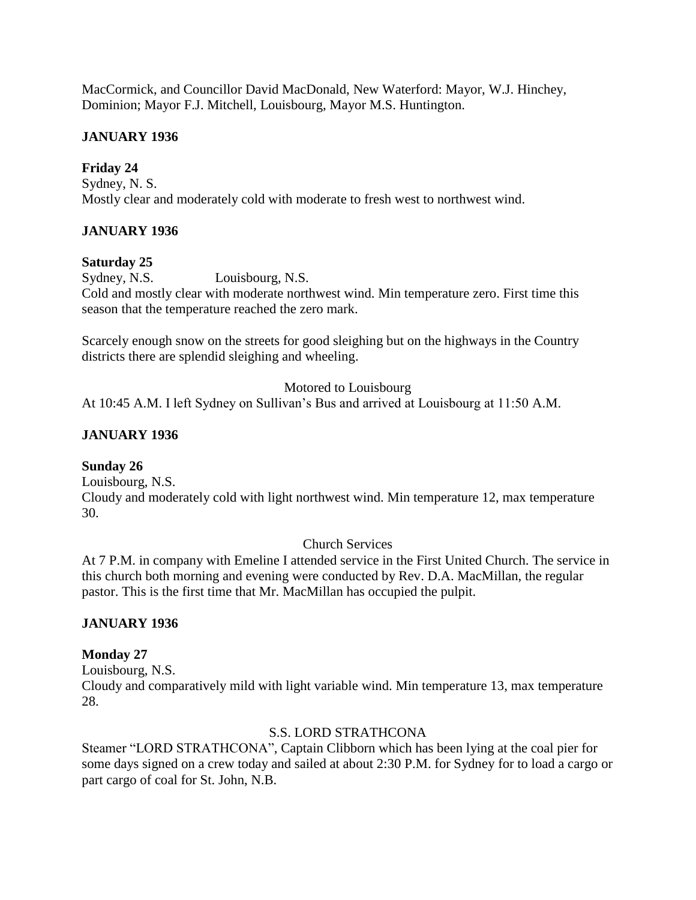MacCormick, and Councillor David MacDonald, New Waterford: Mayor, W.J. Hinchey, Dominion; Mayor F.J. Mitchell, Louisbourg, Mayor M.S. Huntington.

### **JANUARY 1936**

## **Friday 24**

Sydney, N. S. Mostly clear and moderately cold with moderate to fresh west to northwest wind.

### **JANUARY 1936**

### **Saturday 25**

Sydney, N.S. Louisbourg, N.S. Cold and mostly clear with moderate northwest wind. Min temperature zero. First time this season that the temperature reached the zero mark.

Scarcely enough snow on the streets for good sleighing but on the highways in the Country districts there are splendid sleighing and wheeling.

Motored to Louisbourg

At 10:45 A.M. I left Sydney on Sullivan's Bus and arrived at Louisbourg at 11:50 A.M.

## **JANUARY 1936**

### **Sunday 26**

Louisbourg, N.S. Cloudy and moderately cold with light northwest wind. Min temperature 12, max temperature 30.

Church Services

At 7 P.M. in company with Emeline I attended service in the First United Church. The service in this church both morning and evening were conducted by Rev. D.A. MacMillan, the regular pastor. This is the first time that Mr. MacMillan has occupied the pulpit.

### **JANUARY 1936**

### **Monday 27**

Louisbourg, N.S.

Cloudy and comparatively mild with light variable wind. Min temperature 13, max temperature 28.

### S.S. LORD STRATHCONA

Steamer "LORD STRATHCONA", Captain Clibborn which has been lying at the coal pier for some days signed on a crew today and sailed at about 2:30 P.M. for Sydney for to load a cargo or part cargo of coal for St. John, N.B.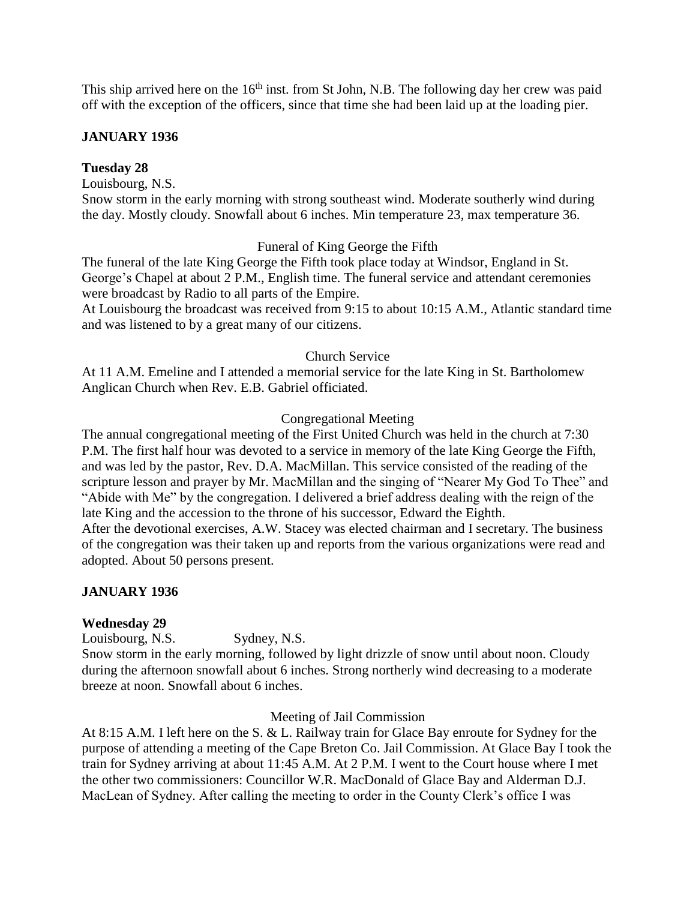This ship arrived here on the  $16<sup>th</sup>$  inst. from St John, N.B. The following day her crew was paid off with the exception of the officers, since that time she had been laid up at the loading pier.

### **JANUARY 1936**

### **Tuesday 28**

Louisbourg, N.S.

Snow storm in the early morning with strong southeast wind. Moderate southerly wind during the day. Mostly cloudy. Snowfall about 6 inches. Min temperature 23, max temperature 36.

### Funeral of King George the Fifth

The funeral of the late King George the Fifth took place today at Windsor, England in St. George's Chapel at about 2 P.M., English time. The funeral service and attendant ceremonies were broadcast by Radio to all parts of the Empire.

At Louisbourg the broadcast was received from 9:15 to about 10:15 A.M., Atlantic standard time and was listened to by a great many of our citizens.

### Church Service

At 11 A.M. Emeline and I attended a memorial service for the late King in St. Bartholomew Anglican Church when Rev. E.B. Gabriel officiated.

### Congregational Meeting

The annual congregational meeting of the First United Church was held in the church at 7:30 P.M. The first half hour was devoted to a service in memory of the late King George the Fifth, and was led by the pastor, Rev. D.A. MacMillan. This service consisted of the reading of the scripture lesson and prayer by Mr. MacMillan and the singing of "Nearer My God To Thee" and "Abide with Me" by the congregation. I delivered a brief address dealing with the reign of the late King and the accession to the throne of his successor, Edward the Eighth. After the devotional exercises, A.W. Stacey was elected chairman and I secretary. The business

of the congregation was their taken up and reports from the various organizations were read and adopted. About 50 persons present.

## **JANUARY 1936**

## **Wednesday 29**

Louisbourg, N.S. Sydney, N.S.

Snow storm in the early morning, followed by light drizzle of snow until about noon. Cloudy during the afternoon snowfall about 6 inches. Strong northerly wind decreasing to a moderate breeze at noon. Snowfall about 6 inches.

Meeting of Jail Commission

At 8:15 A.M. I left here on the S. & L. Railway train for Glace Bay enroute for Sydney for the purpose of attending a meeting of the Cape Breton Co. Jail Commission. At Glace Bay I took the train for Sydney arriving at about 11:45 A.M. At 2 P.M. I went to the Court house where I met the other two commissioners: Councillor W.R. MacDonald of Glace Bay and Alderman D.J. MacLean of Sydney. After calling the meeting to order in the County Clerk's office I was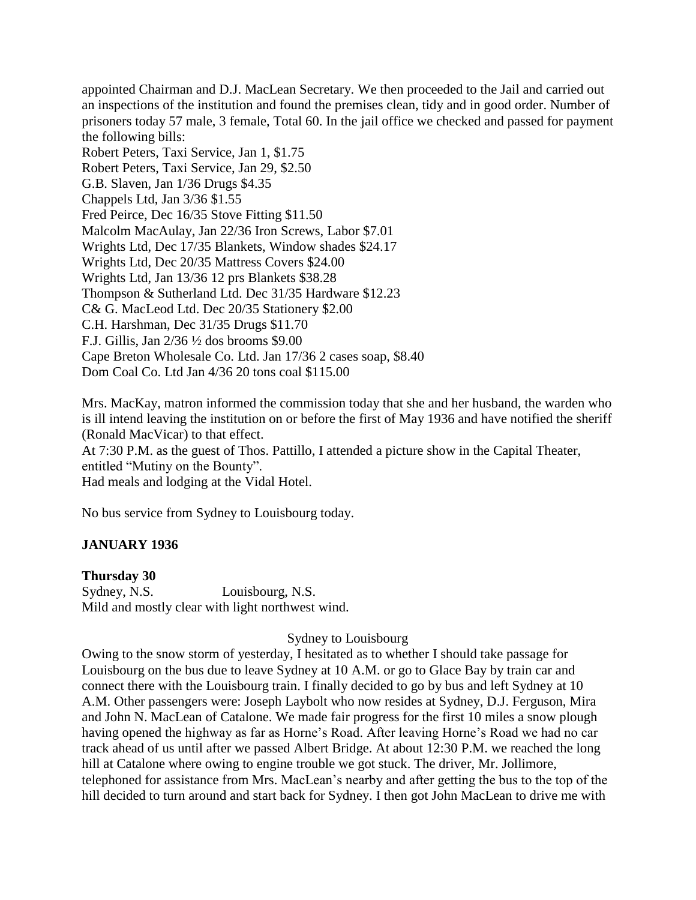appointed Chairman and D.J. MacLean Secretary. We then proceeded to the Jail and carried out an inspections of the institution and found the premises clean, tidy and in good order. Number of prisoners today 57 male, 3 female, Total 60. In the jail office we checked and passed for payment the following bills: Robert Peters, Taxi Service, Jan 1, \$1.75 Robert Peters, Taxi Service, Jan 29, \$2.50 G.B. Slaven, Jan 1/36 Drugs \$4.35 Chappels Ltd, Jan 3/36 \$1.55 Fred Peirce, Dec 16/35 Stove Fitting \$11.50 Malcolm MacAulay, Jan 22/36 Iron Screws, Labor \$7.01 Wrights Ltd, Dec 17/35 Blankets, Window shades \$24.17 Wrights Ltd, Dec 20/35 Mattress Covers \$24.00 Wrights Ltd, Jan 13/36 12 prs Blankets \$38.28 Thompson & Sutherland Ltd. Dec 31/35 Hardware \$12.23 C& G. MacLeod Ltd. Dec 20/35 Stationery \$2.00 C.H. Harshman, Dec 31/35 Drugs \$11.70 F.J. Gillis, Jan 2/36 ½ dos brooms \$9.00 Cape Breton Wholesale Co. Ltd. Jan 17/36 2 cases soap, \$8.40 Dom Coal Co. Ltd Jan 4/36 20 tons coal \$115.00

Mrs. MacKay, matron informed the commission today that she and her husband, the warden who is ill intend leaving the institution on or before the first of May 1936 and have notified the sheriff (Ronald MacVicar) to that effect.

At 7:30 P.M. as the guest of Thos. Pattillo, I attended a picture show in the Capital Theater, entitled "Mutiny on the Bounty".

Had meals and lodging at the Vidal Hotel.

No bus service from Sydney to Louisbourg today.

### **JANUARY 1936**

### **Thursday 30**

Sydney, N.S. Louisbourg, N.S. Mild and mostly clear with light northwest wind.

### Sydney to Louisbourg

Owing to the snow storm of yesterday, I hesitated as to whether I should take passage for Louisbourg on the bus due to leave Sydney at 10 A.M. or go to Glace Bay by train car and connect there with the Louisbourg train. I finally decided to go by bus and left Sydney at 10 A.M. Other passengers were: Joseph Laybolt who now resides at Sydney, D.J. Ferguson, Mira and John N. MacLean of Catalone. We made fair progress for the first 10 miles a snow plough having opened the highway as far as Horne's Road. After leaving Horne's Road we had no car track ahead of us until after we passed Albert Bridge. At about 12:30 P.M. we reached the long hill at Catalone where owing to engine trouble we got stuck. The driver, Mr. Jollimore, telephoned for assistance from Mrs. MacLean's nearby and after getting the bus to the top of the hill decided to turn around and start back for Sydney. I then got John MacLean to drive me with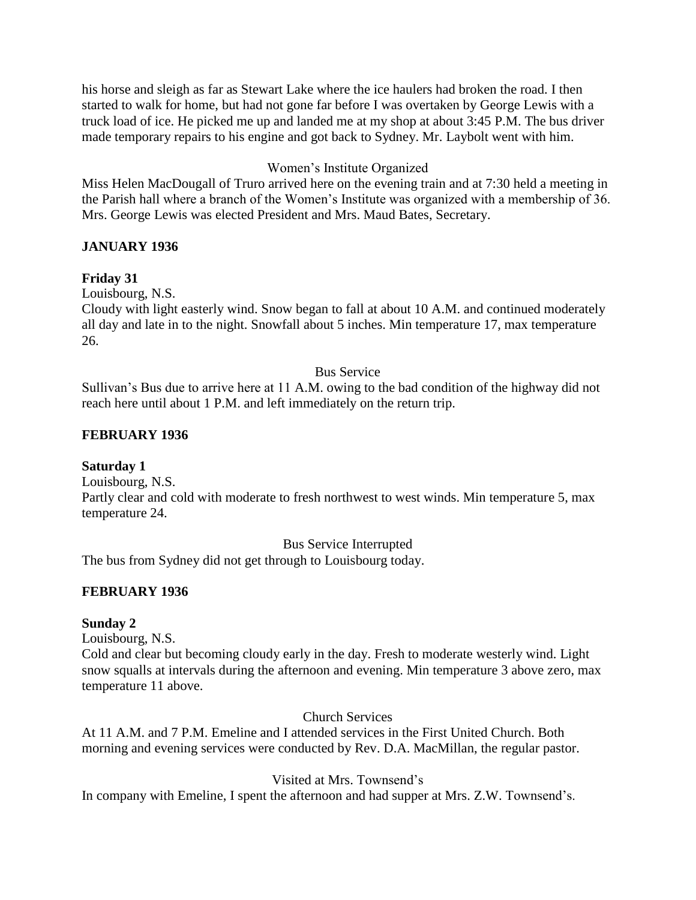his horse and sleigh as far as Stewart Lake where the ice haulers had broken the road. I then started to walk for home, but had not gone far before I was overtaken by George Lewis with a truck load of ice. He picked me up and landed me at my shop at about 3:45 P.M. The bus driver made temporary repairs to his engine and got back to Sydney. Mr. Laybolt went with him.

## Women's Institute Organized

Miss Helen MacDougall of Truro arrived here on the evening train and at 7:30 held a meeting in the Parish hall where a branch of the Women's Institute was organized with a membership of 36. Mrs. George Lewis was elected President and Mrs. Maud Bates, Secretary.

## **JANUARY 1936**

### **Friday 31**

Louisbourg, N.S.

Cloudy with light easterly wind. Snow began to fall at about 10 A.M. and continued moderately all day and late in to the night. Snowfall about 5 inches. Min temperature 17, max temperature 26.

### Bus Service

Sullivan's Bus due to arrive here at 11 A.M. owing to the bad condition of the highway did not reach here until about 1 P.M. and left immediately on the return trip.

### **FEBRUARY 1936**

## **Saturday 1**

Louisbourg, N.S. Partly clear and cold with moderate to fresh northwest to west winds. Min temperature 5, max temperature 24.

Bus Service Interrupted

The bus from Sydney did not get through to Louisbourg today.

## **FEBRUARY 1936**

### **Sunday 2**

Louisbourg, N.S.

Cold and clear but becoming cloudy early in the day. Fresh to moderate westerly wind. Light snow squalls at intervals during the afternoon and evening. Min temperature 3 above zero, max temperature 11 above.

Church Services

At 11 A.M. and 7 P.M. Emeline and I attended services in the First United Church. Both morning and evening services were conducted by Rev. D.A. MacMillan, the regular pastor.

Visited at Mrs. Townsend's

In company with Emeline, I spent the afternoon and had supper at Mrs. Z.W. Townsend's.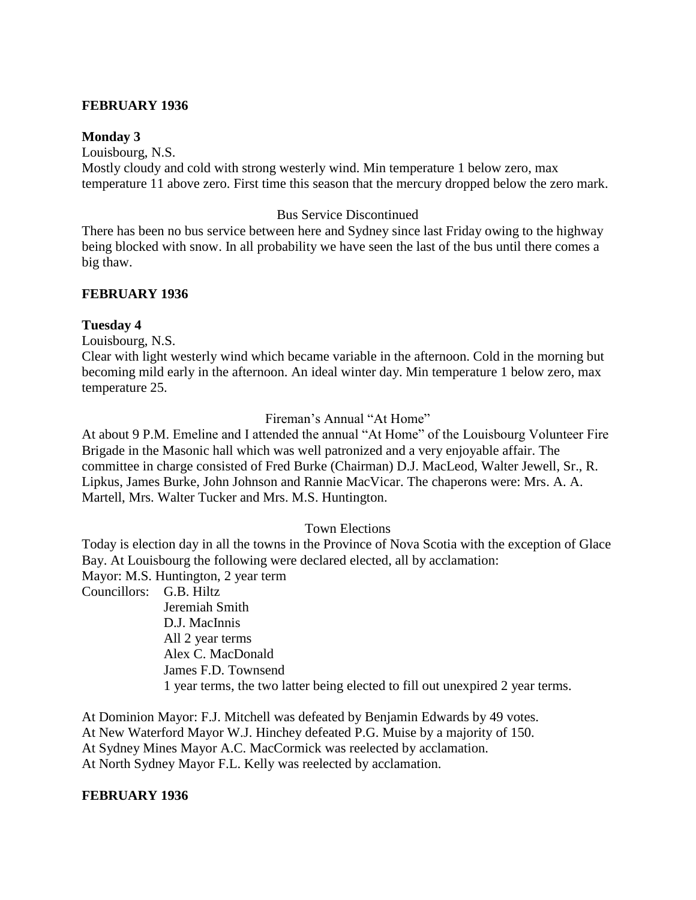#### **FEBRUARY 1936**

#### **Monday 3**

Louisbourg, N.S. Mostly cloudy and cold with strong westerly wind. Min temperature 1 below zero, max temperature 11 above zero. First time this season that the mercury dropped below the zero mark.

#### Bus Service Discontinued

There has been no bus service between here and Sydney since last Friday owing to the highway being blocked with snow. In all probability we have seen the last of the bus until there comes a big thaw.

#### **FEBRUARY 1936**

#### **Tuesday 4**

Louisbourg, N.S.

Clear with light westerly wind which became variable in the afternoon. Cold in the morning but becoming mild early in the afternoon. An ideal winter day. Min temperature 1 below zero, max temperature 25.

#### Fireman's Annual "At Home"

At about 9 P.M. Emeline and I attended the annual "At Home" of the Louisbourg Volunteer Fire Brigade in the Masonic hall which was well patronized and a very enjoyable affair. The committee in charge consisted of Fred Burke (Chairman) D.J. MacLeod, Walter Jewell, Sr., R. Lipkus, James Burke, John Johnson and Rannie MacVicar. The chaperons were: Mrs. A. A. Martell, Mrs. Walter Tucker and Mrs. M.S. Huntington.

#### Town Elections

Today is election day in all the towns in the Province of Nova Scotia with the exception of Glace Bay. At Louisbourg the following were declared elected, all by acclamation: Mayor: M.S. Huntington, 2 year term

Councillors: G.B. Hiltz

Jeremiah Smith D.J. MacInnis All 2 year terms Alex C. MacDonald James F.D. Townsend 1 year terms, the two latter being elected to fill out unexpired 2 year terms.

At Dominion Mayor: F.J. Mitchell was defeated by Benjamin Edwards by 49 votes. At New Waterford Mayor W.J. Hinchey defeated P.G. Muise by a majority of 150. At Sydney Mines Mayor A.C. MacCormick was reelected by acclamation. At North Sydney Mayor F.L. Kelly was reelected by acclamation.

#### **FEBRUARY 1936**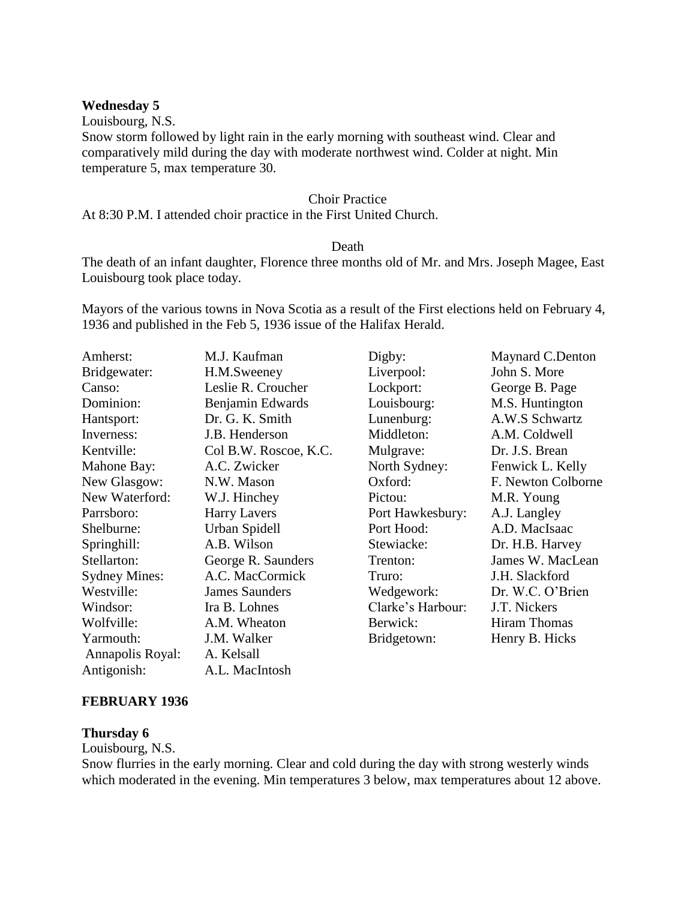#### **Wednesday 5**

Louisbourg, N.S.

Snow storm followed by light rain in the early morning with southeast wind. Clear and comparatively mild during the day with moderate northwest wind. Colder at night. Min temperature 5, max temperature 30.

#### Choir Practice

At 8:30 P.M. I attended choir practice in the First United Church.

#### **Death**

The death of an infant daughter, Florence three months old of Mr. and Mrs. Joseph Magee, East Louisbourg took place today.

Mayors of the various towns in Nova Scotia as a result of the First elections held on February 4, 1936 and published in the Feb 5, 1936 issue of the Halifax Herald.

| Amherst:             | M.J. Kaufman          | Digby:            | Maynard C.Denton    |
|----------------------|-----------------------|-------------------|---------------------|
| Bridgewater:         | H.M.Sweeney           | Liverpool:        | John S. More        |
| Canso:               | Leslie R. Croucher    | Lockport:         | George B. Page      |
| Dominion:            | Benjamin Edwards      | Louisbourg:       | M.S. Huntington     |
| Hantsport:           | Dr. G. K. Smith       | Lunenburg:        | A.W.S Schwartz      |
| Inverness:           | J.B. Henderson        | Middleton:        | A.M. Coldwell       |
| Kentville:           | Col B.W. Roscoe, K.C. | Mulgrave:         | Dr. J.S. Brean      |
| Mahone Bay:          | A.C. Zwicker          | North Sydney:     | Fenwick L. Kelly    |
| New Glasgow:         | N.W. Mason            | Oxford:           | F. Newton Colborne  |
| New Waterford:       | W.J. Hinchey          | Pictou:           | M.R. Young          |
| Parrsboro:           | <b>Harry Lavers</b>   | Port Hawkesbury:  | A.J. Langley        |
| Shelburne:           | Urban Spidell         | Port Hood:        | A.D. MacIsaac       |
| Springhill:          | A.B. Wilson           | Stewiacke:        | Dr. H.B. Harvey     |
| Stellarton:          | George R. Saunders    | Trenton:          | James W. MacLean    |
| <b>Sydney Mines:</b> | A.C. MacCormick       | Truro:            | J.H. Slackford      |
| Westville:           | <b>James Saunders</b> | Wedgework:        | Dr. W.C. O'Brien    |
| Windsor:             | Ira B. Lohnes         | Clarke's Harbour: | J.T. Nickers        |
| Wolfville:           | A.M. Wheaton          | Berwick:          | <b>Hiram Thomas</b> |
| Yarmouth:            | J.M. Walker           | Bridgetown:       | Henry B. Hicks      |
| Annapolis Royal:     | A. Kelsall            |                   |                     |
| Antigonish:          | A.L. MacIntosh        |                   |                     |

### **FEBRUARY 1936**

#### **Thursday 6**

Louisbourg, N.S.

Snow flurries in the early morning. Clear and cold during the day with strong westerly winds which moderated in the evening. Min temperatures 3 below, max temperatures about 12 above.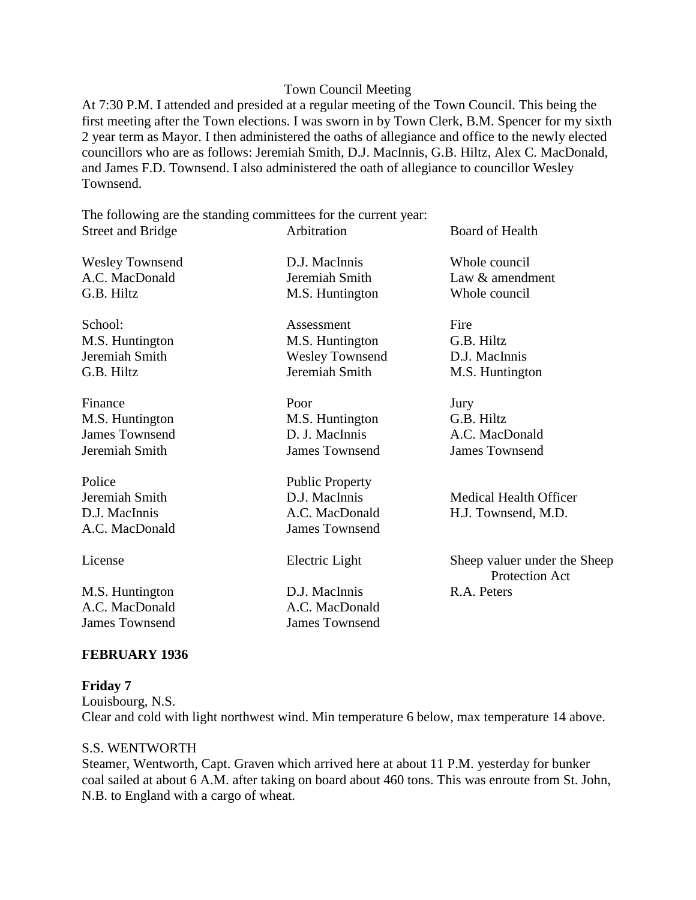#### Town Council Meeting

At 7:30 P.M. I attended and presided at a regular meeting of the Town Council. This being the first meeting after the Town elections. I was sworn in by Town Clerk, B.M. Spencer for my sixth 2 year term as Mayor. I then administered the oaths of allegiance and office to the newly elected councillors who are as follows: Jeremiah Smith, D.J. MacInnis, G.B. Hiltz, Alex C. MacDonald, and James F.D. Townsend. I also administered the oath of allegiance to councillor Wesley Townsend.

The following are the standing committees for the current year: Street and Bridge **Arbitration** Board of Health

Wesley Townsend D.J. MacInnis Whole council G.B. Hiltz M.S. Huntington Whole council

Finance Door Door Jury M.S. Huntington M.S. Huntington G.B. Hiltz James Townsend D. J. MacInnis A.C. MacDonald Jeremiah Smith James Townsend James Townsend

Police Public Property

A.C. MacDonald A.C. MacDonald James Townsend James Townsend

School: Assessment Fire

M.S. Huntington M.S. Huntington G.B. Hiltz Jeremiah Smith Wesley Townsend D.J. MacInnis G.B. Hiltz **I**eremiah Smith M.S. Huntington

A.C. MacDonald James Townsend

M.S. Huntington D.J. MacInnis R.A. Peters

A.C. MacDonald Jeremiah Smith Law & amendment

Jeremiah Smith D.J. MacInnis Medical Health Officer D.J. MacInnis A.C. MacDonald H.J. Townsend, M.D.

License Electric Light Sheep valuer under the Sheep Protection Act

### **FEBRUARY 1936**

**Friday 7** Louisbourg, N.S. Clear and cold with light northwest wind. Min temperature 6 below, max temperature 14 above.

#### S.S. WENTWORTH

Steamer, Wentworth, Capt. Graven which arrived here at about 11 P.M. yesterday for bunker coal sailed at about 6 A.M. after taking on board about 460 tons. This was enroute from St. John, N.B. to England with a cargo of wheat.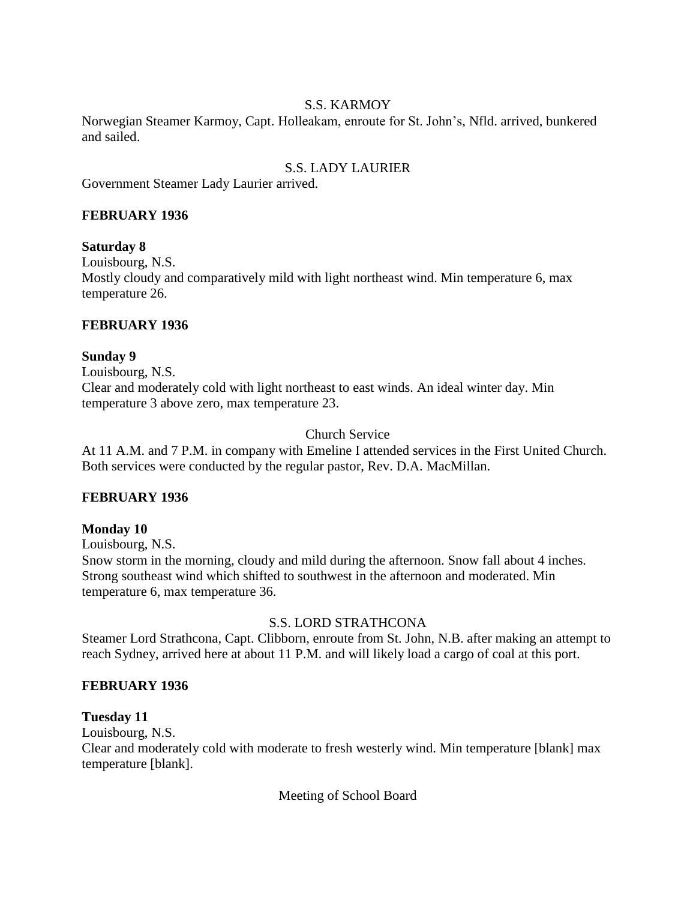### S.S. KARMOY

Norwegian Steamer Karmoy, Capt. Holleakam, enroute for St. John's, Nfld. arrived, bunkered and sailed.

# S.S. LADY LAURIER

Government Steamer Lady Laurier arrived.

### **FEBRUARY 1936**

### **Saturday 8**

Louisbourg, N.S. Mostly cloudy and comparatively mild with light northeast wind. Min temperature 6, max temperature 26.

### **FEBRUARY 1936**

### **Sunday 9**

Louisbourg, N.S. Clear and moderately cold with light northeast to east winds. An ideal winter day. Min temperature 3 above zero, max temperature 23.

### Church Service

At 11 A.M. and 7 P.M. in company with Emeline I attended services in the First United Church. Both services were conducted by the regular pastor, Rev. D.A. MacMillan.

### **FEBRUARY 1936**

### **Monday 10**

Louisbourg, N.S.

Snow storm in the morning, cloudy and mild during the afternoon. Snow fall about 4 inches. Strong southeast wind which shifted to southwest in the afternoon and moderated. Min temperature 6, max temperature 36.

### S.S. LORD STRATHCONA

Steamer Lord Strathcona, Capt. Clibborn, enroute from St. John, N.B. after making an attempt to reach Sydney, arrived here at about 11 P.M. and will likely load a cargo of coal at this port.

### **FEBRUARY 1936**

### **Tuesday 11**

Louisbourg, N.S.

Clear and moderately cold with moderate to fresh westerly wind. Min temperature [blank] max temperature [blank].

Meeting of School Board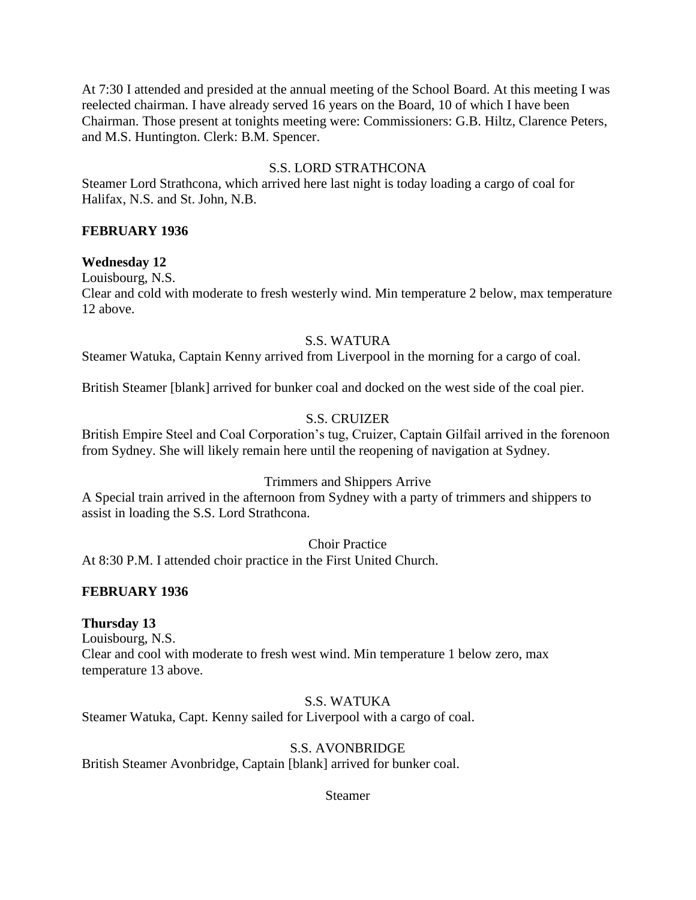At 7:30 I attended and presided at the annual meeting of the School Board. At this meeting I was reelected chairman. I have already served 16 years on the Board, 10 of which I have been Chairman. Those present at tonights meeting were: Commissioners: G.B. Hiltz, Clarence Peters, and M.S. Huntington. Clerk: B.M. Spencer.

### S.S. LORD STRATHCONA

Steamer Lord Strathcona, which arrived here last night is today loading a cargo of coal for Halifax, N.S. and St. John, N.B.

### **FEBRUARY 1936**

### **Wednesday 12**

Louisbourg, N.S.

Clear and cold with moderate to fresh westerly wind. Min temperature 2 below, max temperature 12 above.

### S.S. WATURA

Steamer Watuka, Captain Kenny arrived from Liverpool in the morning for a cargo of coal.

British Steamer [blank] arrived for bunker coal and docked on the west side of the coal pier.

## S.S. CRUIZER

British Empire Steel and Coal Corporation's tug, Cruizer, Captain Gilfail arrived in the forenoon from Sydney. She will likely remain here until the reopening of navigation at Sydney.

## Trimmers and Shippers Arrive

A Special train arrived in the afternoon from Sydney with a party of trimmers and shippers to assist in loading the S.S. Lord Strathcona.

Choir Practice

At 8:30 P.M. I attended choir practice in the First United Church.

## **FEBRUARY 1936**

### **Thursday 13**

Louisbourg, N.S. Clear and cool with moderate to fresh west wind. Min temperature 1 below zero, max temperature 13 above.

### S.S. WATUKA

Steamer Watuka, Capt. Kenny sailed for Liverpool with a cargo of coal.

### S.S. AVONBRIDGE

British Steamer Avonbridge, Captain [blank] arrived for bunker coal.

Steamer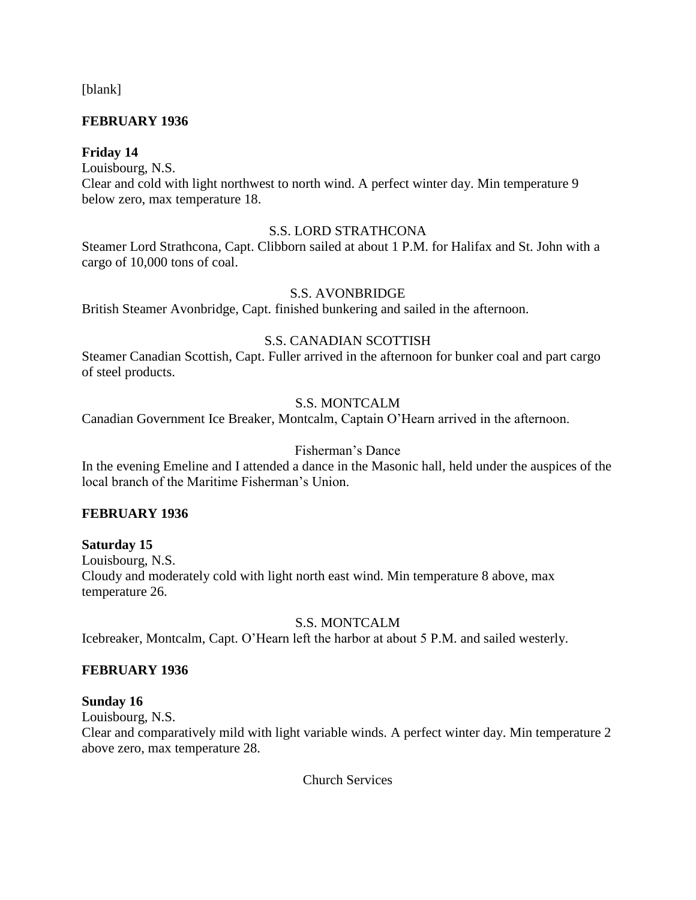[blank]

### **FEBRUARY 1936**

### **Friday 14**

Louisbourg, N.S.

Clear and cold with light northwest to north wind. A perfect winter day. Min temperature 9 below zero, max temperature 18.

### S.S. LORD STRATHCONA

Steamer Lord Strathcona, Capt. Clibborn sailed at about 1 P.M. for Halifax and St. John with a cargo of 10,000 tons of coal.

### S.S. AVONBRIDGE

British Steamer Avonbridge, Capt. finished bunkering and sailed in the afternoon.

### S.S. CANADIAN SCOTTISH

Steamer Canadian Scottish, Capt. Fuller arrived in the afternoon for bunker coal and part cargo of steel products.

### S.S. MONTCALM

Canadian Government Ice Breaker, Montcalm, Captain O'Hearn arrived in the afternoon.

### Fisherman's Dance

In the evening Emeline and I attended a dance in the Masonic hall, held under the auspices of the local branch of the Maritime Fisherman's Union.

### **FEBRUARY 1936**

### **Saturday 15**

Louisbourg, N.S. Cloudy and moderately cold with light north east wind. Min temperature 8 above, max temperature 26.

### S.S. MONTCALM

Icebreaker, Montcalm, Capt. O'Hearn left the harbor at about 5 P.M. and sailed westerly.

### **FEBRUARY 1936**

### **Sunday 16**

Louisbourg, N.S.

Clear and comparatively mild with light variable winds. A perfect winter day. Min temperature 2 above zero, max temperature 28.

Church Services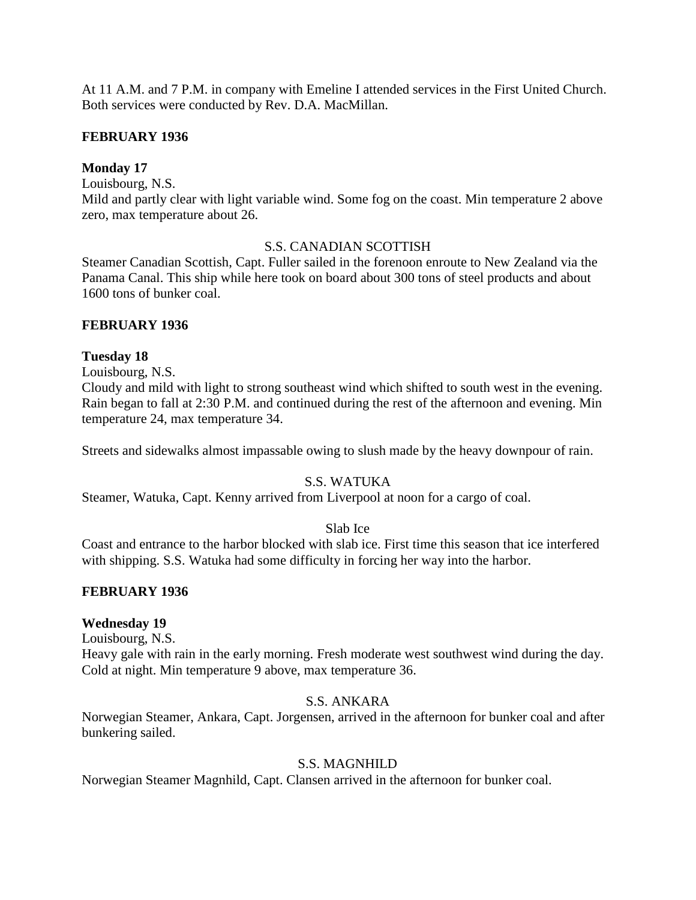At 11 A.M. and 7 P.M. in company with Emeline I attended services in the First United Church. Both services were conducted by Rev. D.A. MacMillan.

### **FEBRUARY 1936**

### **Monday 17**

Louisbourg, N.S.

Mild and partly clear with light variable wind. Some fog on the coast. Min temperature 2 above zero, max temperature about 26.

### S.S. CANADIAN SCOTTISH

Steamer Canadian Scottish, Capt. Fuller sailed in the forenoon enroute to New Zealand via the Panama Canal. This ship while here took on board about 300 tons of steel products and about 1600 tons of bunker coal.

### **FEBRUARY 1936**

### **Tuesday 18**

Louisbourg, N.S.

Cloudy and mild with light to strong southeast wind which shifted to south west in the evening. Rain began to fall at 2:30 P.M. and continued during the rest of the afternoon and evening. Min temperature 24, max temperature 34.

Streets and sidewalks almost impassable owing to slush made by the heavy downpour of rain.

## S.S. WATUKA

Steamer, Watuka, Capt. Kenny arrived from Liverpool at noon for a cargo of coal.

### Slab Ice

Coast and entrance to the harbor blocked with slab ice. First time this season that ice interfered with shipping. S.S. Watuka had some difficulty in forcing her way into the harbor.

### **FEBRUARY 1936**

### **Wednesday 19**

Louisbourg, N.S.

Heavy gale with rain in the early morning. Fresh moderate west southwest wind during the day. Cold at night. Min temperature 9 above, max temperature 36.

### S.S. ANKARA

Norwegian Steamer, Ankara, Capt. Jorgensen, arrived in the afternoon for bunker coal and after bunkering sailed.

### S.S. MAGNHILD

Norwegian Steamer Magnhild, Capt. Clansen arrived in the afternoon for bunker coal.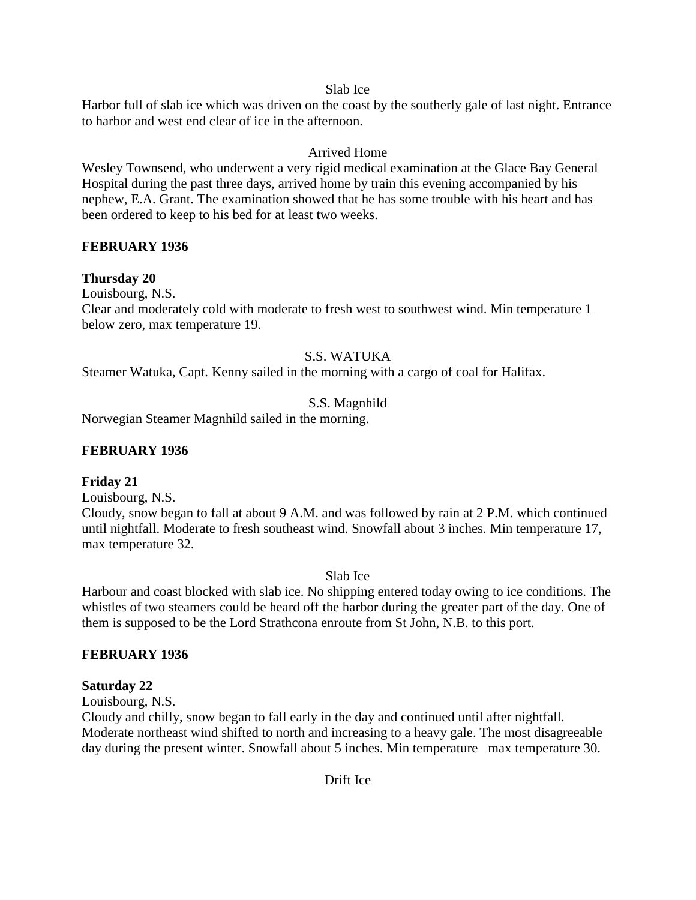### Slab Ice

Harbor full of slab ice which was driven on the coast by the southerly gale of last night. Entrance to harbor and west end clear of ice in the afternoon.

# Arrived Home

Wesley Townsend, who underwent a very rigid medical examination at the Glace Bay General Hospital during the past three days, arrived home by train this evening accompanied by his nephew, E.A. Grant. The examination showed that he has some trouble with his heart and has been ordered to keep to his bed for at least two weeks.

## **FEBRUARY 1936**

## **Thursday 20**

Louisbourg, N.S.

Clear and moderately cold with moderate to fresh west to southwest wind. Min temperature 1 below zero, max temperature 19.

# S.S. WATUKA

Steamer Watuka, Capt. Kenny sailed in the morning with a cargo of coal for Halifax.

# S.S. Magnhild

Norwegian Steamer Magnhild sailed in the morning.

# **FEBRUARY 1936**

## **Friday 21**

Louisbourg, N.S.

Cloudy, snow began to fall at about 9 A.M. and was followed by rain at 2 P.M. which continued until nightfall. Moderate to fresh southeast wind. Snowfall about 3 inches. Min temperature 17, max temperature 32.

Slab Ice

Harbour and coast blocked with slab ice. No shipping entered today owing to ice conditions. The whistles of two steamers could be heard off the harbor during the greater part of the day. One of them is supposed to be the Lord Strathcona enroute from St John, N.B. to this port.

## **FEBRUARY 1936**

## **Saturday 22**

Louisbourg, N.S.

Cloudy and chilly, snow began to fall early in the day and continued until after nightfall. Moderate northeast wind shifted to north and increasing to a heavy gale. The most disagreeable day during the present winter. Snowfall about 5 inches. Min temperature max temperature 30.

Drift Ice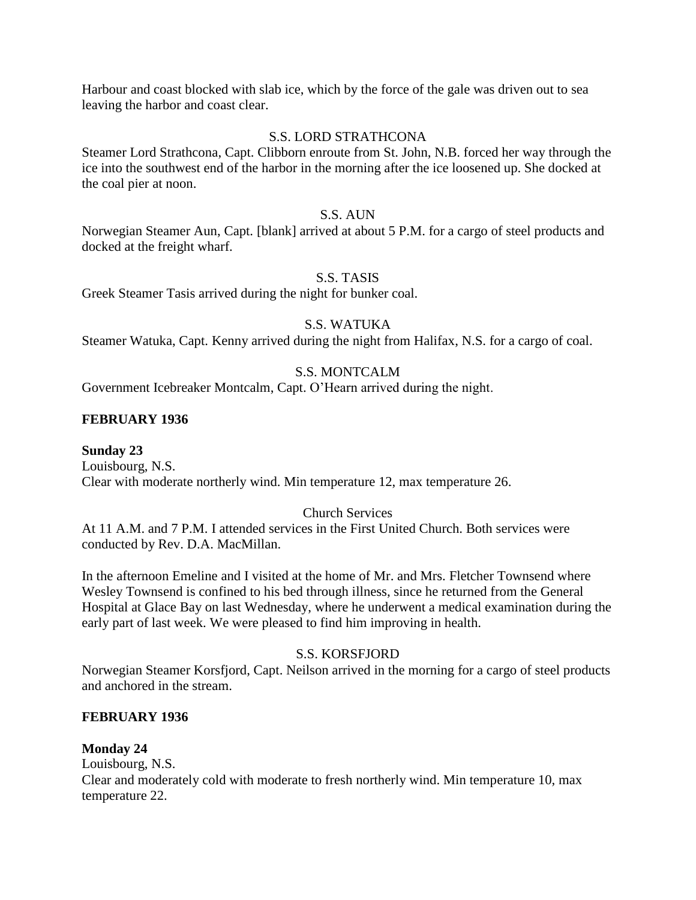Harbour and coast blocked with slab ice, which by the force of the gale was driven out to sea leaving the harbor and coast clear.

### S.S. LORD STRATHCONA

Steamer Lord Strathcona, Capt. Clibborn enroute from St. John, N.B. forced her way through the ice into the southwest end of the harbor in the morning after the ice loosened up. She docked at the coal pier at noon.

### S.S. AUN

Norwegian Steamer Aun, Capt. [blank] arrived at about 5 P.M. for a cargo of steel products and docked at the freight wharf.

### S.S. TASIS

Greek Steamer Tasis arrived during the night for bunker coal.

### S.S. WATUKA

Steamer Watuka, Capt. Kenny arrived during the night from Halifax, N.S. for a cargo of coal.

## S.S. MONTCALM

Government Icebreaker Montcalm, Capt. O'Hearn arrived during the night.

## **FEBRUARY 1936**

### **Sunday 23**

Louisbourg, N.S. Clear with moderate northerly wind. Min temperature 12, max temperature 26.

### Church Services

At 11 A.M. and 7 P.M. I attended services in the First United Church. Both services were conducted by Rev. D.A. MacMillan.

In the afternoon Emeline and I visited at the home of Mr. and Mrs. Fletcher Townsend where Wesley Townsend is confined to his bed through illness, since he returned from the General Hospital at Glace Bay on last Wednesday, where he underwent a medical examination during the early part of last week. We were pleased to find him improving in health.

### S.S. KORSFJORD

Norwegian Steamer Korsfjord, Capt. Neilson arrived in the morning for a cargo of steel products and anchored in the stream.

### **FEBRUARY 1936**

## **Monday 24**

Louisbourg, N.S. Clear and moderately cold with moderate to fresh northerly wind. Min temperature 10, max temperature 22.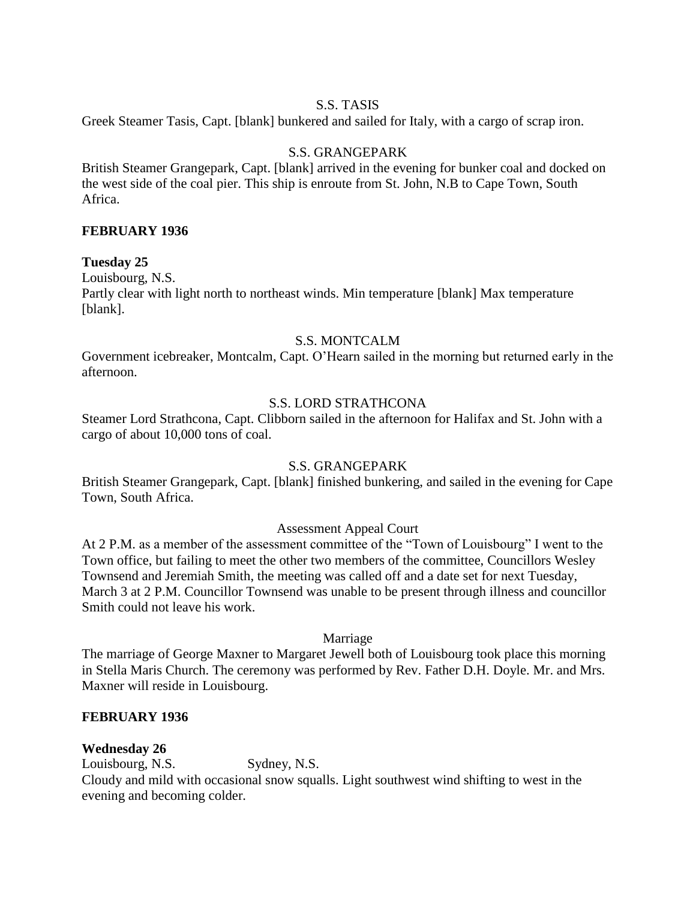### S.S. TASIS

Greek Steamer Tasis, Capt. [blank] bunkered and sailed for Italy, with a cargo of scrap iron.

### S.S. GRANGEPARK

British Steamer Grangepark, Capt. [blank] arrived in the evening for bunker coal and docked on the west side of the coal pier. This ship is enroute from St. John, N.B to Cape Town, South Africa.

### **FEBRUARY 1936**

### **Tuesday 25**

Louisbourg, N.S. Partly clear with light north to northeast winds. Min temperature [blank] Max temperature [blank].

## S.S. MONTCALM

Government icebreaker, Montcalm, Capt. O'Hearn sailed in the morning but returned early in the afternoon.

## S.S. LORD STRATHCONA

Steamer Lord Strathcona, Capt. Clibborn sailed in the afternoon for Halifax and St. John with a cargo of about 10,000 tons of coal.

### S.S. GRANGEPARK

British Steamer Grangepark, Capt. [blank] finished bunkering, and sailed in the evening for Cape Town, South Africa.

### Assessment Appeal Court

At 2 P.M. as a member of the assessment committee of the "Town of Louisbourg" I went to the Town office, but failing to meet the other two members of the committee, Councillors Wesley Townsend and Jeremiah Smith, the meeting was called off and a date set for next Tuesday, March 3 at 2 P.M. Councillor Townsend was unable to be present through illness and councillor Smith could not leave his work.

### Marriage

The marriage of George Maxner to Margaret Jewell both of Louisbourg took place this morning in Stella Maris Church. The ceremony was performed by Rev. Father D.H. Doyle. Mr. and Mrs. Maxner will reside in Louisbourg.

### **FEBRUARY 1936**

## **Wednesday 26**

Louisbourg, N.S. Sydney, N.S. Cloudy and mild with occasional snow squalls. Light southwest wind shifting to west in the evening and becoming colder.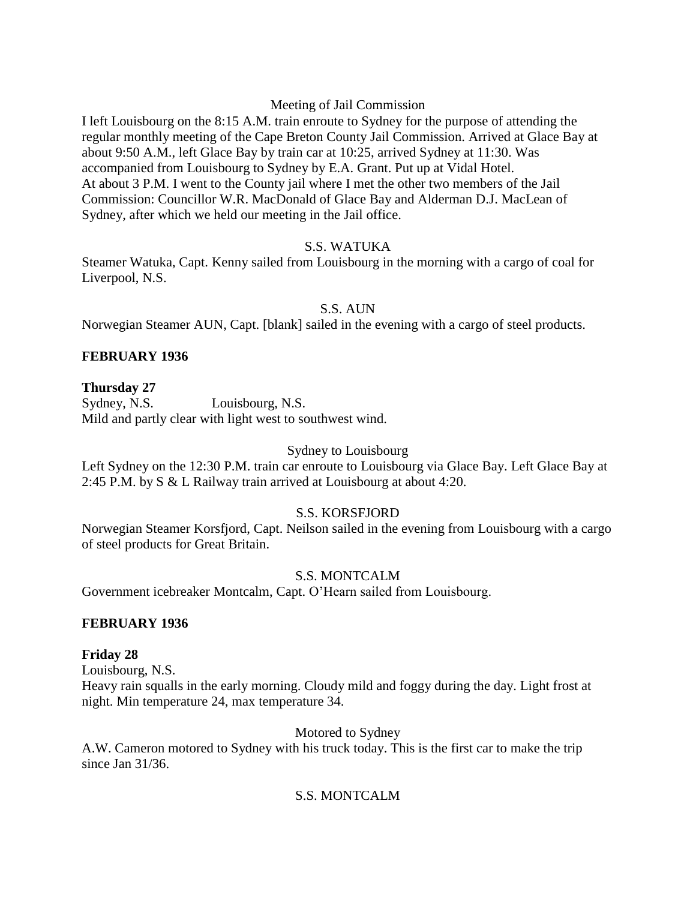### Meeting of Jail Commission

I left Louisbourg on the 8:15 A.M. train enroute to Sydney for the purpose of attending the regular monthly meeting of the Cape Breton County Jail Commission. Arrived at Glace Bay at about 9:50 A.M., left Glace Bay by train car at 10:25, arrived Sydney at 11:30. Was accompanied from Louisbourg to Sydney by E.A. Grant. Put up at Vidal Hotel. At about 3 P.M. I went to the County jail where I met the other two members of the Jail Commission: Councillor W.R. MacDonald of Glace Bay and Alderman D.J. MacLean of Sydney, after which we held our meeting in the Jail office.

### S.S. WATUKA

Steamer Watuka, Capt. Kenny sailed from Louisbourg in the morning with a cargo of coal for Liverpool, N.S.

### S.S. AUN

Norwegian Steamer AUN, Capt. [blank] sailed in the evening with a cargo of steel products.

## **FEBRUARY 1936**

### **Thursday 27**

Sydney, N.S. Louisbourg, N.S. Mild and partly clear with light west to southwest wind.

### Sydney to Louisbourg

Left Sydney on the 12:30 P.M. train car enroute to Louisbourg via Glace Bay. Left Glace Bay at 2:45 P.M. by S & L Railway train arrived at Louisbourg at about 4:20.

## S.S. KORSFJORD

Norwegian Steamer Korsfjord, Capt. Neilson sailed in the evening from Louisbourg with a cargo of steel products for Great Britain.

## S.S. MONTCALM

Government icebreaker Montcalm, Capt. O'Hearn sailed from Louisbourg.

### **FEBRUARY 1936**

### **Friday 28**

Louisbourg, N.S. Heavy rain squalls in the early morning. Cloudy mild and foggy during the day. Light frost at night. Min temperature 24, max temperature 34.

Motored to Sydney

A.W. Cameron motored to Sydney with his truck today. This is the first car to make the trip since Jan 31/36.

## S.S. MONTCALM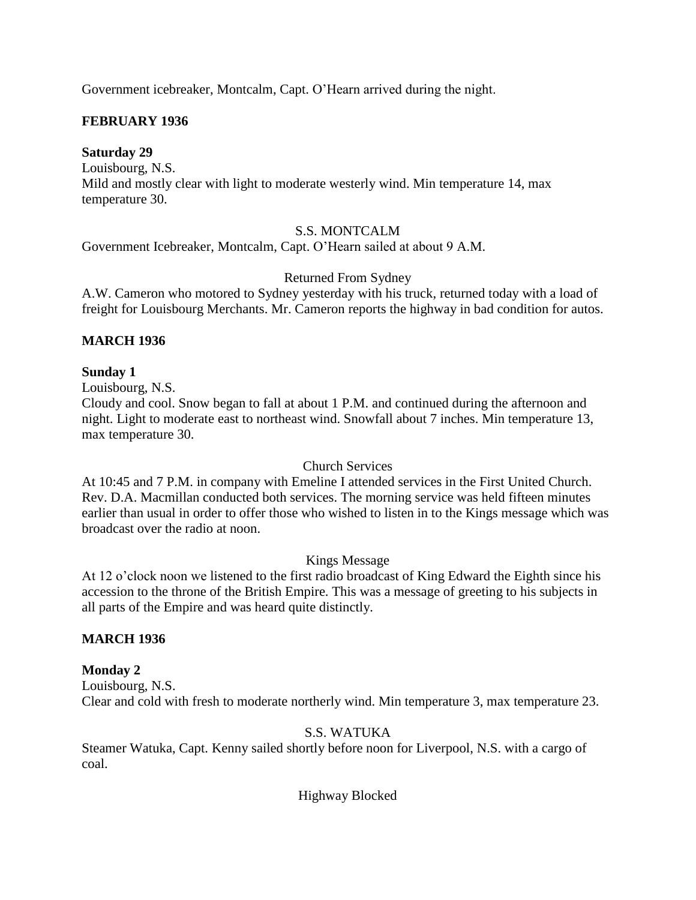Government icebreaker, Montcalm, Capt. O'Hearn arrived during the night.

## **FEBRUARY 1936**

### **Saturday 29**

Louisbourg, N.S. Mild and mostly clear with light to moderate westerly wind. Min temperature 14, max temperature 30.

### S.S. MONTCALM

Government Icebreaker, Montcalm, Capt. O'Hearn sailed at about 9 A.M.

### Returned From Sydney

A.W. Cameron who motored to Sydney yesterday with his truck, returned today with a load of freight for Louisbourg Merchants. Mr. Cameron reports the highway in bad condition for autos.

### **MARCH 1936**

### **Sunday 1**

Louisbourg, N.S.

Cloudy and cool. Snow began to fall at about 1 P.M. and continued during the afternoon and night. Light to moderate east to northeast wind. Snowfall about 7 inches. Min temperature 13, max temperature 30.

### Church Services

At 10:45 and 7 P.M. in company with Emeline I attended services in the First United Church. Rev. D.A. Macmillan conducted both services. The morning service was held fifteen minutes earlier than usual in order to offer those who wished to listen in to the Kings message which was broadcast over the radio at noon.

## Kings Message

At 12 o'clock noon we listened to the first radio broadcast of King Edward the Eighth since his accession to the throne of the British Empire. This was a message of greeting to his subjects in all parts of the Empire and was heard quite distinctly.

## **MARCH 1936**

## **Monday 2**

Louisbourg, N.S. Clear and cold with fresh to moderate northerly wind. Min temperature 3, max temperature 23.

## S.S. WATUKA

Steamer Watuka, Capt. Kenny sailed shortly before noon for Liverpool, N.S. with a cargo of coal.

Highway Blocked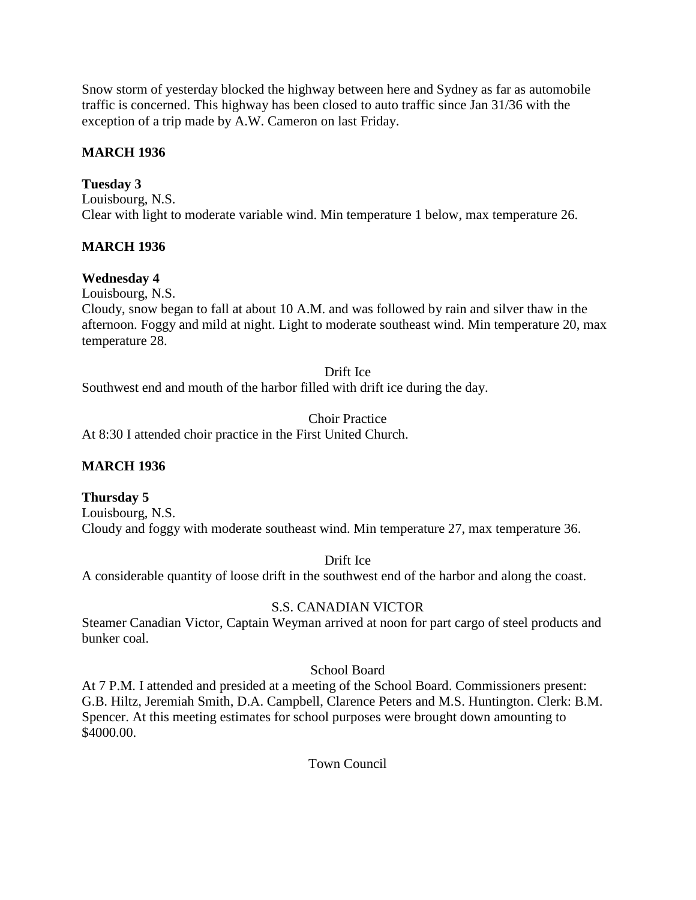Snow storm of yesterday blocked the highway between here and Sydney as far as automobile traffic is concerned. This highway has been closed to auto traffic since Jan 31/36 with the exception of a trip made by A.W. Cameron on last Friday.

# **MARCH 1936**

# **Tuesday 3**

Louisbourg, N.S. Clear with light to moderate variable wind. Min temperature 1 below, max temperature 26.

# **MARCH 1936**

# **Wednesday 4**

Louisbourg, N.S.

Cloudy, snow began to fall at about 10 A.M. and was followed by rain and silver thaw in the afternoon. Foggy and mild at night. Light to moderate southeast wind. Min temperature 20, max temperature 28.

Drift Ice

Southwest end and mouth of the harbor filled with drift ice during the day.

Choir Practice

At 8:30 I attended choir practice in the First United Church.

## **MARCH 1936**

## **Thursday 5**

Louisbourg, N.S. Cloudy and foggy with moderate southeast wind. Min temperature 27, max temperature 36.

Drift Ice

A considerable quantity of loose drift in the southwest end of the harbor and along the coast.

## S.S. CANADIAN VICTOR

Steamer Canadian Victor, Captain Weyman arrived at noon for part cargo of steel products and bunker coal.

## School Board

At 7 P.M. I attended and presided at a meeting of the School Board. Commissioners present: G.B. Hiltz, Jeremiah Smith, D.A. Campbell, Clarence Peters and M.S. Huntington. Clerk: B.M. Spencer. At this meeting estimates for school purposes were brought down amounting to \$4000.00.

Town Council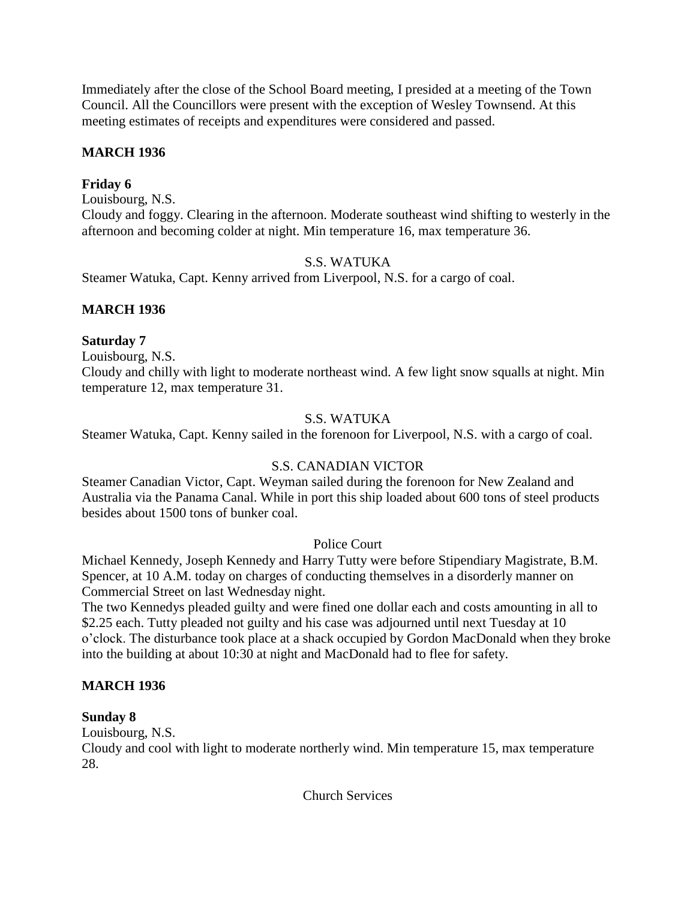Immediately after the close of the School Board meeting, I presided at a meeting of the Town Council. All the Councillors were present with the exception of Wesley Townsend. At this meeting estimates of receipts and expenditures were considered and passed.

### **MARCH 1936**

### **Friday 6**

Louisbourg, N.S.

Cloudy and foggy. Clearing in the afternoon. Moderate southeast wind shifting to westerly in the afternoon and becoming colder at night. Min temperature 16, max temperature 36.

### S.S. WATUKA

Steamer Watuka, Capt. Kenny arrived from Liverpool, N.S. for a cargo of coal.

### **MARCH 1936**

#### **Saturday 7**

Louisbourg, N.S.

Cloudy and chilly with light to moderate northeast wind. A few light snow squalls at night. Min temperature 12, max temperature 31.

### S.S. WATUKA

Steamer Watuka, Capt. Kenny sailed in the forenoon for Liverpool, N.S. with a cargo of coal.

### S.S. CANADIAN VICTOR

Steamer Canadian Victor, Capt. Weyman sailed during the forenoon for New Zealand and Australia via the Panama Canal. While in port this ship loaded about 600 tons of steel products besides about 1500 tons of bunker coal.

### Police Court

Michael Kennedy, Joseph Kennedy and Harry Tutty were before Stipendiary Magistrate, B.M. Spencer, at 10 A.M. today on charges of conducting themselves in a disorderly manner on Commercial Street on last Wednesday night.

The two Kennedys pleaded guilty and were fined one dollar each and costs amounting in all to \$2.25 each. Tutty pleaded not guilty and his case was adjourned until next Tuesday at 10 o'clock. The disturbance took place at a shack occupied by Gordon MacDonald when they broke into the building at about 10:30 at night and MacDonald had to flee for safety.

### **MARCH 1936**

### **Sunday 8**

Louisbourg, N.S.

Cloudy and cool with light to moderate northerly wind. Min temperature 15, max temperature 28.

Church Services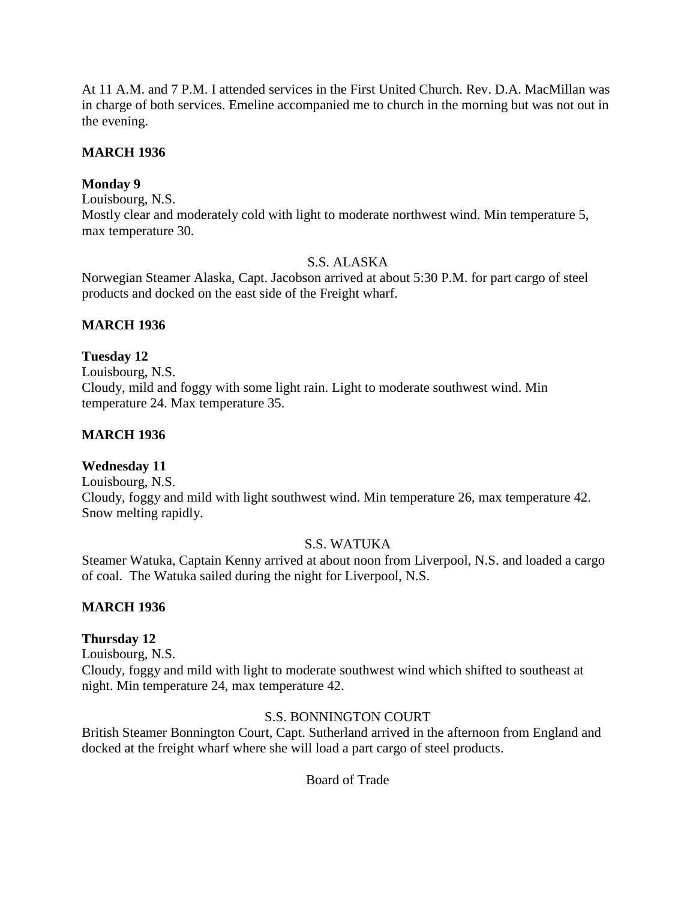At 11 A.M. and 7 P.M. I attended services in the First United Church. Rev. D.A. MacMillan was in charge of both services. Emeline accompanied me to church in the morning but was not out in the evening.

### **MARCH 1936**

### **Monday 9**

Louisbourg, N.S.

Mostly clear and moderately cold with light to moderate northwest wind. Min temperature 5, max temperature 30.

### S.S. ALASKA

Norwegian Steamer Alaska, Capt. Jacobson arrived at about 5:30 P.M. for part cargo of steel products and docked on the east side of the Freight wharf.

### **MARCH 1936**

### **Tuesday 12**

Louisbourg, N.S. Cloudy, mild and foggy with some light rain. Light to moderate southwest wind. Min temperature 24. Max temperature 35.

### **MARCH 1936**

## **Wednesday 11**

Louisbourg, N.S. Cloudy, foggy and mild with light southwest wind. Min temperature 26, max temperature 42. Snow melting rapidly.

### S.S. WATUKA

Steamer Watuka, Captain Kenny arrived at about noon from Liverpool, N.S. and loaded a cargo of coal. The Watuka sailed during the night for Liverpool, N.S.

### **MARCH 1936**

### **Thursday 12**

Louisbourg, N.S.

Cloudy, foggy and mild with light to moderate southwest wind which shifted to southeast at night. Min temperature 24, max temperature 42.

### S.S. BONNINGTON COURT

British Steamer Bonnington Court, Capt. Sutherland arrived in the afternoon from England and docked at the freight wharf where she will load a part cargo of steel products.

## Board of Trade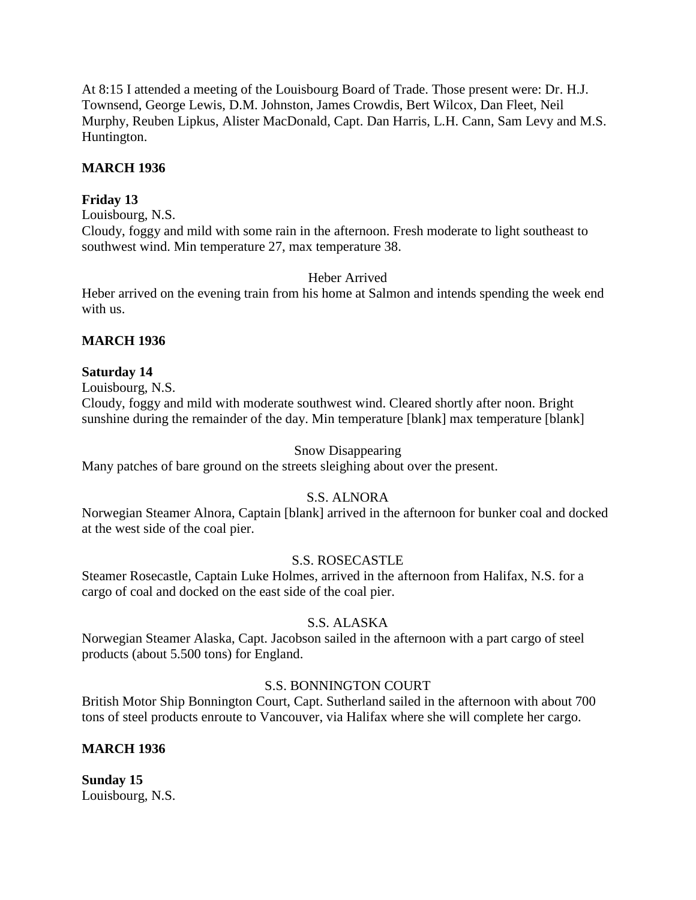At 8:15 I attended a meeting of the Louisbourg Board of Trade. Those present were: Dr. H.J. Townsend, George Lewis, D.M. Johnston, James Crowdis, Bert Wilcox, Dan Fleet, Neil Murphy, Reuben Lipkus, Alister MacDonald, Capt. Dan Harris, L.H. Cann, Sam Levy and M.S. Huntington.

### **MARCH 1936**

### **Friday 13**

Louisbourg, N.S.

Cloudy, foggy and mild with some rain in the afternoon. Fresh moderate to light southeast to southwest wind. Min temperature 27, max temperature 38.

### Heber Arrived

Heber arrived on the evening train from his home at Salmon and intends spending the week end with us.

### **MARCH 1936**

### **Saturday 14**

Louisbourg, N.S.

Cloudy, foggy and mild with moderate southwest wind. Cleared shortly after noon. Bright sunshine during the remainder of the day. Min temperature [blank] max temperature [blank]

### Snow Disappearing

Many patches of bare ground on the streets sleighing about over the present.

### S.S. ALNORA

Norwegian Steamer Alnora, Captain [blank] arrived in the afternoon for bunker coal and docked at the west side of the coal pier.

### S.S. ROSECASTLE

Steamer Rosecastle, Captain Luke Holmes, arrived in the afternoon from Halifax, N.S. for a cargo of coal and docked on the east side of the coal pier.

### S.S. ALASKA

Norwegian Steamer Alaska, Capt. Jacobson sailed in the afternoon with a part cargo of steel products (about 5.500 tons) for England.

### S.S. BONNINGTON COURT

British Motor Ship Bonnington Court, Capt. Sutherland sailed in the afternoon with about 700 tons of steel products enroute to Vancouver, via Halifax where she will complete her cargo.

### **MARCH 1936**

**Sunday 15** Louisbourg, N.S.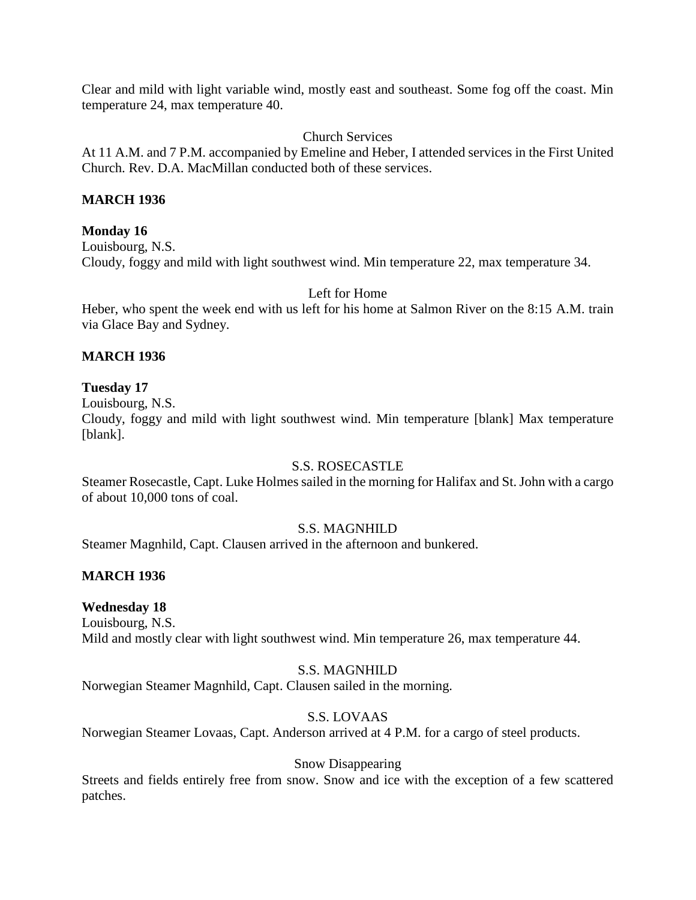Clear and mild with light variable wind, mostly east and southeast. Some fog off the coast. Min temperature 24, max temperature 40.

Church Services

At 11 A.M. and 7 P.M. accompanied by Emeline and Heber, I attended services in the First United Church. Rev. D.A. MacMillan conducted both of these services.

### **MARCH 1936**

### **Monday 16**

Louisbourg, N.S. Cloudy, foggy and mild with light southwest wind. Min temperature 22, max temperature 34.

Left for Home

Heber, who spent the week end with us left for his home at Salmon River on the 8:15 A.M. train via Glace Bay and Sydney.

### **MARCH 1936**

### **Tuesday 17**

Louisbourg, N.S.

Cloudy, foggy and mild with light southwest wind. Min temperature [blank] Max temperature [blank].

### S.S. ROSECASTLE

Steamer Rosecastle, Capt. Luke Holmes sailed in the morning for Halifax and St. John with a cargo of about 10,000 tons of coal.

### S.S. MAGNHILD

Steamer Magnhild, Capt. Clausen arrived in the afternoon and bunkered.

### **MARCH 1936**

### **Wednesday 18**

Louisbourg, N.S. Mild and mostly clear with light southwest wind. Min temperature 26, max temperature 44.

## S.S. MAGNHILD

Norwegian Steamer Magnhild, Capt. Clausen sailed in the morning.

### S.S. LOVAAS

Norwegian Steamer Lovaas, Capt. Anderson arrived at 4 P.M. for a cargo of steel products.

### Snow Disappearing

Streets and fields entirely free from snow. Snow and ice with the exception of a few scattered patches.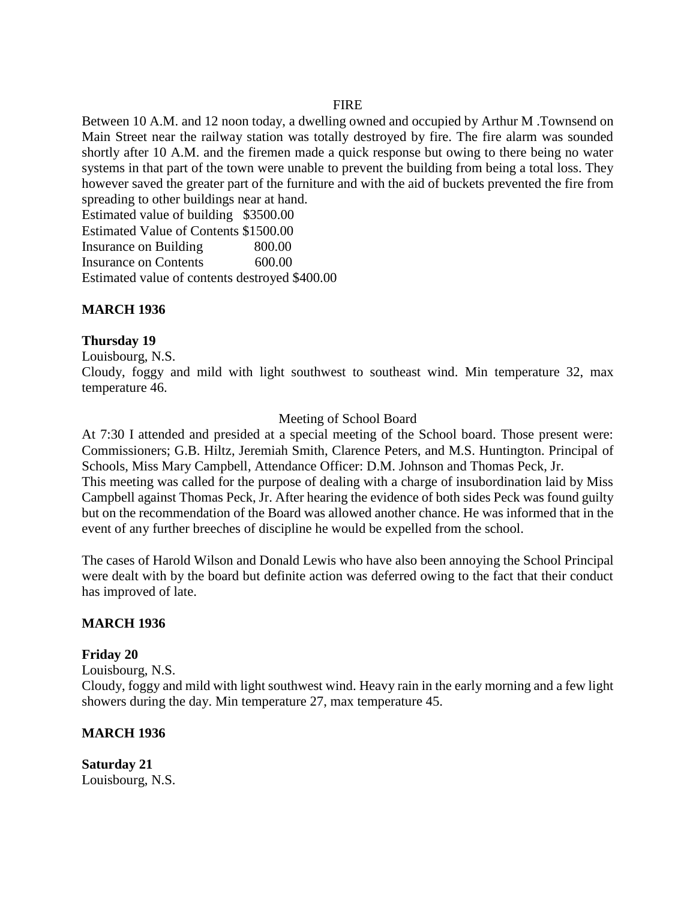#### **FIRE**

Between 10 A.M. and 12 noon today, a dwelling owned and occupied by Arthur M .Townsend on Main Street near the railway station was totally destroyed by fire. The fire alarm was sounded shortly after 10 A.M. and the firemen made a quick response but owing to there being no water systems in that part of the town were unable to prevent the building from being a total loss. They however saved the greater part of the furniture and with the aid of buckets prevented the fire from spreading to other buildings near at hand.

Estimated value of building \$3500.00 Estimated Value of Contents \$1500.00 Insurance on Building 800.00 Insurance on Contents 600.00 Estimated value of contents destroyed \$400.00

## **MARCH 1936**

### **Thursday 19**

Louisbourg, N.S.

Cloudy, foggy and mild with light southwest to southeast wind. Min temperature 32, max temperature 46.

### Meeting of School Board

At 7:30 I attended and presided at a special meeting of the School board. Those present were: Commissioners; G.B. Hiltz, Jeremiah Smith, Clarence Peters, and M.S. Huntington. Principal of Schools, Miss Mary Campbell, Attendance Officer: D.M. Johnson and Thomas Peck, Jr. This meeting was called for the purpose of dealing with a charge of insubordination laid by Miss Campbell against Thomas Peck, Jr. After hearing the evidence of both sides Peck was found guilty but on the recommendation of the Board was allowed another chance. He was informed that in the event of any further breeches of discipline he would be expelled from the school.

The cases of Harold Wilson and Donald Lewis who have also been annoying the School Principal were dealt with by the board but definite action was deferred owing to the fact that their conduct has improved of late.

### **MARCH 1936**

#### **Friday 20**

Louisbourg, N.S.

Cloudy, foggy and mild with light southwest wind. Heavy rain in the early morning and a few light showers during the day. Min temperature 27, max temperature 45.

### **MARCH 1936**

**Saturday 21** Louisbourg, N.S.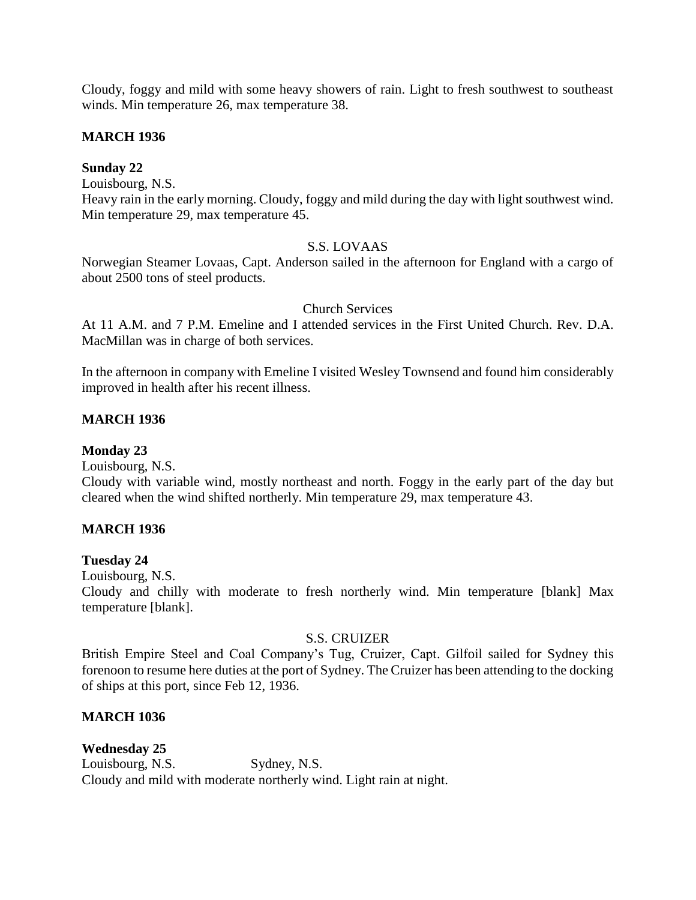Cloudy, foggy and mild with some heavy showers of rain. Light to fresh southwest to southeast winds. Min temperature 26, max temperature 38.

### **MARCH 1936**

### **Sunday 22**

Louisbourg, N.S.

Heavy rain in the early morning. Cloudy, foggy and mild during the day with light southwest wind. Min temperature 29, max temperature 45.

## S.S. LOVAAS

Norwegian Steamer Lovaas, Capt. Anderson sailed in the afternoon for England with a cargo of about 2500 tons of steel products.

### Church Services

At 11 A.M. and 7 P.M. Emeline and I attended services in the First United Church. Rev. D.A. MacMillan was in charge of both services.

In the afternoon in company with Emeline I visited Wesley Townsend and found him considerably improved in health after his recent illness.

### **MARCH 1936**

**Monday 23**

Louisbourg, N.S.

Cloudy with variable wind, mostly northeast and north. Foggy in the early part of the day but cleared when the wind shifted northerly. Min temperature 29, max temperature 43.

## **MARCH 1936**

### **Tuesday 24**

Louisbourg, N.S.

Cloudy and chilly with moderate to fresh northerly wind. Min temperature [blank] Max temperature [blank].

### S.S. CRUIZER

British Empire Steel and Coal Company's Tug, Cruizer, Capt. Gilfoil sailed for Sydney this forenoon to resume here duties at the port of Sydney. The Cruizer has been attending to the docking of ships at this port, since Feb 12, 1936.

### **MARCH 1036**

**Wednesday 25** Louisbourg, N.S. Sydney, N.S. Cloudy and mild with moderate northerly wind. Light rain at night.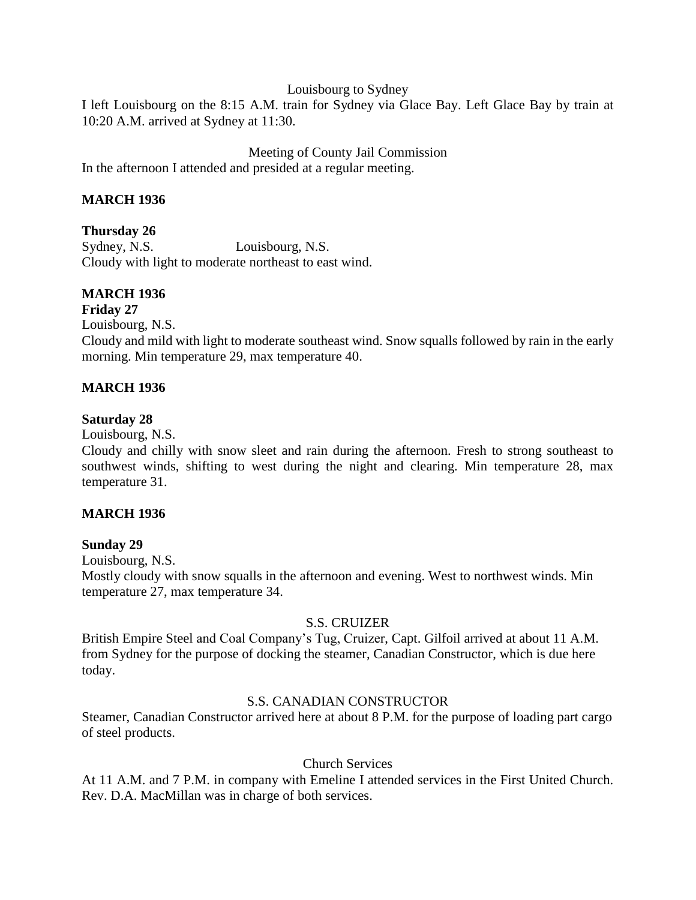Louisbourg to Sydney

I left Louisbourg on the 8:15 A.M. train for Sydney via Glace Bay. Left Glace Bay by train at 10:20 A.M. arrived at Sydney at 11:30.

Meeting of County Jail Commission In the afternoon I attended and presided at a regular meeting.

## **MARCH 1936**

### **Thursday 26**

Sydney, N.S. Louisbourg, N.S. Cloudy with light to moderate northeast to east wind.

# **MARCH 1936**

### **Friday 27**

Louisbourg, N.S. Cloudy and mild with light to moderate southeast wind. Snow squalls followed by rain in the early morning. Min temperature 29, max temperature 40.

### **MARCH 1936**

### **Saturday 28**

Louisbourg, N.S.

Cloudy and chilly with snow sleet and rain during the afternoon. Fresh to strong southeast to southwest winds, shifting to west during the night and clearing. Min temperature 28, max temperature 31.

### **MARCH 1936**

### **Sunday 29**

Louisbourg, N.S. Mostly cloudy with snow squalls in the afternoon and evening. West to northwest winds. Min temperature 27, max temperature 34.

### S.S. CRUIZER

British Empire Steel and Coal Company's Tug, Cruizer, Capt. Gilfoil arrived at about 11 A.M. from Sydney for the purpose of docking the steamer, Canadian Constructor, which is due here today.

## S.S. CANADIAN CONSTRUCTOR

Steamer, Canadian Constructor arrived here at about 8 P.M. for the purpose of loading part cargo of steel products.

### Church Services

At 11 A.M. and 7 P.M. in company with Emeline I attended services in the First United Church. Rev. D.A. MacMillan was in charge of both services.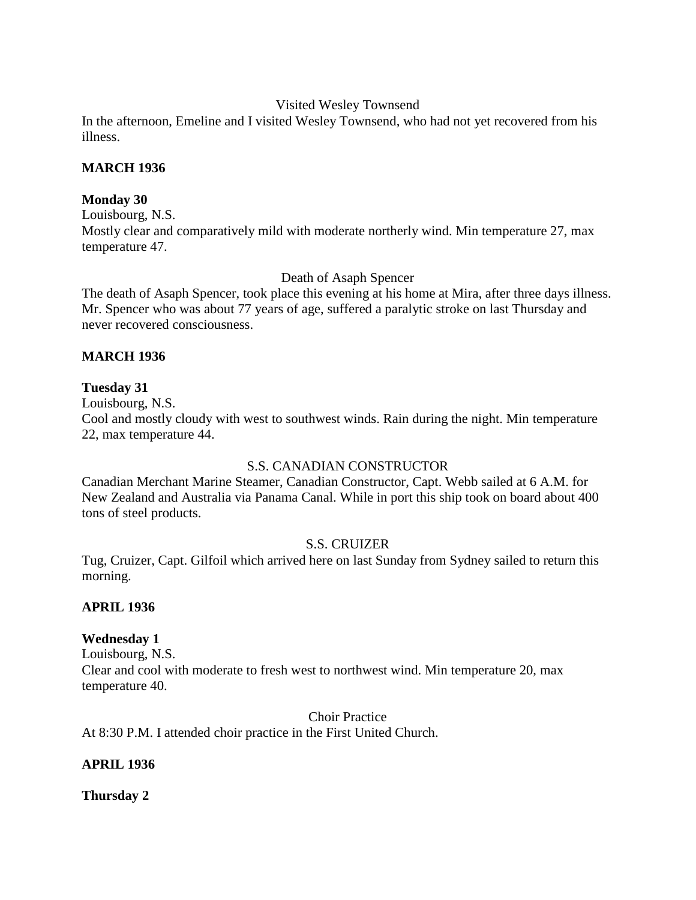### Visited Wesley Townsend

In the afternoon, Emeline and I visited Wesley Townsend, who had not yet recovered from his illness.

### **MARCH 1936**

### **Monday 30**

Louisbourg, N.S. Mostly clear and comparatively mild with moderate northerly wind. Min temperature 27, max temperature 47.

Death of Asaph Spencer

The death of Asaph Spencer, took place this evening at his home at Mira, after three days illness. Mr. Spencer who was about 77 years of age, suffered a paralytic stroke on last Thursday and never recovered consciousness.

### **MARCH 1936**

### **Tuesday 31**

Louisbourg, N.S.

Cool and mostly cloudy with west to southwest winds. Rain during the night. Min temperature 22, max temperature 44.

## S.S. CANADIAN CONSTRUCTOR

Canadian Merchant Marine Steamer, Canadian Constructor, Capt. Webb sailed at 6 A.M. for New Zealand and Australia via Panama Canal. While in port this ship took on board about 400 tons of steel products.

## S.S. CRUIZER

Tug, Cruizer, Capt. Gilfoil which arrived here on last Sunday from Sydney sailed to return this morning.

## **APRIL 1936**

## **Wednesday 1**

Louisbourg, N.S. Clear and cool with moderate to fresh west to northwest wind. Min temperature 20, max temperature 40.

Choir Practice

At 8:30 P.M. I attended choir practice in the First United Church.

## **APRIL 1936**

**Thursday 2**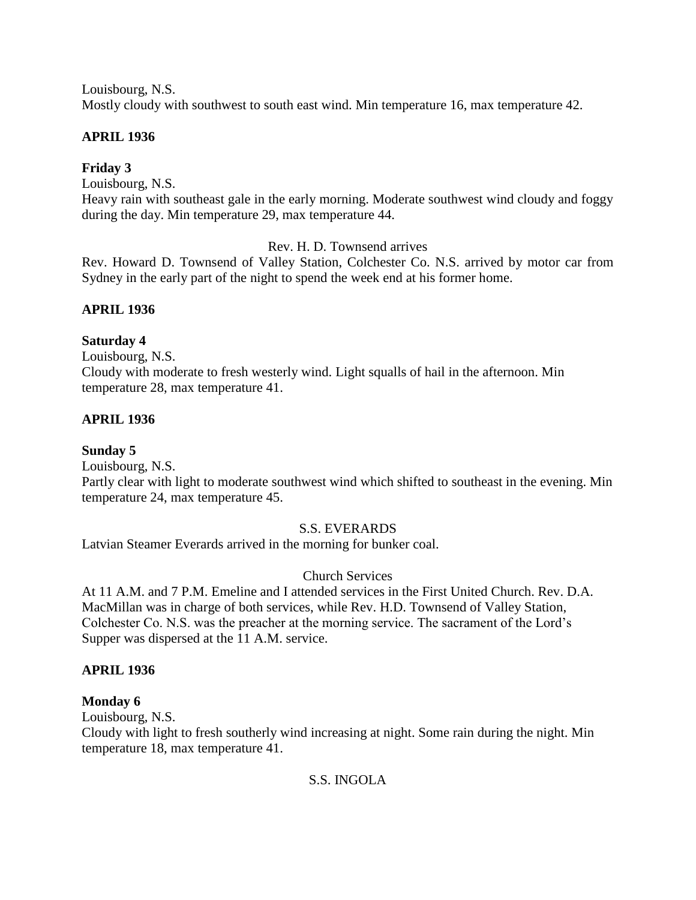Louisbourg, N.S. Mostly cloudy with southwest to south east wind. Min temperature 16, max temperature 42.

# **APRIL 1936**

# **Friday 3**

Louisbourg, N.S.

Heavy rain with southeast gale in the early morning. Moderate southwest wind cloudy and foggy during the day. Min temperature 29, max temperature 44.

Rev. H. D. Townsend arrives

Rev. Howard D. Townsend of Valley Station, Colchester Co. N.S. arrived by motor car from Sydney in the early part of the night to spend the week end at his former home.

## **APRIL 1936**

### **Saturday 4**

Louisbourg, N.S. Cloudy with moderate to fresh westerly wind. Light squalls of hail in the afternoon. Min temperature 28, max temperature 41.

## **APRIL 1936**

**Sunday 5**

Louisbourg, N.S.

Partly clear with light to moderate southwest wind which shifted to southeast in the evening. Min temperature 24, max temperature 45.

## S.S. EVERARDS

Latvian Steamer Everards arrived in the morning for bunker coal.

## Church Services

At 11 A.M. and 7 P.M. Emeline and I attended services in the First United Church. Rev. D.A. MacMillan was in charge of both services, while Rev. H.D. Townsend of Valley Station, Colchester Co. N.S. was the preacher at the morning service. The sacrament of the Lord's Supper was dispersed at the 11 A.M. service.

## **APRIL 1936**

## **Monday 6**

Louisbourg, N.S.

Cloudy with light to fresh southerly wind increasing at night. Some rain during the night. Min temperature 18, max temperature 41.

## S.S. INGOLA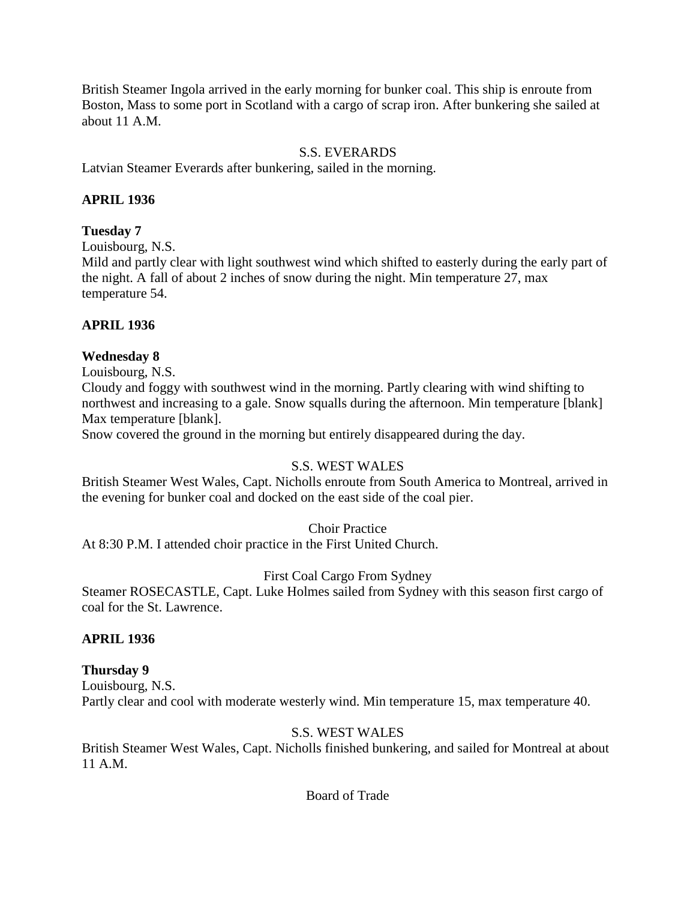British Steamer Ingola arrived in the early morning for bunker coal. This ship is enroute from Boston, Mass to some port in Scotland with a cargo of scrap iron. After bunkering she sailed at about 11 A.M.

### S.S. EVERARDS

Latvian Steamer Everards after bunkering, sailed in the morning.

### **APRIL 1936**

### **Tuesday 7**

Louisbourg, N.S.

Mild and partly clear with light southwest wind which shifted to easterly during the early part of the night. A fall of about 2 inches of snow during the night. Min temperature 27, max temperature 54.

### **APRIL 1936**

### **Wednesday 8**

Louisbourg, N.S. Cloudy and foggy with southwest wind in the morning. Partly clearing with wind shifting to northwest and increasing to a gale. Snow squalls during the afternoon. Min temperature [blank] Max temperature [blank].

Snow covered the ground in the morning but entirely disappeared during the day.

### S.S. WEST WALES

British Steamer West Wales, Capt. Nicholls enroute from South America to Montreal, arrived in the evening for bunker coal and docked on the east side of the coal pier.

### Choir Practice

At 8:30 P.M. I attended choir practice in the First United Church.

### First Coal Cargo From Sydney

Steamer ROSECASTLE, Capt. Luke Holmes sailed from Sydney with this season first cargo of coal for the St. Lawrence.

### **APRIL 1936**

## **Thursday 9**

Louisbourg, N.S. Partly clear and cool with moderate westerly wind. Min temperature 15, max temperature 40.

### S.S. WEST WALES

British Steamer West Wales, Capt. Nicholls finished bunkering, and sailed for Montreal at about 11 A.M.

Board of Trade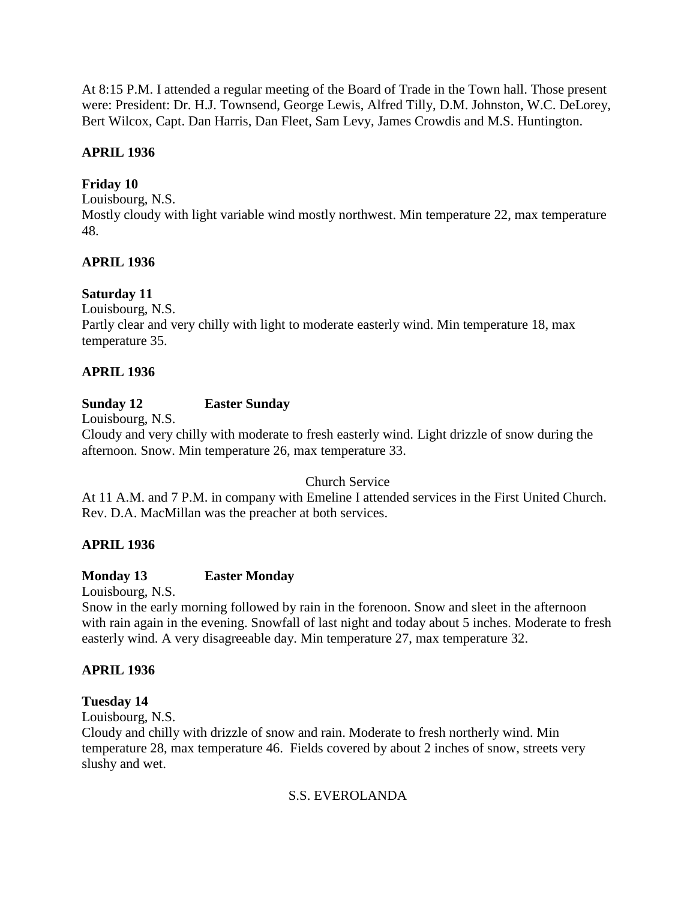At 8:15 P.M. I attended a regular meeting of the Board of Trade in the Town hall. Those present were: President: Dr. H.J. Townsend, George Lewis, Alfred Tilly, D.M. Johnston, W.C. DeLorey, Bert Wilcox, Capt. Dan Harris, Dan Fleet, Sam Levy, James Crowdis and M.S. Huntington.

# **APRIL 1936**

# **Friday 10**

Louisbourg, N.S.

Mostly cloudy with light variable wind mostly northwest. Min temperature 22, max temperature 48.

# **APRIL 1936**

# **Saturday 11**

Louisbourg, N.S.

Partly clear and very chilly with light to moderate easterly wind. Min temperature 18, max temperature 35.

# **APRIL 1936**

# **Sunday 12 Easter Sunday**

Louisbourg, N.S.

Cloudy and very chilly with moderate to fresh easterly wind. Light drizzle of snow during the afternoon. Snow. Min temperature 26, max temperature 33.

# Church Service

At 11 A.M. and 7 P.M. in company with Emeline I attended services in the First United Church. Rev. D.A. MacMillan was the preacher at both services.

# **APRIL 1936**

# **Monday 13 Easter Monday**

Louisbourg, N.S.

Snow in the early morning followed by rain in the forenoon. Snow and sleet in the afternoon with rain again in the evening. Snowfall of last night and today about 5 inches. Moderate to fresh easterly wind. A very disagreeable day. Min temperature 27, max temperature 32.

# **APRIL 1936**

# **Tuesday 14**

Louisbourg, N.S.

Cloudy and chilly with drizzle of snow and rain. Moderate to fresh northerly wind. Min temperature 28, max temperature 46. Fields covered by about 2 inches of snow, streets very slushy and wet.

# S.S. EVEROLANDA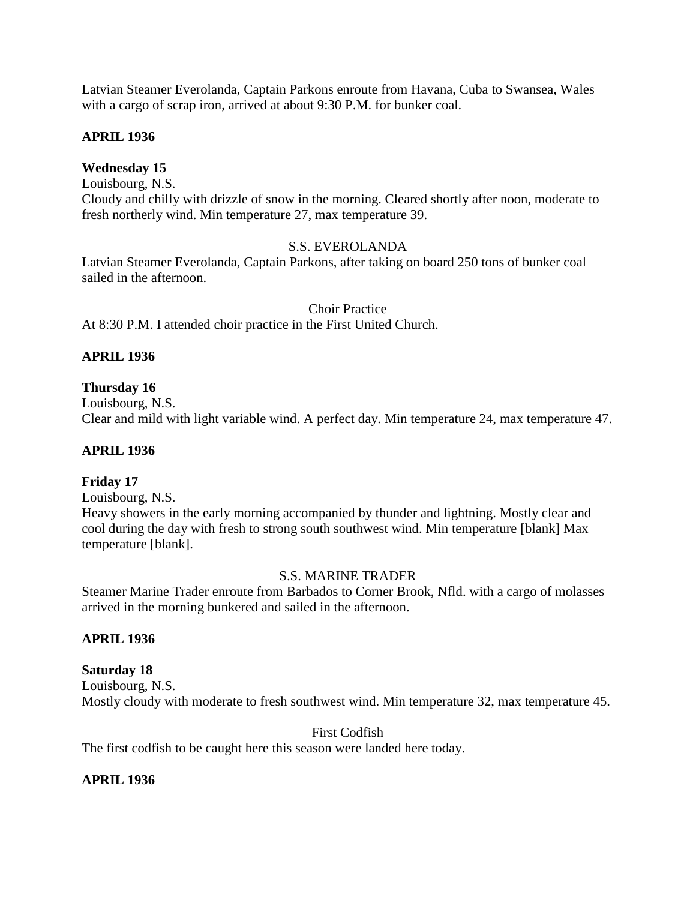Latvian Steamer Everolanda, Captain Parkons enroute from Havana, Cuba to Swansea, Wales with a cargo of scrap iron, arrived at about 9:30 P.M. for bunker coal.

### **APRIL 1936**

### **Wednesday 15**

Louisbourg, N.S.

Cloudy and chilly with drizzle of snow in the morning. Cleared shortly after noon, moderate to fresh northerly wind. Min temperature 27, max temperature 39.

### S.S. EVEROLANDA

Latvian Steamer Everolanda, Captain Parkons, after taking on board 250 tons of bunker coal sailed in the afternoon.

Choir Practice

At 8:30 P.M. I attended choir practice in the First United Church.

# **APRIL 1936**

### **Thursday 16**

Louisbourg, N.S. Clear and mild with light variable wind. A perfect day. Min temperature 24, max temperature 47.

#### **APRIL 1936**

#### **Friday 17**

Louisbourg, N.S.

Heavy showers in the early morning accompanied by thunder and lightning. Mostly clear and cool during the day with fresh to strong south southwest wind. Min temperature [blank] Max temperature [blank].

#### S.S. MARINE TRADER

Steamer Marine Trader enroute from Barbados to Corner Brook, Nfld. with a cargo of molasses arrived in the morning bunkered and sailed in the afternoon.

#### **APRIL 1936**

### **Saturday 18**

Louisbourg, N.S. Mostly cloudy with moderate to fresh southwest wind. Min temperature 32, max temperature 45.

First Codfish

The first codfish to be caught here this season were landed here today.

#### **APRIL 1936**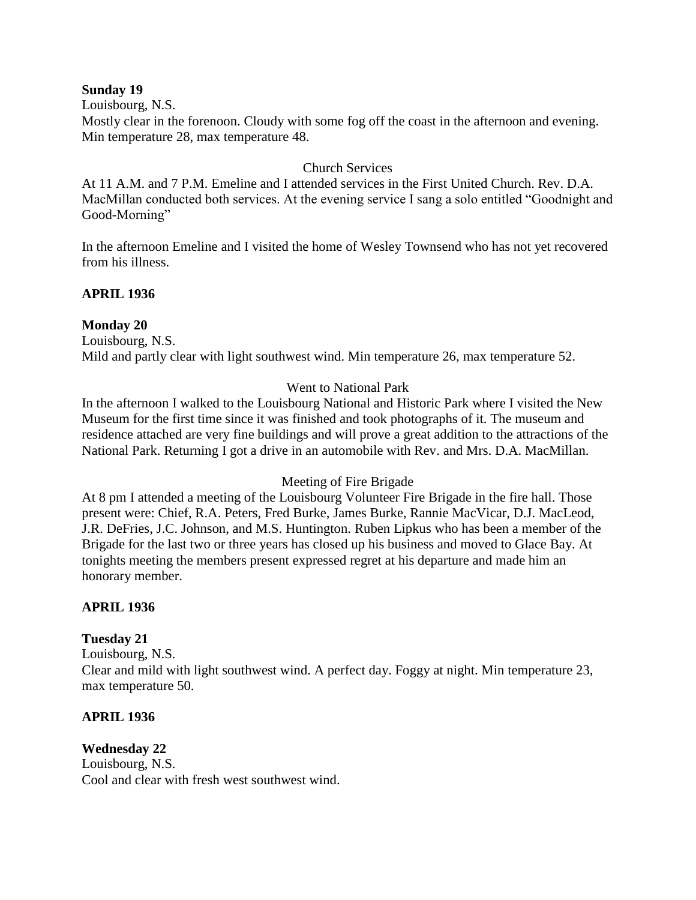#### **Sunday 19**

Louisbourg, N.S.

Mostly clear in the forenoon. Cloudy with some fog off the coast in the afternoon and evening. Min temperature 28, max temperature 48.

### Church Services

At 11 A.M. and 7 P.M. Emeline and I attended services in the First United Church. Rev. D.A. MacMillan conducted both services. At the evening service I sang a solo entitled "Goodnight and Good-Morning"

In the afternoon Emeline and I visited the home of Wesley Townsend who has not yet recovered from his illness.

# **APRIL 1936**

### **Monday 20**

Louisbourg, N.S. Mild and partly clear with light southwest wind. Min temperature 26, max temperature 52.

### Went to National Park

In the afternoon I walked to the Louisbourg National and Historic Park where I visited the New Museum for the first time since it was finished and took photographs of it. The museum and residence attached are very fine buildings and will prove a great addition to the attractions of the National Park. Returning I got a drive in an automobile with Rev. and Mrs. D.A. MacMillan.

#### Meeting of Fire Brigade

At 8 pm I attended a meeting of the Louisbourg Volunteer Fire Brigade in the fire hall. Those present were: Chief, R.A. Peters, Fred Burke, James Burke, Rannie MacVicar, D.J. MacLeod, J.R. DeFries, J.C. Johnson, and M.S. Huntington. Ruben Lipkus who has been a member of the Brigade for the last two or three years has closed up his business and moved to Glace Bay. At tonights meeting the members present expressed regret at his departure and made him an honorary member.

#### **APRIL 1936**

# **Tuesday 21**

Louisbourg, N.S. Clear and mild with light southwest wind. A perfect day. Foggy at night. Min temperature 23, max temperature 50.

#### **APRIL 1936**

#### **Wednesday 22** Louisbourg, N.S. Cool and clear with fresh west southwest wind.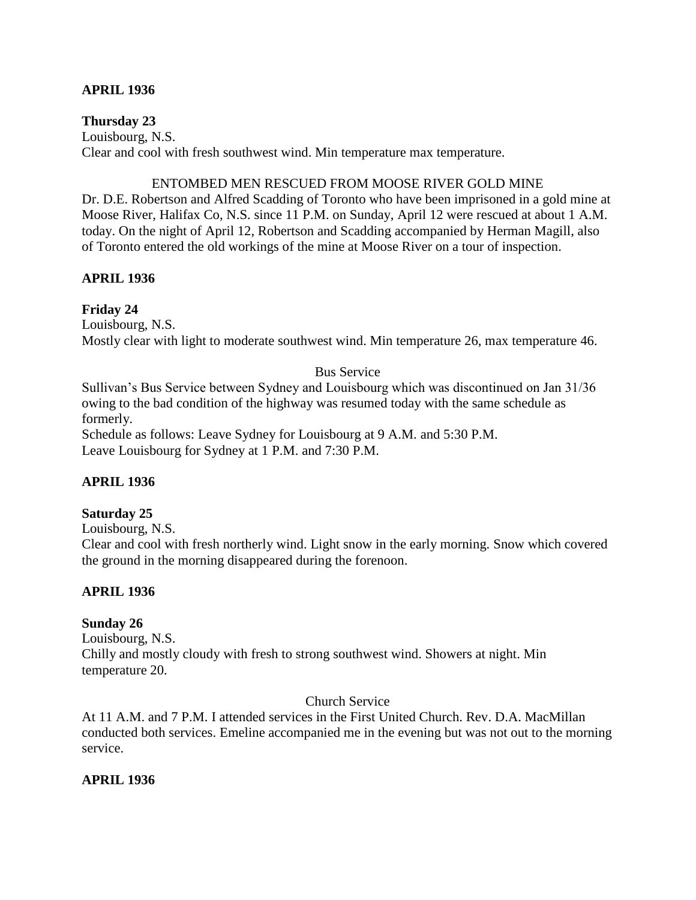### **APRIL 1936**

#### **Thursday 23**

Louisbourg, N.S. Clear and cool with fresh southwest wind. Min temperature max temperature.

#### ENTOMBED MEN RESCUED FROM MOOSE RIVER GOLD MINE

Dr. D.E. Robertson and Alfred Scadding of Toronto who have been imprisoned in a gold mine at Moose River, Halifax Co, N.S. since 11 P.M. on Sunday, April 12 were rescued at about 1 A.M. today. On the night of April 12, Robertson and Scadding accompanied by Herman Magill, also of Toronto entered the old workings of the mine at Moose River on a tour of inspection.

#### **APRIL 1936**

### **Friday 24**

Louisbourg, N.S. Mostly clear with light to moderate southwest wind. Min temperature 26, max temperature 46.

### Bus Service

Sullivan's Bus Service between Sydney and Louisbourg which was discontinued on Jan 31/36 owing to the bad condition of the highway was resumed today with the same schedule as formerly.

Schedule as follows: Leave Sydney for Louisbourg at 9 A.M. and 5:30 P.M. Leave Louisbourg for Sydney at 1 P.M. and 7:30 P.M.

# **APRIL 1936**

#### **Saturday 25**

Louisbourg, N.S.

Clear and cool with fresh northerly wind. Light snow in the early morning. Snow which covered the ground in the morning disappeared during the forenoon.

# **APRIL 1936**

#### **Sunday 26**

Louisbourg, N.S. Chilly and mostly cloudy with fresh to strong southwest wind. Showers at night. Min temperature 20.

#### Church Service

At 11 A.M. and 7 P.M. I attended services in the First United Church. Rev. D.A. MacMillan conducted both services. Emeline accompanied me in the evening but was not out to the morning service.

# **APRIL 1936**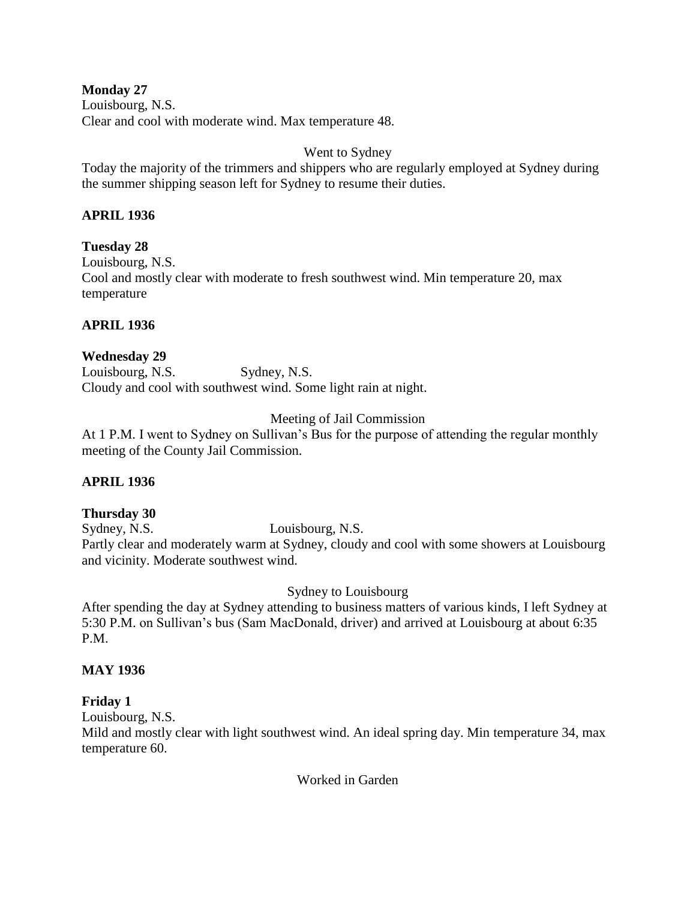**Monday 27** Louisbourg, N.S. Clear and cool with moderate wind. Max temperature 48.

Went to Sydney

Today the majority of the trimmers and shippers who are regularly employed at Sydney during the summer shipping season left for Sydney to resume their duties.

# **APRIL 1936**

**Tuesday 28** Louisbourg, N.S. Cool and mostly clear with moderate to fresh southwest wind. Min temperature 20, max temperature

# **APRIL 1936**

# **Wednesday 29**

Louisbourg, N.S. Sydney, N.S. Cloudy and cool with southwest wind. Some light rain at night.

# Meeting of Jail Commission

At 1 P.M. I went to Sydney on Sullivan's Bus for the purpose of attending the regular monthly meeting of the County Jail Commission.

# **APRIL 1936**

# **Thursday 30**

Sydney, N.S. Louisbourg, N.S. Partly clear and moderately warm at Sydney, cloudy and cool with some showers at Louisbourg and vicinity. Moderate southwest wind.

Sydney to Louisbourg

After spending the day at Sydney attending to business matters of various kinds, I left Sydney at 5:30 P.M. on Sullivan's bus (Sam MacDonald, driver) and arrived at Louisbourg at about 6:35 P.M.

# **MAY 1936**

# **Friday 1**

Louisbourg, N.S.

Mild and mostly clear with light southwest wind. An ideal spring day. Min temperature 34, max temperature 60.

Worked in Garden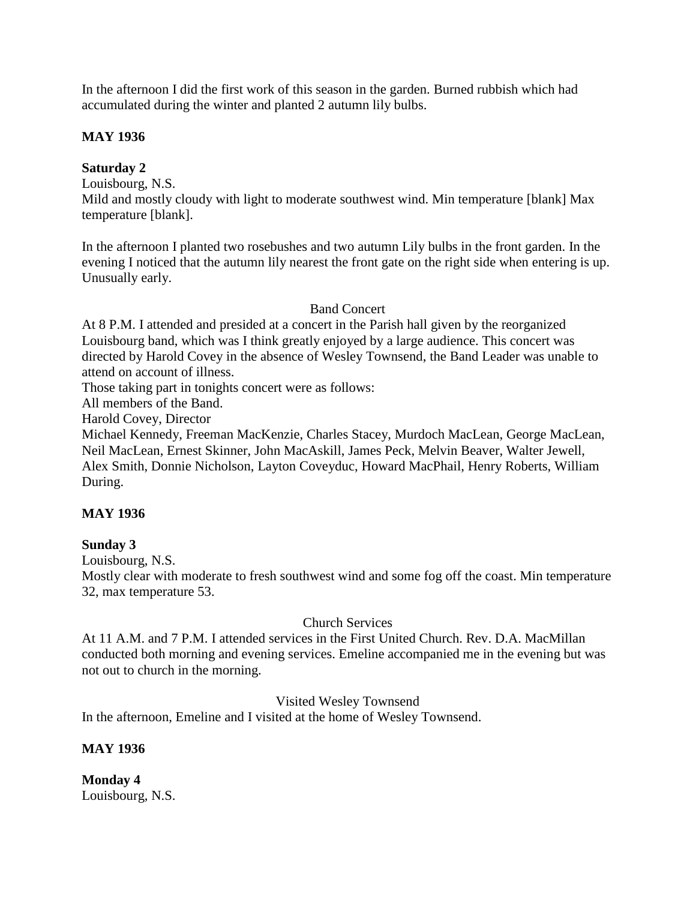In the afternoon I did the first work of this season in the garden. Burned rubbish which had accumulated during the winter and planted 2 autumn lily bulbs.

### **MAY 1936**

### **Saturday 2**

Louisbourg, N.S.

Mild and mostly cloudy with light to moderate southwest wind. Min temperature [blank] Max temperature [blank].

In the afternoon I planted two rosebushes and two autumn Lily bulbs in the front garden. In the evening I noticed that the autumn lily nearest the front gate on the right side when entering is up. Unusually early.

### Band Concert

At 8 P.M. I attended and presided at a concert in the Parish hall given by the reorganized Louisbourg band, which was I think greatly enjoyed by a large audience. This concert was directed by Harold Covey in the absence of Wesley Townsend, the Band Leader was unable to attend on account of illness.

Those taking part in tonights concert were as follows:

All members of the Band.

Harold Covey, Director

Michael Kennedy, Freeman MacKenzie, Charles Stacey, Murdoch MacLean, George MacLean, Neil MacLean, Ernest Skinner, John MacAskill, James Peck, Melvin Beaver, Walter Jewell, Alex Smith, Donnie Nicholson, Layton Coveyduc, Howard MacPhail, Henry Roberts, William During.

# **MAY 1936**

# **Sunday 3**

Louisbourg, N.S.

Mostly clear with moderate to fresh southwest wind and some fog off the coast. Min temperature 32, max temperature 53.

#### Church Services

At 11 A.M. and 7 P.M. I attended services in the First United Church. Rev. D.A. MacMillan conducted both morning and evening services. Emeline accompanied me in the evening but was not out to church in the morning.

#### Visited Wesley Townsend

In the afternoon, Emeline and I visited at the home of Wesley Townsend.

#### **MAY 1936**

**Monday 4** Louisbourg, N.S.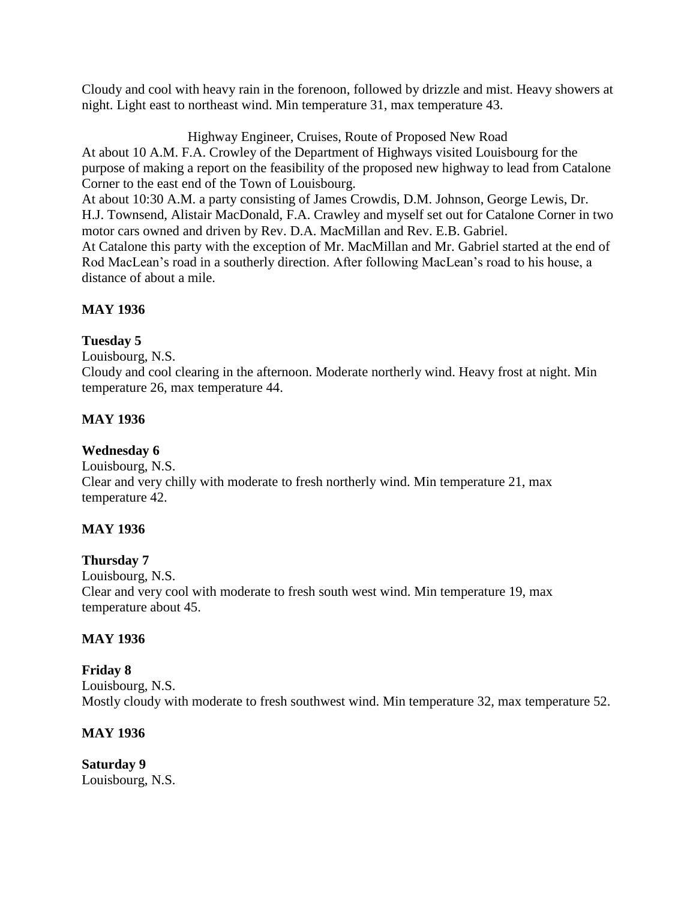Cloudy and cool with heavy rain in the forenoon, followed by drizzle and mist. Heavy showers at night. Light east to northeast wind. Min temperature 31, max temperature 43.

Highway Engineer, Cruises, Route of Proposed New Road At about 10 A.M. F.A. Crowley of the Department of Highways visited Louisbourg for the purpose of making a report on the feasibility of the proposed new highway to lead from Catalone Corner to the east end of the Town of Louisbourg. At about 10:30 A.M. a party consisting of James Crowdis, D.M. Johnson, George Lewis, Dr. H.J. Townsend, Alistair MacDonald, F.A. Crawley and myself set out for Catalone Corner in two motor cars owned and driven by Rev. D.A. MacMillan and Rev. E.B. Gabriel. At Catalone this party with the exception of Mr. MacMillan and Mr. Gabriel started at the end of Rod MacLean's road in a southerly direction. After following MacLean's road to his house, a distance of about a mile.

# **MAY 1936**

# **Tuesday 5**

Louisbourg, N.S.

Cloudy and cool clearing in the afternoon. Moderate northerly wind. Heavy frost at night. Min temperature 26, max temperature 44.

# **MAY 1936**

# **Wednesday 6**

Louisbourg, N.S. Clear and very chilly with moderate to fresh northerly wind. Min temperature 21, max temperature 42.

# **MAY 1936**

**Thursday 7** Louisbourg, N.S. Clear and very cool with moderate to fresh south west wind. Min temperature 19, max temperature about 45.

# **MAY 1936**

**Friday 8** Louisbourg, N.S. Mostly cloudy with moderate to fresh southwest wind. Min temperature 32, max temperature 52.

#### **MAY 1936**

**Saturday 9** Louisbourg, N.S.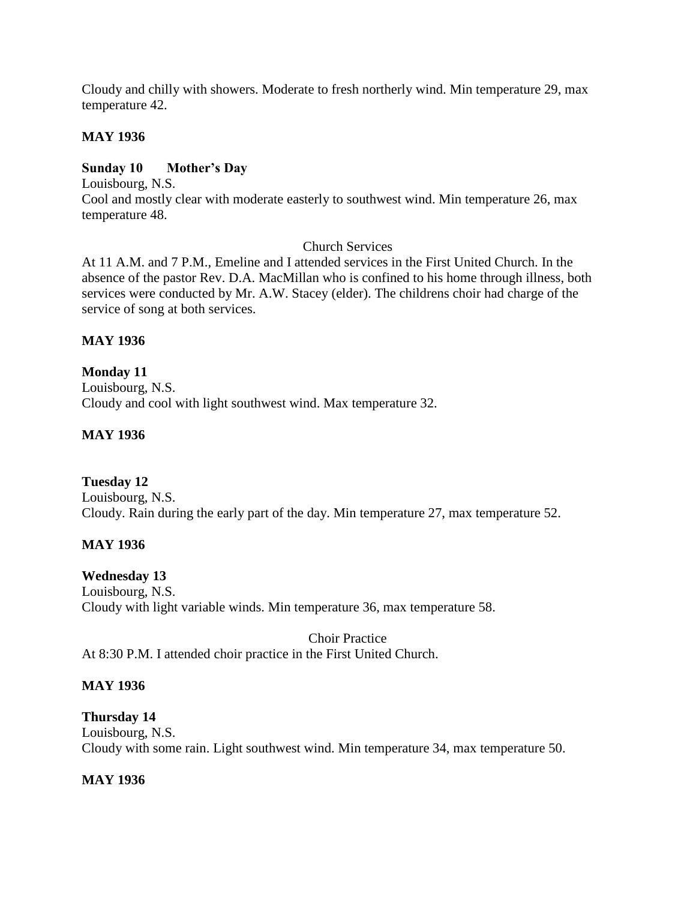Cloudy and chilly with showers. Moderate to fresh northerly wind. Min temperature 29, max temperature 42.

### **MAY 1936**

# **Sunday 10 Mother's Day**

Louisbourg, N.S. Cool and mostly clear with moderate easterly to southwest wind. Min temperature 26, max temperature 48.

### Church Services

At 11 A.M. and 7 P.M., Emeline and I attended services in the First United Church. In the absence of the pastor Rev. D.A. MacMillan who is confined to his home through illness, both services were conducted by Mr. A.W. Stacey (elder). The childrens choir had charge of the service of song at both services.

### **MAY 1936**

**Monday 11** Louisbourg, N.S. Cloudy and cool with light southwest wind. Max temperature 32.

### **MAY 1936**

# **Tuesday 12**

Louisbourg, N.S. Cloudy. Rain during the early part of the day. Min temperature 27, max temperature 52.

#### **MAY 1936**

#### **Wednesday 13**

Louisbourg, N.S. Cloudy with light variable winds. Min temperature 36, max temperature 58.

Choir Practice At 8:30 P.M. I attended choir practice in the First United Church.

#### **MAY 1936**

#### **Thursday 14**

Louisbourg, N.S. Cloudy with some rain. Light southwest wind. Min temperature 34, max temperature 50.

# **MAY 1936**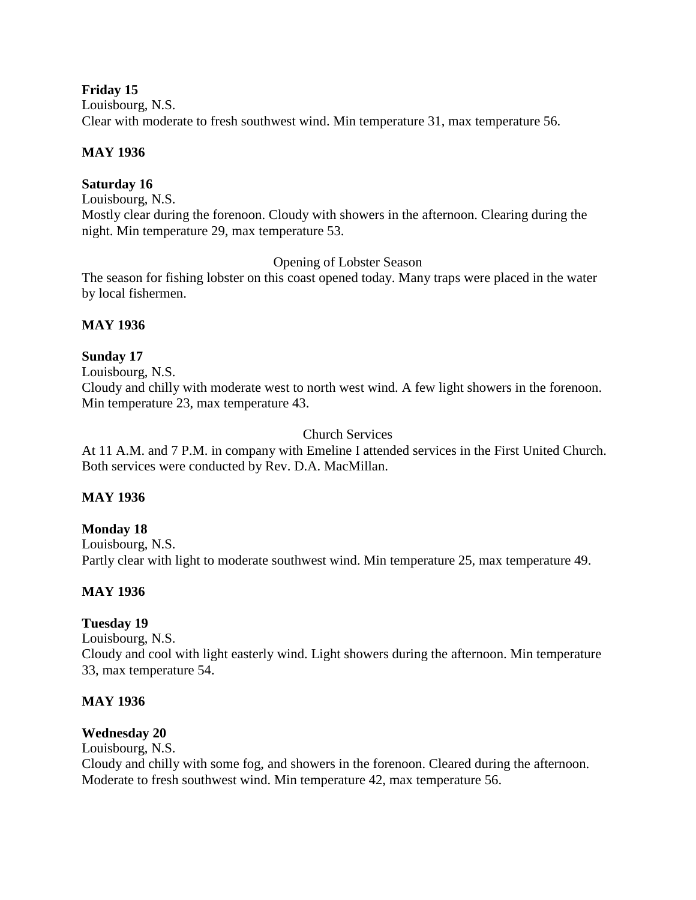#### **Friday 15**

Louisbourg, N.S. Clear with moderate to fresh southwest wind. Min temperature 31, max temperature 56.

# **MAY 1936**

# **Saturday 16**

Louisbourg, N.S. Mostly clear during the forenoon. Cloudy with showers in the afternoon. Clearing during the night. Min temperature 29, max temperature 53.

Opening of Lobster Season

The season for fishing lobster on this coast opened today. Many traps were placed in the water by local fishermen.

# **MAY 1936**

# **Sunday 17**

Louisbourg, N.S. Cloudy and chilly with moderate west to north west wind. A few light showers in the forenoon. Min temperature 23, max temperature 43.

Church Services

At 11 A.M. and 7 P.M. in company with Emeline I attended services in the First United Church. Both services were conducted by Rev. D.A. MacMillan.

# **MAY 1936**

# **Monday 18**

Louisbourg, N.S. Partly clear with light to moderate southwest wind. Min temperature 25, max temperature 49.

# **MAY 1936**

# **Tuesday 19**

Louisbourg, N.S. Cloudy and cool with light easterly wind. Light showers during the afternoon. Min temperature 33, max temperature 54.

# **MAY 1936**

# **Wednesday 20**

Louisbourg, N.S.

Cloudy and chilly with some fog, and showers in the forenoon. Cleared during the afternoon. Moderate to fresh southwest wind. Min temperature 42, max temperature 56.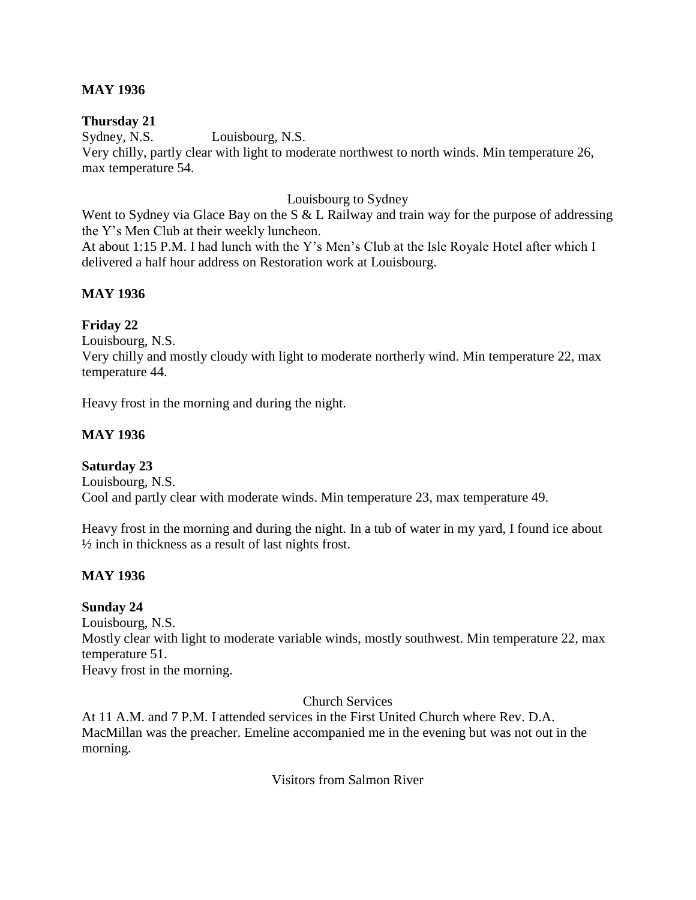### **MAY 1936**

### **Thursday 21**

Sydney, N.S. Louisbourg, N.S. Very chilly, partly clear with light to moderate northwest to north winds. Min temperature 26, max temperature 54.

### Louisbourg to Sydney

Went to Sydney via Glace Bay on the S & L Railway and train way for the purpose of addressing the Y's Men Club at their weekly luncheon. At about 1:15 P.M. I had lunch with the Y's Men's Club at the Isle Royale Hotel after which I delivered a half hour address on Restoration work at Louisbourg.

### **MAY 1936**

### **Friday 22**

Louisbourg, N.S.

Very chilly and mostly cloudy with light to moderate northerly wind. Min temperature 22, max temperature 44.

Heavy frost in the morning and during the night.

### **MAY 1936**

#### **Saturday 23**

Louisbourg, N.S. Cool and partly clear with moderate winds. Min temperature 23, max temperature 49.

Heavy frost in the morning and during the night. In a tub of water in my yard, I found ice about ½ inch in thickness as a result of last nights frost.

#### **MAY 1936**

#### **Sunday 24**

Louisbourg, N.S. Mostly clear with light to moderate variable winds, mostly southwest. Min temperature 22, max temperature 51. Heavy frost in the morning.

Church Services

At 11 A.M. and 7 P.M. I attended services in the First United Church where Rev. D.A. MacMillan was the preacher. Emeline accompanied me in the evening but was not out in the morning.

Visitors from Salmon River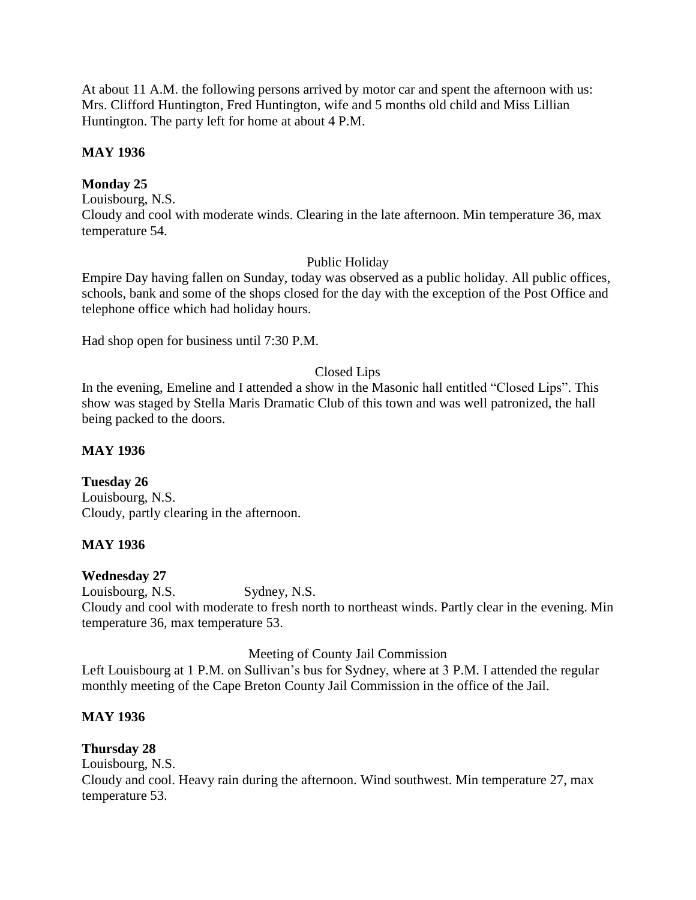At about 11 A.M. the following persons arrived by motor car and spent the afternoon with us: Mrs. Clifford Huntington, Fred Huntington, wife and 5 months old child and Miss Lillian Huntington. The party left for home at about 4 P.M.

### **MAY 1936**

# **Monday 25**

Louisbourg, N.S. Cloudy and cool with moderate winds. Clearing in the late afternoon. Min temperature 36, max temperature 54.

### Public Holiday

Empire Day having fallen on Sunday, today was observed as a public holiday. All public offices, schools, bank and some of the shops closed for the day with the exception of the Post Office and telephone office which had holiday hours.

Had shop open for business until 7:30 P.M.

### Closed Lips

In the evening, Emeline and I attended a show in the Masonic hall entitled "Closed Lips". This show was staged by Stella Maris Dramatic Club of this town and was well patronized, the hall being packed to the doors.

### **MAY 1936**

# **Tuesday 26**

Louisbourg, N.S. Cloudy, partly clearing in the afternoon.

# **MAY 1936**

#### **Wednesday 27**

Louisbourg, N.S. Sydney, N.S. Cloudy and cool with moderate to fresh north to northeast winds. Partly clear in the evening. Min temperature 36, max temperature 53.

Meeting of County Jail Commission

Left Louisbourg at 1 P.M. on Sullivan's bus for Sydney, where at 3 P.M. I attended the regular monthly meeting of the Cape Breton County Jail Commission in the office of the Jail.

# **MAY 1936**

# **Thursday 28**

Louisbourg, N.S. Cloudy and cool. Heavy rain during the afternoon. Wind southwest. Min temperature 27, max temperature 53.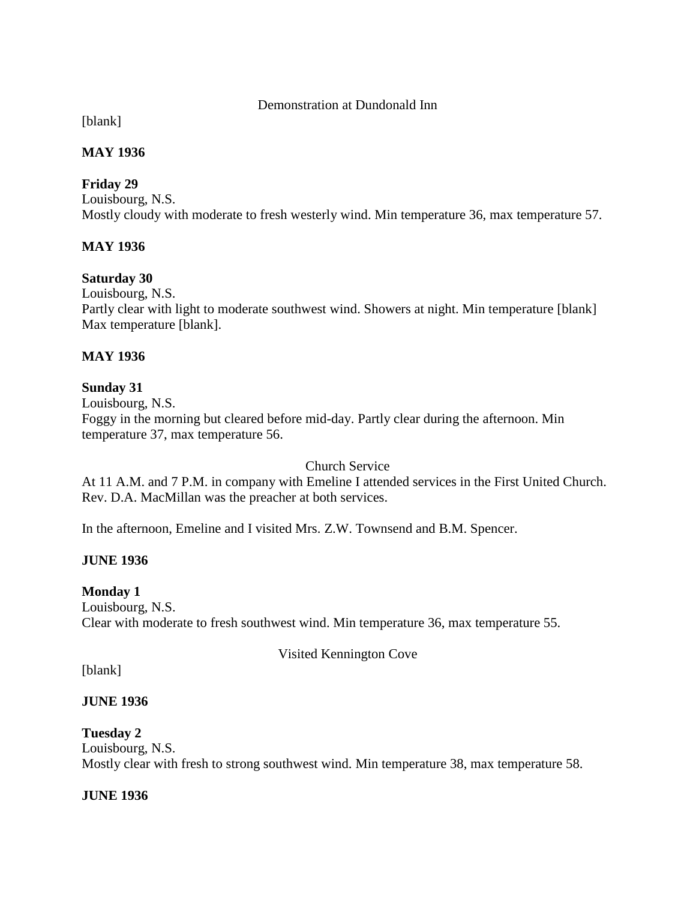### Demonstration at Dundonald Inn

[blank]

# **MAY 1936**

# **Friday 29**

Louisbourg, N.S. Mostly cloudy with moderate to fresh westerly wind. Min temperature 36, max temperature 57.

# **MAY 1936**

# **Saturday 30**

Louisbourg, N.S. Partly clear with light to moderate southwest wind. Showers at night. Min temperature [blank] Max temperature [blank].

# **MAY 1936**

# **Sunday 31**

Louisbourg, N.S. Foggy in the morning but cleared before mid-day. Partly clear during the afternoon. Min temperature 37, max temperature 56.

Church Service

At 11 A.M. and 7 P.M. in company with Emeline I attended services in the First United Church. Rev. D.A. MacMillan was the preacher at both services.

In the afternoon, Emeline and I visited Mrs. Z.W. Townsend and B.M. Spencer.

# **JUNE 1936**

**Monday 1** Louisbourg, N.S. Clear with moderate to fresh southwest wind. Min temperature 36, max temperature 55.

Visited Kennington Cove

[blank]

# **JUNE 1936**

**Tuesday 2**

Louisbourg, N.S. Mostly clear with fresh to strong southwest wind. Min temperature 38, max temperature 58.

**JUNE 1936**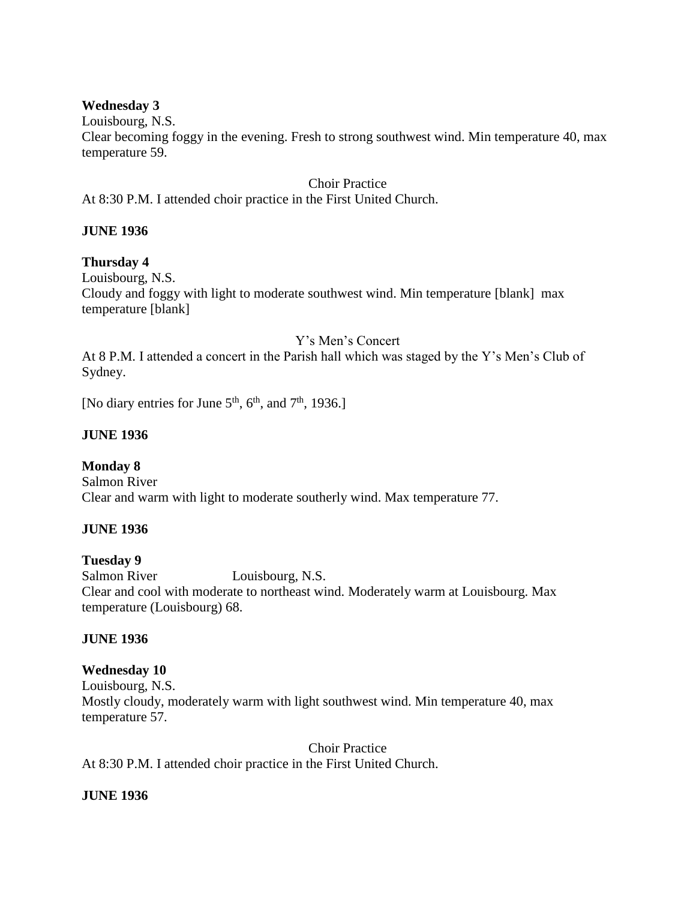#### **Wednesday 3**

Louisbourg, N.S.

Clear becoming foggy in the evening. Fresh to strong southwest wind. Min temperature 40, max temperature 59.

Choir Practice At 8:30 P.M. I attended choir practice in the First United Church.

# **JUNE 1936**

### **Thursday 4**

Louisbourg, N.S. Cloudy and foggy with light to moderate southwest wind. Min temperature [blank] max temperature [blank]

### Y's Men's Concert

At 8 P.M. I attended a concert in the Parish hall which was staged by the Y's Men's Club of Sydney.

[No diary entries for June  $5<sup>th</sup>$ ,  $6<sup>th</sup>$ , and  $7<sup>th</sup>$ , 1936.]

# **JUNE 1936**

# **Monday 8**

Salmon River Clear and warm with light to moderate southerly wind. Max temperature 77.

# **JUNE 1936**

# **Tuesday 9**

Salmon River Louisbourg, N.S. Clear and cool with moderate to northeast wind. Moderately warm at Louisbourg. Max temperature (Louisbourg) 68.

# **JUNE 1936**

#### **Wednesday 10**

Louisbourg, N.S. Mostly cloudy, moderately warm with light southwest wind. Min temperature 40, max temperature 57.

Choir Practice At 8:30 P.M. I attended choir practice in the First United Church.

# **JUNE 1936**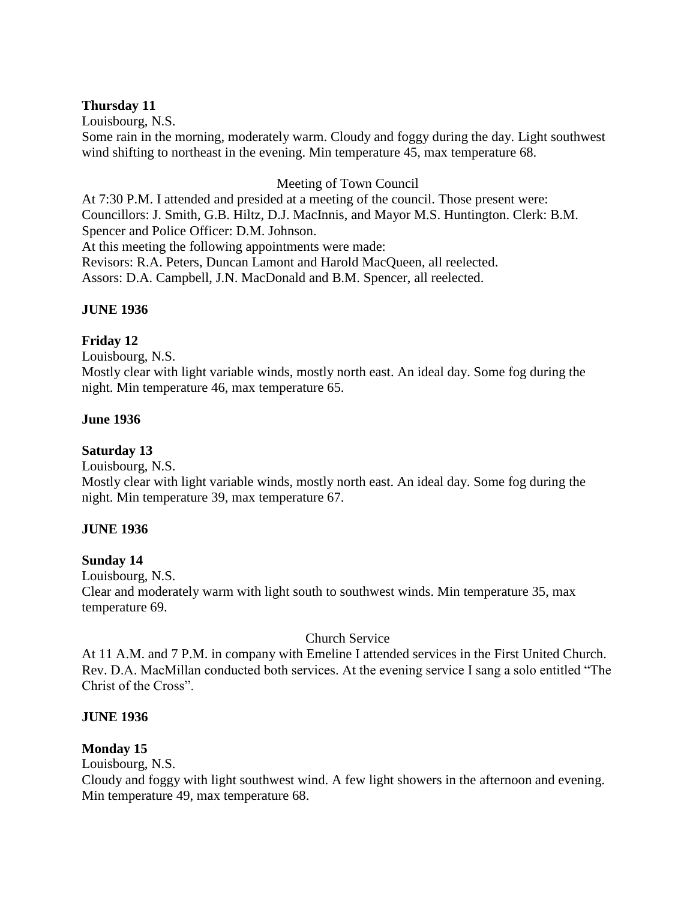### **Thursday 11**

Louisbourg, N.S.

Some rain in the morning, moderately warm. Cloudy and foggy during the day. Light southwest wind shifting to northeast in the evening. Min temperature 45, max temperature 68.

### Meeting of Town Council

At 7:30 P.M. I attended and presided at a meeting of the council. Those present were: Councillors: J. Smith, G.B. Hiltz, D.J. MacInnis, and Mayor M.S. Huntington. Clerk: B.M. Spencer and Police Officer: D.M. Johnson. At this meeting the following appointments were made: Revisors: R.A. Peters, Duncan Lamont and Harold MacQueen, all reelected. Assors: D.A. Campbell, J.N. MacDonald and B.M. Spencer, all reelected.

### **JUNE 1936**

### **Friday 12**

Louisbourg, N.S.

Mostly clear with light variable winds, mostly north east. An ideal day. Some fog during the night. Min temperature 46, max temperature 65.

### **June 1936**

**Saturday 13**

Louisbourg, N.S.

Mostly clear with light variable winds, mostly north east. An ideal day. Some fog during the night. Min temperature 39, max temperature 67.

#### **JUNE 1936**

# **Sunday 14**

Louisbourg, N.S.

Clear and moderately warm with light south to southwest winds. Min temperature 35, max temperature 69.

# Church Service

At 11 A.M. and 7 P.M. in company with Emeline I attended services in the First United Church. Rev. D.A. MacMillan conducted both services. At the evening service I sang a solo entitled "The Christ of the Cross".

#### **JUNE 1936**

# **Monday 15**

Louisbourg, N.S.

Cloudy and foggy with light southwest wind. A few light showers in the afternoon and evening. Min temperature 49, max temperature 68.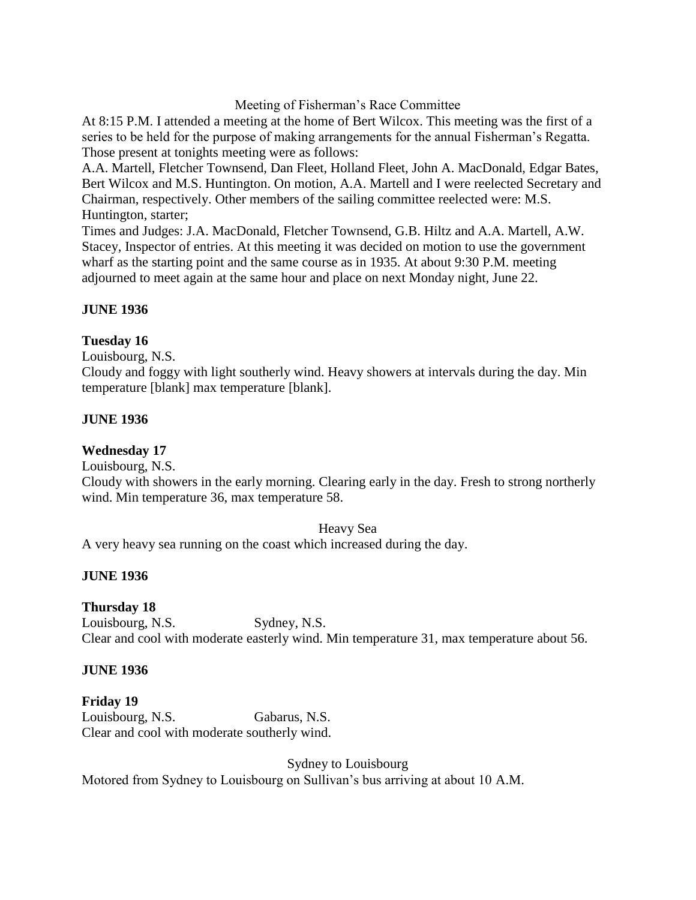### Meeting of Fisherman's Race Committee

At 8:15 P.M. I attended a meeting at the home of Bert Wilcox. This meeting was the first of a series to be held for the purpose of making arrangements for the annual Fisherman's Regatta. Those present at tonights meeting were as follows:

A.A. Martell, Fletcher Townsend, Dan Fleet, Holland Fleet, John A. MacDonald, Edgar Bates, Bert Wilcox and M.S. Huntington. On motion, A.A. Martell and I were reelected Secretary and Chairman, respectively. Other members of the sailing committee reelected were: M.S. Huntington, starter;

Times and Judges: J.A. MacDonald, Fletcher Townsend, G.B. Hiltz and A.A. Martell, A.W. Stacey, Inspector of entries. At this meeting it was decided on motion to use the government wharf as the starting point and the same course as in 1935. At about 9:30 P.M. meeting adjourned to meet again at the same hour and place on next Monday night, June 22.

### **JUNE 1936**

### **Tuesday 16**

Louisbourg, N.S.

Cloudy and foggy with light southerly wind. Heavy showers at intervals during the day. Min temperature [blank] max temperature [blank].

### **JUNE 1936**

# **Wednesday 17**

Louisbourg, N.S.

Cloudy with showers in the early morning. Clearing early in the day. Fresh to strong northerly wind. Min temperature 36, max temperature 58.

Heavy Sea

A very heavy sea running on the coast which increased during the day.

# **JUNE 1936**

# **Thursday 18**

Louisbourg, N.S. Sydney, N.S. Clear and cool with moderate easterly wind. Min temperature 31, max temperature about 56.

#### **JUNE 1936**

**Friday 19** Louisbourg, N.S. Gabarus, N.S. Clear and cool with moderate southerly wind.

Sydney to Louisbourg

Motored from Sydney to Louisbourg on Sullivan's bus arriving at about 10 A.M.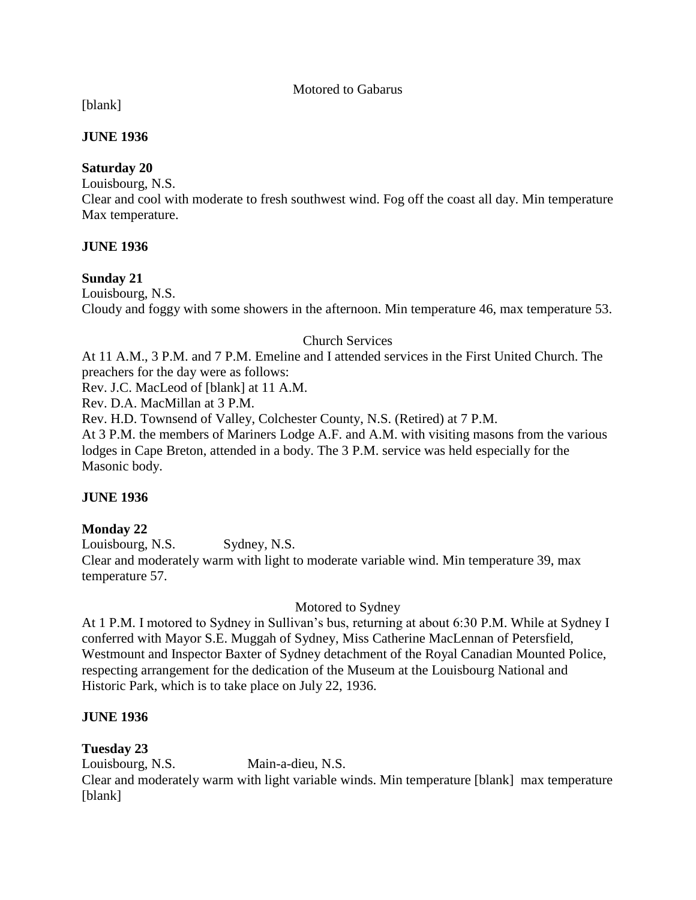#### Motored to Gabarus

[blank]

### **JUNE 1936**

### **Saturday 20**

Louisbourg, N.S.

Clear and cool with moderate to fresh southwest wind. Fog off the coast all day. Min temperature Max temperature.

### **JUNE 1936**

### **Sunday 21**

Louisbourg, N.S. Cloudy and foggy with some showers in the afternoon. Min temperature 46, max temperature 53.

### Church Services

At 11 A.M., 3 P.M. and 7 P.M. Emeline and I attended services in the First United Church. The preachers for the day were as follows:

Rev. J.C. MacLeod of [blank] at 11 A.M.

Rev. D.A. MacMillan at 3 P.M.

Rev. H.D. Townsend of Valley, Colchester County, N.S. (Retired) at 7 P.M.

At 3 P.M. the members of Mariners Lodge A.F. and A.M. with visiting masons from the various lodges in Cape Breton, attended in a body. The 3 P.M. service was held especially for the Masonic body.

# **JUNE 1936**

# **Monday 22**

Louisbourg, N.S. Sydney, N.S. Clear and moderately warm with light to moderate variable wind. Min temperature 39, max temperature 57.

# Motored to Sydney

At 1 P.M. I motored to Sydney in Sullivan's bus, returning at about 6:30 P.M. While at Sydney I conferred with Mayor S.E. Muggah of Sydney, Miss Catherine MacLennan of Petersfield, Westmount and Inspector Baxter of Sydney detachment of the Royal Canadian Mounted Police, respecting arrangement for the dedication of the Museum at the Louisbourg National and Historic Park, which is to take place on July 22, 1936.

# **JUNE 1936**

# **Tuesday 23**

Louisbourg, N.S. Main-a-dieu, N.S. Clear and moderately warm with light variable winds. Min temperature [blank] max temperature [blank]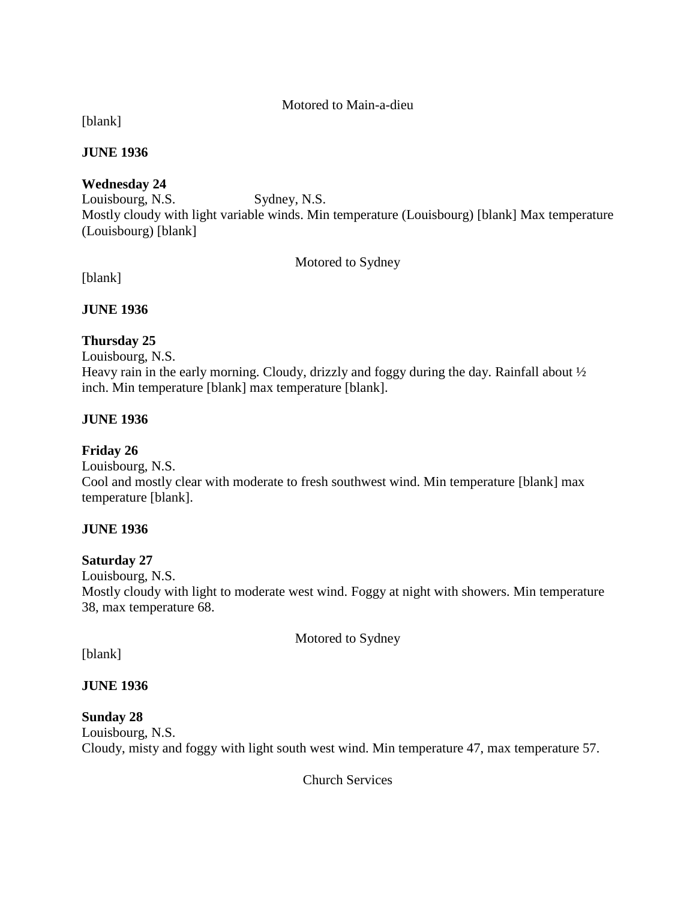### Motored to Main-a-dieu

[blank]

### **JUNE 1936**

# **Wednesday 24**

Louisbourg, N.S. Sydney, N.S. Mostly cloudy with light variable winds. Min temperature (Louisbourg) [blank] Max temperature (Louisbourg) [blank]

### Motored to Sydney

[blank]

# **JUNE 1936**

# **Thursday 25**

Louisbourg, N.S. Heavy rain in the early morning. Cloudy, drizzly and foggy during the day. Rainfall about  $\frac{1}{2}$ inch. Min temperature [blank] max temperature [blank].

# **JUNE 1936**

# **Friday 26**

Louisbourg, N.S. Cool and mostly clear with moderate to fresh southwest wind. Min temperature [blank] max temperature [blank].

# **JUNE 1936**

# **Saturday 27**

Louisbourg, N.S. Mostly cloudy with light to moderate west wind. Foggy at night with showers. Min temperature 38, max temperature 68.

Motored to Sydney

[blank]

# **JUNE 1936**

# **Sunday 28**

Louisbourg, N.S. Cloudy, misty and foggy with light south west wind. Min temperature 47, max temperature 57.

Church Services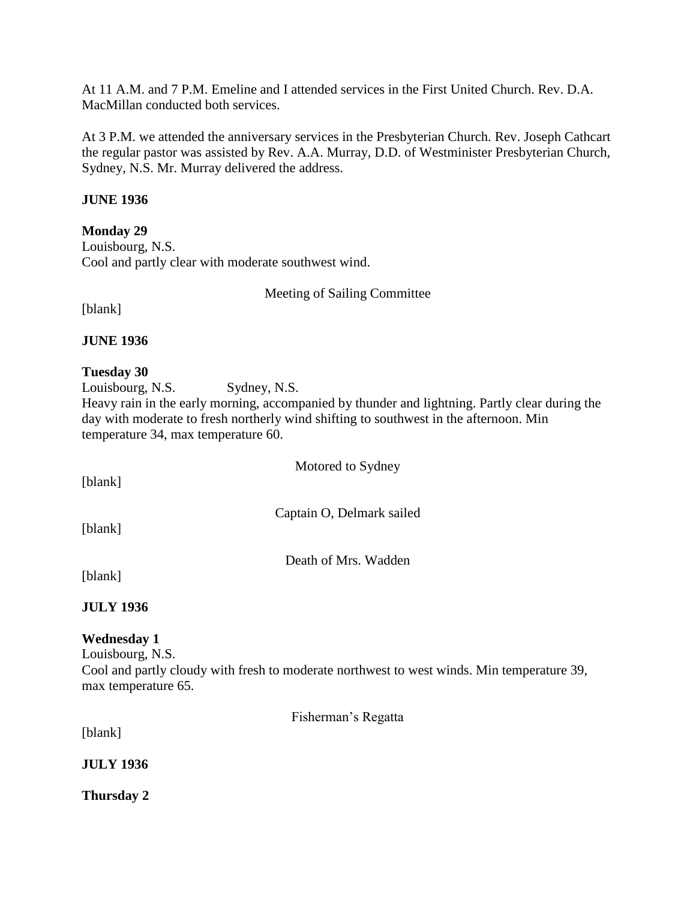At 11 A.M. and 7 P.M. Emeline and I attended services in the First United Church. Rev. D.A. MacMillan conducted both services.

At 3 P.M. we attended the anniversary services in the Presbyterian Church. Rev. Joseph Cathcart the regular pastor was assisted by Rev. A.A. Murray, D.D. of Westminister Presbyterian Church, Sydney, N.S. Mr. Murray delivered the address.

### **JUNE 1936**

**Monday 29**

Louisbourg, N.S. Cool and partly clear with moderate southwest wind.

Meeting of Sailing Committee

[blank]

**JUNE 1936**

# **Tuesday 30**

Louisbourg, N.S. Sydney, N.S.

Heavy rain in the early morning, accompanied by thunder and lightning. Partly clear during the day with moderate to fresh northerly wind shifting to southwest in the afternoon. Min temperature 34, max temperature 60.

Motored to Sydney

[blank]

Captain O, Delmark sailed

[blank]

Death of Mrs. Wadden

[blank]

**JULY 1936**

# **Wednesday 1**

Louisbourg, N.S. Cool and partly cloudy with fresh to moderate northwest to west winds. Min temperature 39, max temperature 65.

Fisherman's Regatta

[blank]

**JULY 1936**

**Thursday 2**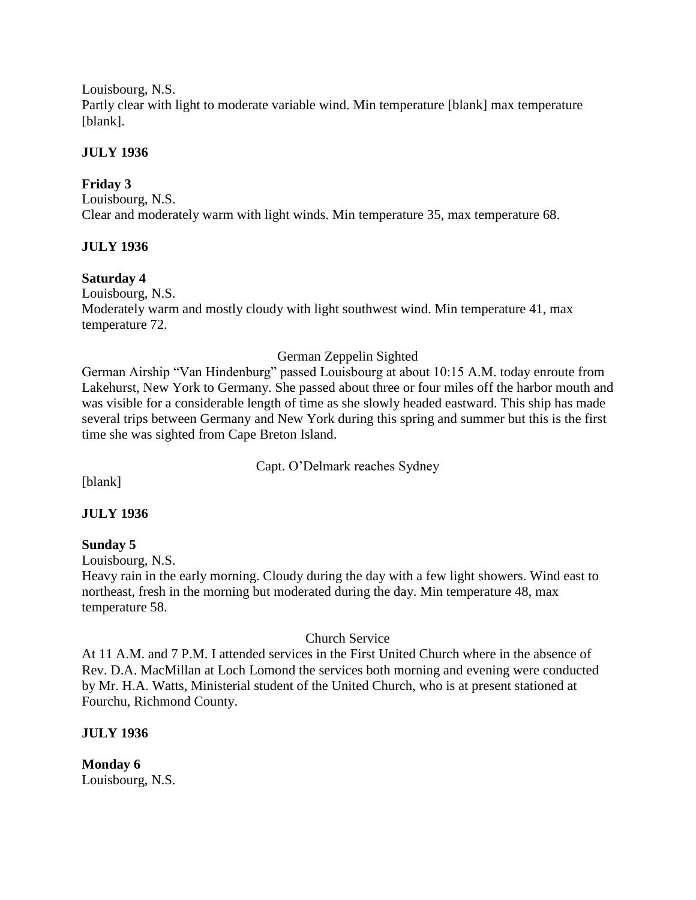Louisbourg, N.S. Partly clear with light to moderate variable wind. Min temperature [blank] max temperature [blank].

### **JULY 1936**

# **Friday 3**

Louisbourg, N.S. Clear and moderately warm with light winds. Min temperature 35, max temperature 68.

# **JULY 1936**

# **Saturday 4**

Louisbourg, N.S. Moderately warm and mostly cloudy with light southwest wind. Min temperature 41, max temperature 72.

# German Zeppelin Sighted

German Airship "Van Hindenburg" passed Louisbourg at about 10:15 A.M. today enroute from Lakehurst, New York to Germany. She passed about three or four miles off the harbor mouth and was visible for a considerable length of time as she slowly headed eastward. This ship has made several trips between Germany and New York during this spring and summer but this is the first time she was sighted from Cape Breton Island.

Capt. O'Delmark reaches Sydney

[blank]

# **JULY 1936**

# **Sunday 5**

Louisbourg, N.S.

Heavy rain in the early morning. Cloudy during the day with a few light showers. Wind east to northeast, fresh in the morning but moderated during the day. Min temperature 48, max temperature 58.

# Church Service

At 11 A.M. and 7 P.M. I attended services in the First United Church where in the absence of Rev. D.A. MacMillan at Loch Lomond the services both morning and evening were conducted by Mr. H.A. Watts, Ministerial student of the United Church, who is at present stationed at Fourchu, Richmond County.

# **JULY 1936**

**Monday 6** Louisbourg, N.S.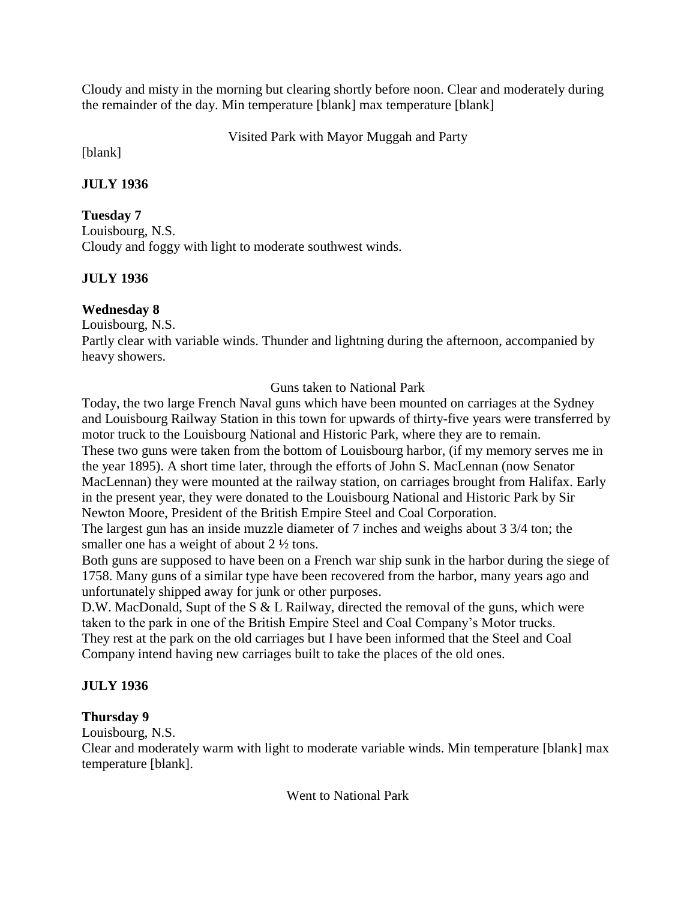Cloudy and misty in the morning but clearing shortly before noon. Clear and moderately during the remainder of the day. Min temperature [blank] max temperature [blank]

Visited Park with Mayor Muggah and Party

[blank]

# **JULY 1936**

# **Tuesday 7**

Louisbourg, N.S. Cloudy and foggy with light to moderate southwest winds.

# **JULY 1936**

# **Wednesday 8**

Louisbourg, N.S.

Partly clear with variable winds. Thunder and lightning during the afternoon, accompanied by heavy showers.

Guns taken to National Park

Today, the two large French Naval guns which have been mounted on carriages at the Sydney and Louisbourg Railway Station in this town for upwards of thirty-five years were transferred by motor truck to the Louisbourg National and Historic Park, where they are to remain. These two guns were taken from the bottom of Louisbourg harbor, (if my memory serves me in the year 1895). A short time later, through the efforts of John S. MacLennan (now Senator MacLennan) they were mounted at the railway station, on carriages brought from Halifax. Early in the present year, they were donated to the Louisbourg National and Historic Park by Sir Newton Moore, President of the British Empire Steel and Coal Corporation.

The largest gun has an inside muzzle diameter of 7 inches and weighs about 3 3/4 ton; the smaller one has a weight of about 2  $\frac{1}{2}$  tons.

Both guns are supposed to have been on a French war ship sunk in the harbor during the siege of 1758. Many guns of a similar type have been recovered from the harbor, many years ago and unfortunately shipped away for junk or other purposes.

D.W. MacDonald, Supt of the S & L Railway, directed the removal of the guns, which were taken to the park in one of the British Empire Steel and Coal Company's Motor trucks. They rest at the park on the old carriages but I have been informed that the Steel and Coal Company intend having new carriages built to take the places of the old ones.

# **JULY 1936**

# **Thursday 9**

Louisbourg, N.S.

Clear and moderately warm with light to moderate variable winds. Min temperature [blank] max temperature [blank].

Went to National Park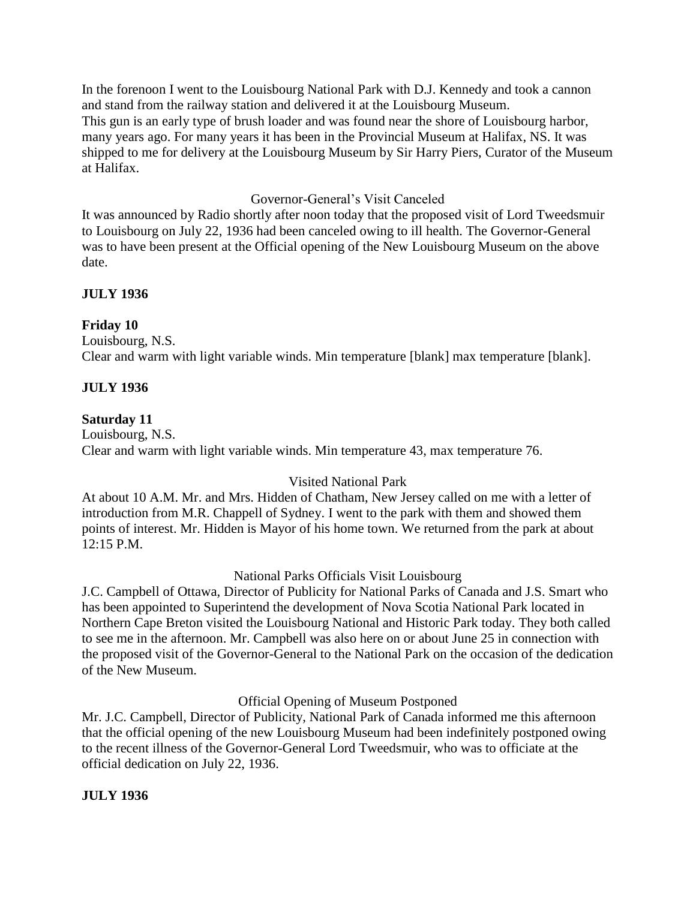In the forenoon I went to the Louisbourg National Park with D.J. Kennedy and took a cannon and stand from the railway station and delivered it at the Louisbourg Museum. This gun is an early type of brush loader and was found near the shore of Louisbourg harbor, many years ago. For many years it has been in the Provincial Museum at Halifax, NS. It was shipped to me for delivery at the Louisbourg Museum by Sir Harry Piers, Curator of the Museum at Halifax.

### Governor-General's Visit Canceled

It was announced by Radio shortly after noon today that the proposed visit of Lord Tweedsmuir to Louisbourg on July 22, 1936 had been canceled owing to ill health. The Governor-General was to have been present at the Official opening of the New Louisbourg Museum on the above date.

# **JULY 1936**

#### **Friday 10**

Louisbourg, N.S. Clear and warm with light variable winds. Min temperature [blank] max temperature [blank].

### **JULY 1936**

#### **Saturday 11**

Louisbourg, N.S. Clear and warm with light variable winds. Min temperature 43, max temperature 76.

# Visited National Park

At about 10 A.M. Mr. and Mrs. Hidden of Chatham, New Jersey called on me with a letter of introduction from M.R. Chappell of Sydney. I went to the park with them and showed them points of interest. Mr. Hidden is Mayor of his home town. We returned from the park at about 12:15 P.M.

#### National Parks Officials Visit Louisbourg

J.C. Campbell of Ottawa, Director of Publicity for National Parks of Canada and J.S. Smart who has been appointed to Superintend the development of Nova Scotia National Park located in Northern Cape Breton visited the Louisbourg National and Historic Park today. They both called to see me in the afternoon. Mr. Campbell was also here on or about June 25 in connection with the proposed visit of the Governor-General to the National Park on the occasion of the dedication of the New Museum.

#### Official Opening of Museum Postponed

Mr. J.C. Campbell, Director of Publicity, National Park of Canada informed me this afternoon that the official opening of the new Louisbourg Museum had been indefinitely postponed owing to the recent illness of the Governor-General Lord Tweedsmuir, who was to officiate at the official dedication on July 22, 1936.

#### **JULY 1936**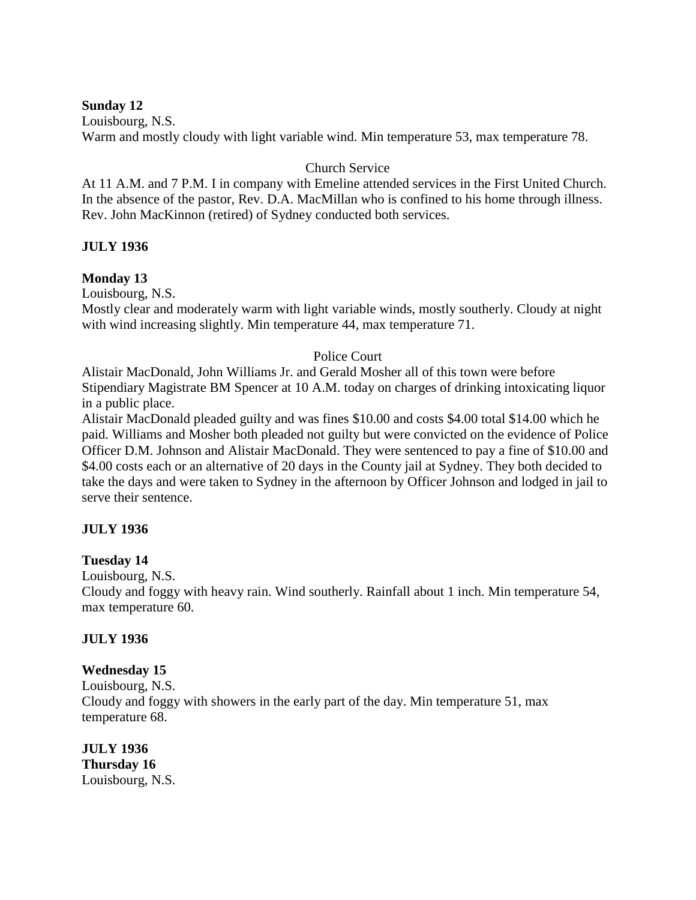### **Sunday 12**

Louisbourg, N.S.

Warm and mostly cloudy with light variable wind. Min temperature 53, max temperature 78.

### Church Service

At 11 A.M. and 7 P.M. I in company with Emeline attended services in the First United Church. In the absence of the pastor, Rev. D.A. MacMillan who is confined to his home through illness. Rev. John MacKinnon (retired) of Sydney conducted both services.

### **JULY 1936**

### **Monday 13**

Louisbourg, N.S.

Mostly clear and moderately warm with light variable winds, mostly southerly. Cloudy at night with wind increasing slightly. Min temperature 44, max temperature 71.

### Police Court

Alistair MacDonald, John Williams Jr. and Gerald Mosher all of this town were before Stipendiary Magistrate BM Spencer at 10 A.M. today on charges of drinking intoxicating liquor in a public place.

Alistair MacDonald pleaded guilty and was fines \$10.00 and costs \$4.00 total \$14.00 which he paid. Williams and Mosher both pleaded not guilty but were convicted on the evidence of Police Officer D.M. Johnson and Alistair MacDonald. They were sentenced to pay a fine of \$10.00 and \$4.00 costs each or an alternative of 20 days in the County jail at Sydney. They both decided to take the days and were taken to Sydney in the afternoon by Officer Johnson and lodged in jail to serve their sentence.

# **JULY 1936**

# **Tuesday 14**

Louisbourg, N.S.

Cloudy and foggy with heavy rain. Wind southerly. Rainfall about 1 inch. Min temperature 54, max temperature 60.

#### **JULY 1936**

#### **Wednesday 15**

Louisbourg, N.S. Cloudy and foggy with showers in the early part of the day. Min temperature 51, max temperature 68.

**JULY 1936 Thursday 16** Louisbourg, N.S.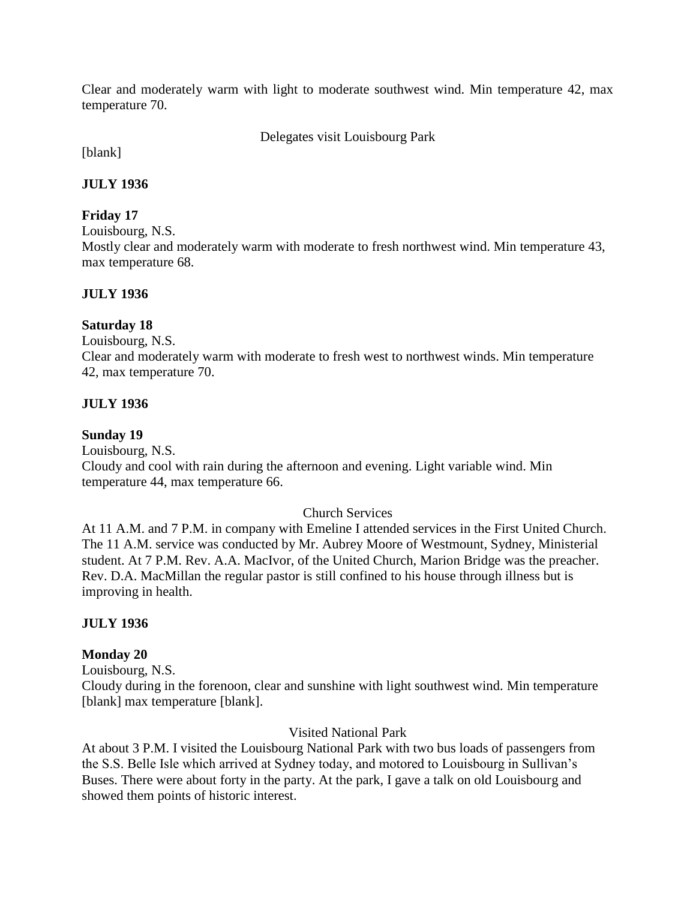Clear and moderately warm with light to moderate southwest wind. Min temperature 42, max temperature 70.

Delegates visit Louisbourg Park

[blank]

### **JULY 1936**

# **Friday 17**

Louisbourg, N.S.

Mostly clear and moderately warm with moderate to fresh northwest wind. Min temperature 43, max temperature 68.

# **JULY 1936**

# **Saturday 18**

Louisbourg, N.S. Clear and moderately warm with moderate to fresh west to northwest winds. Min temperature 42, max temperature 70.

### **JULY 1936**

### **Sunday 19**

Louisbourg, N.S. Cloudy and cool with rain during the afternoon and evening. Light variable wind. Min temperature 44, max temperature 66.

#### Church Services

At 11 A.M. and 7 P.M. in company with Emeline I attended services in the First United Church. The 11 A.M. service was conducted by Mr. Aubrey Moore of Westmount, Sydney, Ministerial student. At 7 P.M. Rev. A.A. MacIvor, of the United Church, Marion Bridge was the preacher. Rev. D.A. MacMillan the regular pastor is still confined to his house through illness but is improving in health.

# **JULY 1936**

#### **Monday 20**

Louisbourg, N.S.

Cloudy during in the forenoon, clear and sunshine with light southwest wind. Min temperature [blank] max temperature [blank].

#### Visited National Park

At about 3 P.M. I visited the Louisbourg National Park with two bus loads of passengers from the S.S. Belle Isle which arrived at Sydney today, and motored to Louisbourg in Sullivan's Buses. There were about forty in the party. At the park, I gave a talk on old Louisbourg and showed them points of historic interest.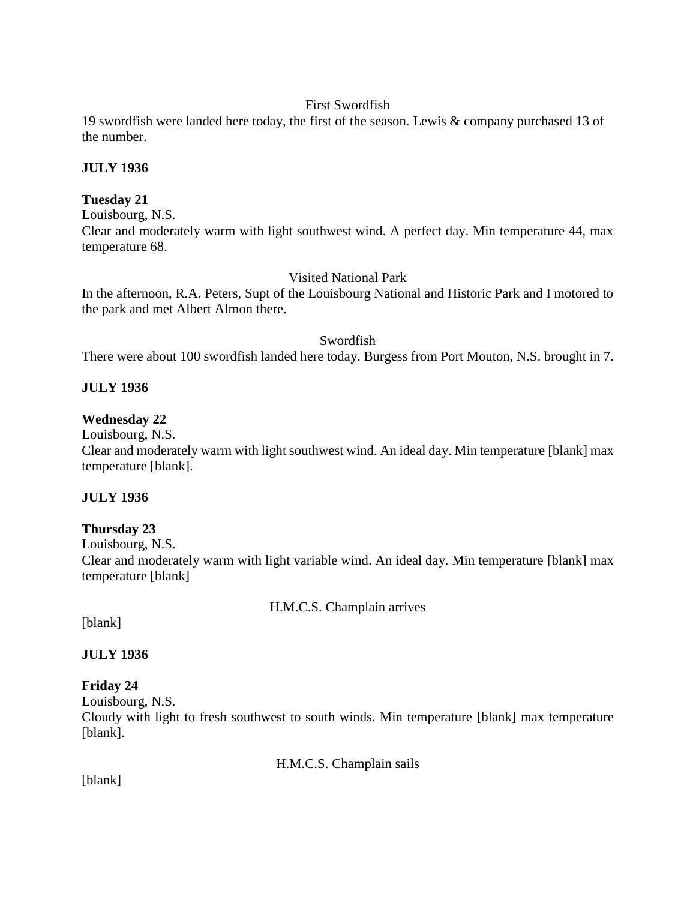# First Swordfish

19 swordfish were landed here today, the first of the season. Lewis & company purchased 13 of the number.

# **JULY 1936**

# **Tuesday 21**

Louisbourg, N.S.

Clear and moderately warm with light southwest wind. A perfect day. Min temperature 44, max temperature 68.

# Visited National Park

In the afternoon, R.A. Peters, Supt of the Louisbourg National and Historic Park and I motored to the park and met Albert Almon there.

# Swordfish

There were about 100 swordfish landed here today. Burgess from Port Mouton, N.S. brought in 7.

# **JULY 1936**

# **Wednesday 22**

Louisbourg, N.S.

Clear and moderately warm with light southwest wind. An ideal day. Min temperature [blank] max temperature [blank].

# **JULY 1936**

# **Thursday 23**

Louisbourg, N.S.

Clear and moderately warm with light variable wind. An ideal day. Min temperature [blank] max temperature [blank]

H.M.C.S. Champlain arrives

[blank]

**JULY 1936**

# **Friday 24**

Louisbourg, N.S.

Cloudy with light to fresh southwest to south winds. Min temperature [blank] max temperature [blank].

H.M.C.S. Champlain sails

[blank]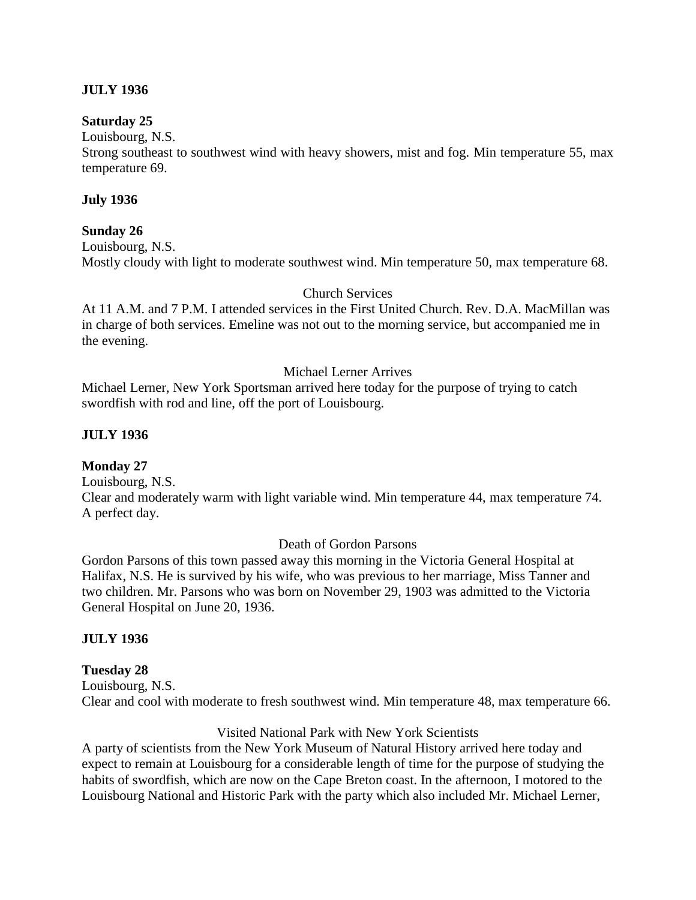### **JULY 1936**

#### **Saturday 25**

Louisbourg, N.S.

Strong southeast to southwest wind with heavy showers, mist and fog. Min temperature 55, max temperature 69.

#### **July 1936**

#### **Sunday 26**

Louisbourg, N.S.

Mostly cloudy with light to moderate southwest wind. Min temperature 50, max temperature 68.

#### Church Services

At 11 A.M. and 7 P.M. I attended services in the First United Church. Rev. D.A. MacMillan was in charge of both services. Emeline was not out to the morning service, but accompanied me in the evening.

#### Michael Lerner Arrives

Michael Lerner, New York Sportsman arrived here today for the purpose of trying to catch swordfish with rod and line, off the port of Louisbourg.

#### **JULY 1936**

#### **Monday 27**

Louisbourg, N.S.

Clear and moderately warm with light variable wind. Min temperature 44, max temperature 74. A perfect day.

#### Death of Gordon Parsons

Gordon Parsons of this town passed away this morning in the Victoria General Hospital at Halifax, N.S. He is survived by his wife, who was previous to her marriage, Miss Tanner and two children. Mr. Parsons who was born on November 29, 1903 was admitted to the Victoria General Hospital on June 20, 1936.

#### **JULY 1936**

#### **Tuesday 28**

Louisbourg, N.S. Clear and cool with moderate to fresh southwest wind. Min temperature 48, max temperature 66.

#### Visited National Park with New York Scientists

A party of scientists from the New York Museum of Natural History arrived here today and expect to remain at Louisbourg for a considerable length of time for the purpose of studying the habits of swordfish, which are now on the Cape Breton coast. In the afternoon, I motored to the Louisbourg National and Historic Park with the party which also included Mr. Michael Lerner,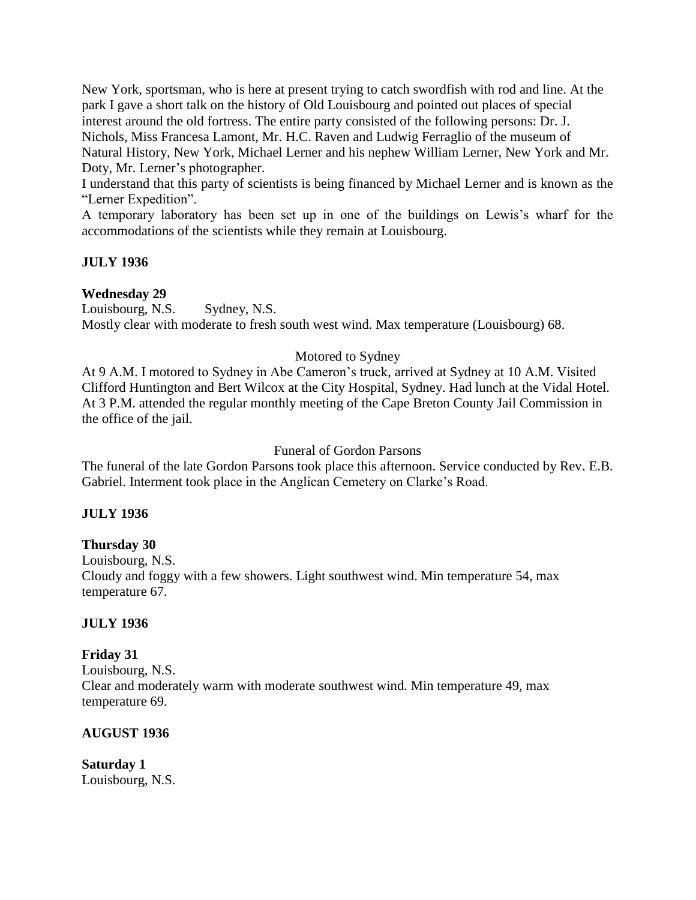New York, sportsman, who is here at present trying to catch swordfish with rod and line. At the park I gave a short talk on the history of Old Louisbourg and pointed out places of special interest around the old fortress. The entire party consisted of the following persons: Dr. J. Nichols, Miss Francesa Lamont, Mr. H.C. Raven and Ludwig Ferraglio of the museum of Natural History, New York, Michael Lerner and his nephew William Lerner, New York and Mr. Doty, Mr. Lerner's photographer.

I understand that this party of scientists is being financed by Michael Lerner and is known as the "Lerner Expedition".

A temporary laboratory has been set up in one of the buildings on Lewis's wharf for the accommodations of the scientists while they remain at Louisbourg.

### **JULY 1936**

### **Wednesday 29**

Louisbourg, N.S. Sydney, N.S. Mostly clear with moderate to fresh south west wind. Max temperature (Louisbourg) 68.

### Motored to Sydney

At 9 A.M. I motored to Sydney in Abe Cameron's truck, arrived at Sydney at 10 A.M. Visited Clifford Huntington and Bert Wilcox at the City Hospital, Sydney. Had lunch at the Vidal Hotel. At 3 P.M. attended the regular monthly meeting of the Cape Breton County Jail Commission in the office of the jail.

#### Funeral of Gordon Parsons

The funeral of the late Gordon Parsons took place this afternoon. Service conducted by Rev. E.B. Gabriel. Interment took place in the Anglican Cemetery on Clarke's Road.

#### **JULY 1936**

#### **Thursday 30**

Louisbourg, N.S. Cloudy and foggy with a few showers. Light southwest wind. Min temperature 54, max temperature 67.

#### **JULY 1936**

#### **Friday 31**

Louisbourg, N.S. Clear and moderately warm with moderate southwest wind. Min temperature 49, max temperature 69.

#### **AUGUST 1936**

**Saturday 1** Louisbourg, N.S.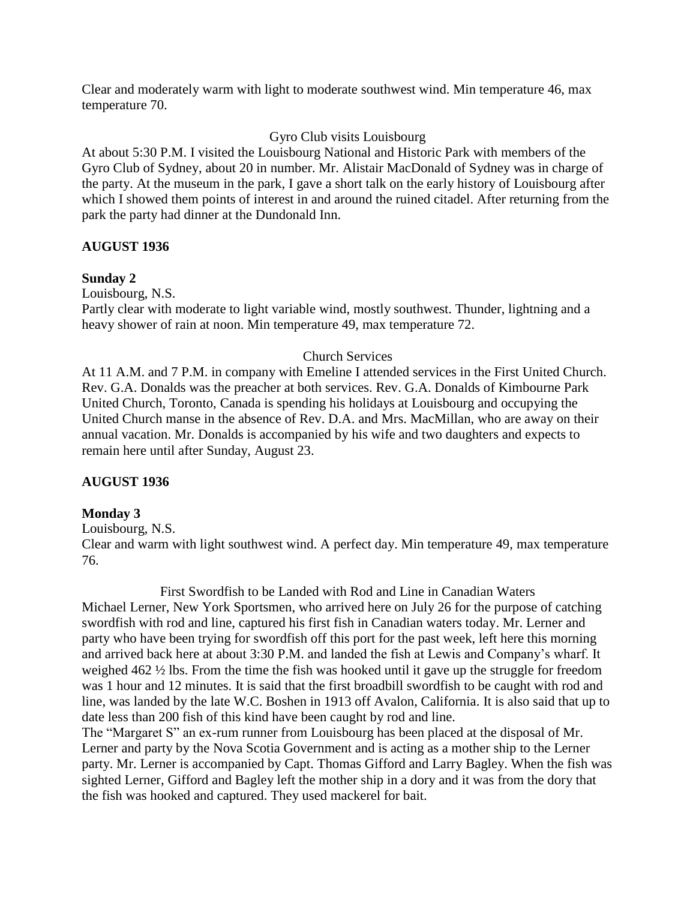Clear and moderately warm with light to moderate southwest wind. Min temperature 46, max temperature 70.

Gyro Club visits Louisbourg

At about 5:30 P.M. I visited the Louisbourg National and Historic Park with members of the Gyro Club of Sydney, about 20 in number. Mr. Alistair MacDonald of Sydney was in charge of the party. At the museum in the park, I gave a short talk on the early history of Louisbourg after which I showed them points of interest in and around the ruined citadel. After returning from the park the party had dinner at the Dundonald Inn.

### **AUGUST 1936**

#### **Sunday 2**

Louisbourg, N.S.

Partly clear with moderate to light variable wind, mostly southwest. Thunder, lightning and a heavy shower of rain at noon. Min temperature 49, max temperature 72.

### Church Services

At 11 A.M. and 7 P.M. in company with Emeline I attended services in the First United Church. Rev. G.A. Donalds was the preacher at both services. Rev. G.A. Donalds of Kimbourne Park United Church, Toronto, Canada is spending his holidays at Louisbourg and occupying the United Church manse in the absence of Rev. D.A. and Mrs. MacMillan, who are away on their annual vacation. Mr. Donalds is accompanied by his wife and two daughters and expects to remain here until after Sunday, August 23.

# **AUGUST 1936**

# **Monday 3**

Louisbourg, N.S.

Clear and warm with light southwest wind. A perfect day. Min temperature 49, max temperature 76.

First Swordfish to be Landed with Rod and Line in Canadian Waters Michael Lerner, New York Sportsmen, who arrived here on July 26 for the purpose of catching swordfish with rod and line, captured his first fish in Canadian waters today. Mr. Lerner and party who have been trying for swordfish off this port for the past week, left here this morning and arrived back here at about 3:30 P.M. and landed the fish at Lewis and Company's wharf. It weighed 462 ½ lbs. From the time the fish was hooked until it gave up the struggle for freedom was 1 hour and 12 minutes. It is said that the first broadbill swordfish to be caught with rod and line, was landed by the late W.C. Boshen in 1913 off Avalon, California. It is also said that up to date less than 200 fish of this kind have been caught by rod and line.

The "Margaret S" an ex-rum runner from Louisbourg has been placed at the disposal of Mr. Lerner and party by the Nova Scotia Government and is acting as a mother ship to the Lerner party. Mr. Lerner is accompanied by Capt. Thomas Gifford and Larry Bagley. When the fish was sighted Lerner, Gifford and Bagley left the mother ship in a dory and it was from the dory that the fish was hooked and captured. They used mackerel for bait.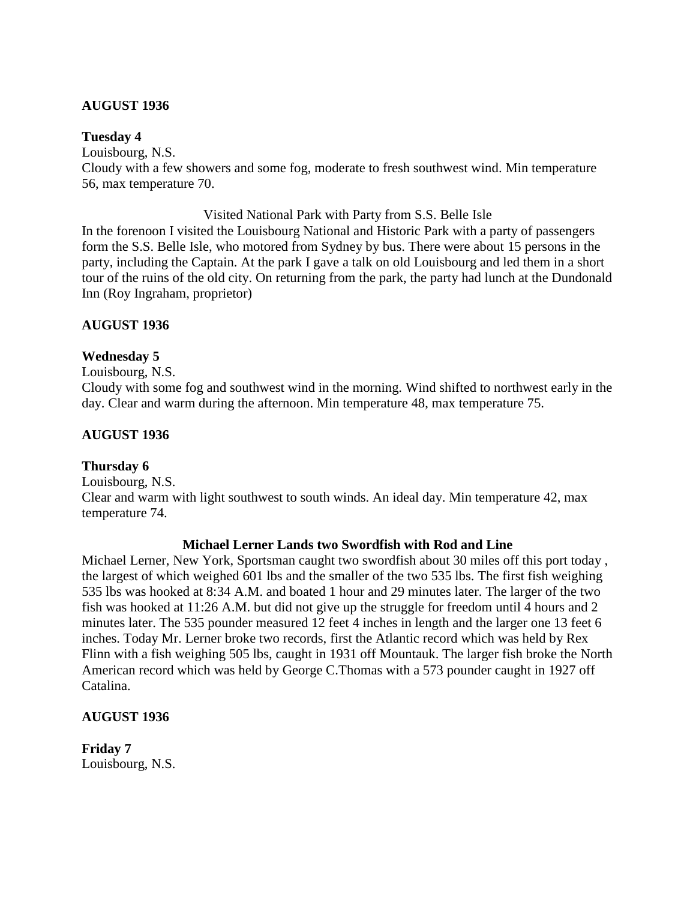#### **AUGUST 1936**

#### **Tuesday 4**

Louisbourg, N.S. Cloudy with a few showers and some fog, moderate to fresh southwest wind. Min temperature 56, max temperature 70.

#### Visited National Park with Party from S.S. Belle Isle

In the forenoon I visited the Louisbourg National and Historic Park with a party of passengers form the S.S. Belle Isle, who motored from Sydney by bus. There were about 15 persons in the party, including the Captain. At the park I gave a talk on old Louisbourg and led them in a short tour of the ruins of the old city. On returning from the park, the party had lunch at the Dundonald Inn (Roy Ingraham, proprietor)

### **AUGUST 1936**

### **Wednesday 5**

Louisbourg, N.S.

Cloudy with some fog and southwest wind in the morning. Wind shifted to northwest early in the day. Clear and warm during the afternoon. Min temperature 48, max temperature 75.

#### **AUGUST 1936**

#### **Thursday 6**

Louisbourg, N.S.

Clear and warm with light southwest to south winds. An ideal day. Min temperature 42, max temperature 74.

#### **Michael Lerner Lands two Swordfish with Rod and Line**

Michael Lerner, New York, Sportsman caught two swordfish about 30 miles off this port today , the largest of which weighed 601 lbs and the smaller of the two 535 lbs. The first fish weighing 535 lbs was hooked at 8:34 A.M. and boated 1 hour and 29 minutes later. The larger of the two fish was hooked at 11:26 A.M. but did not give up the struggle for freedom until 4 hours and 2 minutes later. The 535 pounder measured 12 feet 4 inches in length and the larger one 13 feet 6 inches. Today Mr. Lerner broke two records, first the Atlantic record which was held by Rex Flinn with a fish weighing 505 lbs, caught in 1931 off Mountauk. The larger fish broke the North American record which was held by George C.Thomas with a 573 pounder caught in 1927 off Catalina.

#### **AUGUST 1936**

**Friday 7** Louisbourg, N.S.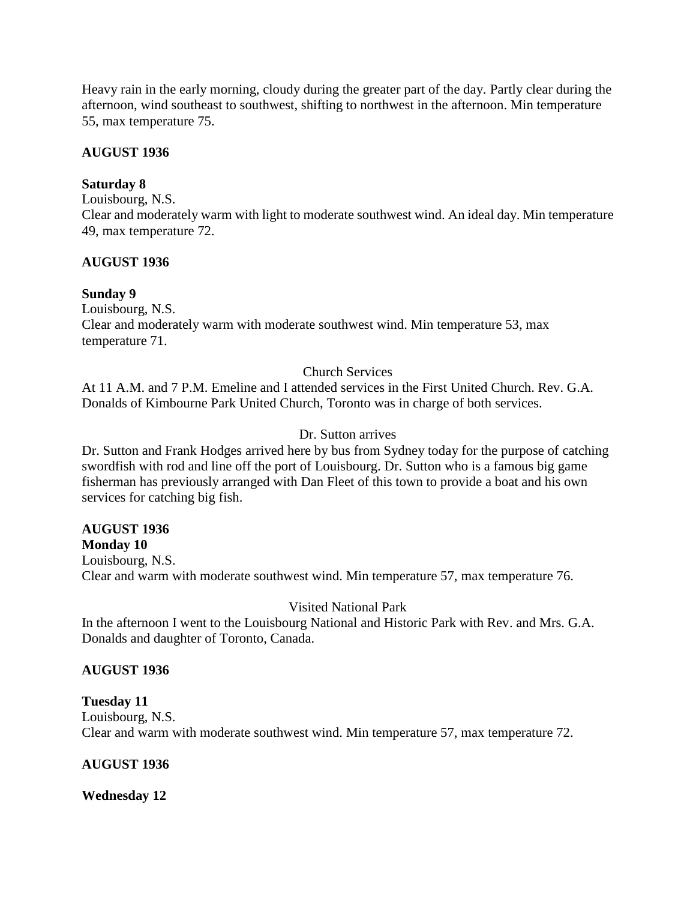Heavy rain in the early morning, cloudy during the greater part of the day. Partly clear during the afternoon, wind southeast to southwest, shifting to northwest in the afternoon. Min temperature 55, max temperature 75.

#### **AUGUST 1936**

### **Saturday 8**

Louisbourg, N.S.

Clear and moderately warm with light to moderate southwest wind. An ideal day. Min temperature 49, max temperature 72.

### **AUGUST 1936**

# **Sunday 9**

Louisbourg, N.S. Clear and moderately warm with moderate southwest wind. Min temperature 53, max temperature 71.

# Church Services

At 11 A.M. and 7 P.M. Emeline and I attended services in the First United Church. Rev. G.A. Donalds of Kimbourne Park United Church, Toronto was in charge of both services.

# Dr. Sutton arrives

Dr. Sutton and Frank Hodges arrived here by bus from Sydney today for the purpose of catching swordfish with rod and line off the port of Louisbourg. Dr. Sutton who is a famous big game fisherman has previously arranged with Dan Fleet of this town to provide a boat and his own services for catching big fish.

# **AUGUST 1936**

**Monday 10** Louisbourg, N.S. Clear and warm with moderate southwest wind. Min temperature 57, max temperature 76.

# Visited National Park

In the afternoon I went to the Louisbourg National and Historic Park with Rev. and Mrs. G.A. Donalds and daughter of Toronto, Canada.

# **AUGUST 1936**

#### **Tuesday 11**

Louisbourg, N.S. Clear and warm with moderate southwest wind. Min temperature 57, max temperature 72.

# **AUGUST 1936**

**Wednesday 12**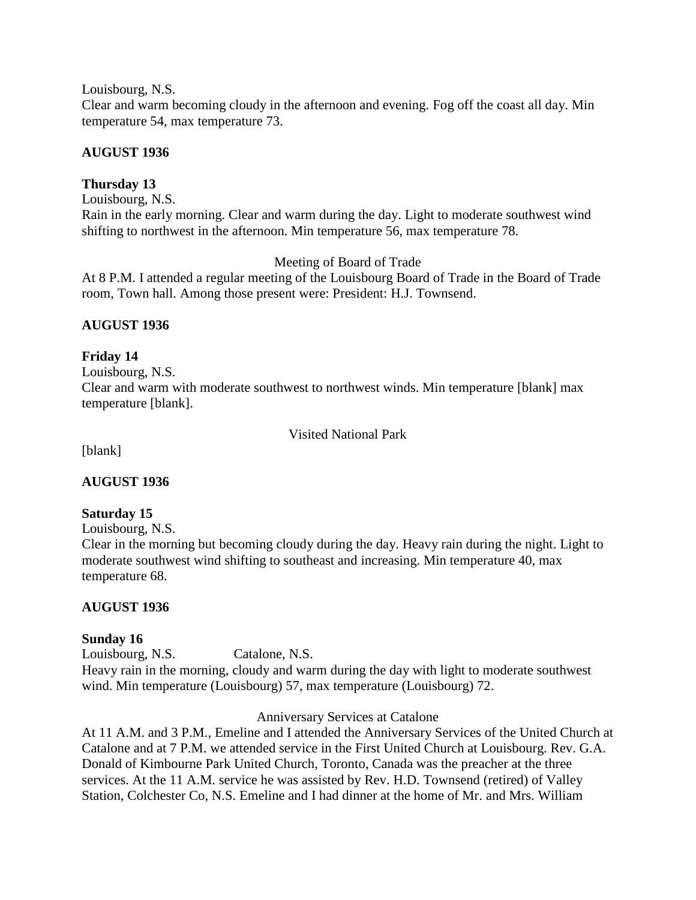Louisbourg, N.S.

Clear and warm becoming cloudy in the afternoon and evening. Fog off the coast all day. Min temperature 54, max temperature 73.

# **AUGUST 1936**

# **Thursday 13**

Louisbourg, N.S. Rain in the early morning. Clear and warm during the day. Light to moderate southwest wind shifting to northwest in the afternoon. Min temperature 56, max temperature 78.

Meeting of Board of Trade

At 8 P.M. I attended a regular meeting of the Louisbourg Board of Trade in the Board of Trade room, Town hall. Among those present were: President: H.J. Townsend.

# **AUGUST 1936**

# **Friday 14**

Louisbourg, N.S. Clear and warm with moderate southwest to northwest winds. Min temperature [blank] max temperature [blank].

Visited National Park

[blank]

# **AUGUST 1936**

# **Saturday 15**

Louisbourg, N.S.

Clear in the morning but becoming cloudy during the day. Heavy rain during the night. Light to moderate southwest wind shifting to southeast and increasing. Min temperature 40, max temperature 68.

# **AUGUST 1936**

# **Sunday 16**

Louisbourg, N.S. Catalone, N.S. Heavy rain in the morning, cloudy and warm during the day with light to moderate southwest wind. Min temperature (Louisbourg) 57, max temperature (Louisbourg) 72.

Anniversary Services at Catalone

At 11 A.M. and 3 P.M., Emeline and I attended the Anniversary Services of the United Church at Catalone and at 7 P.M. we attended service in the First United Church at Louisbourg. Rev. G.A. Donald of Kimbourne Park United Church, Toronto, Canada was the preacher at the three services. At the 11 A.M. service he was assisted by Rev. H.D. Townsend (retired) of Valley Station, Colchester Co, N.S. Emeline and I had dinner at the home of Mr. and Mrs. William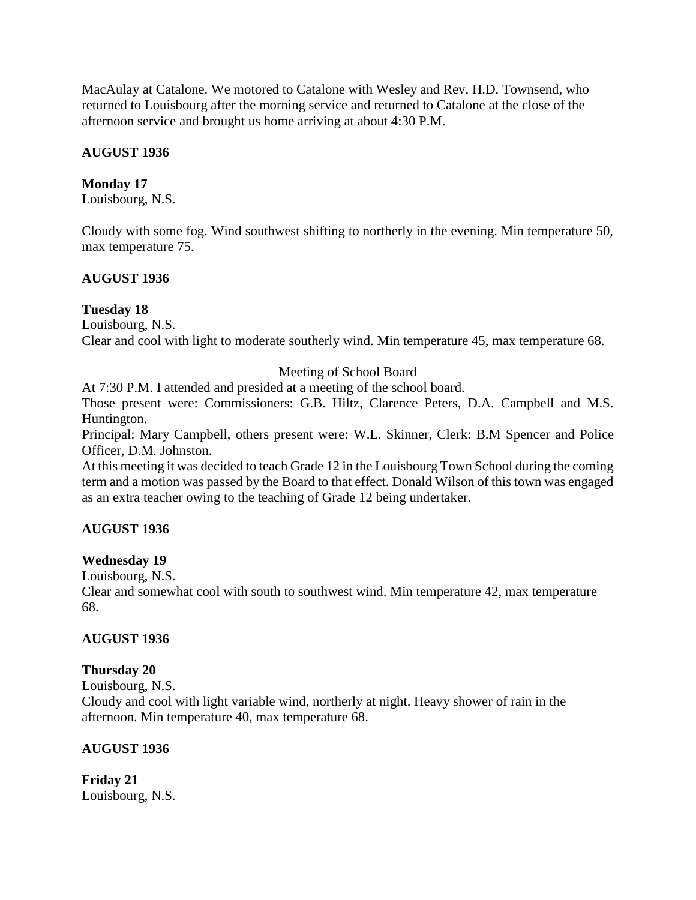MacAulay at Catalone. We motored to Catalone with Wesley and Rev. H.D. Townsend, who returned to Louisbourg after the morning service and returned to Catalone at the close of the afternoon service and brought us home arriving at about 4:30 P.M.

### **AUGUST 1936**

#### **Monday 17**

Louisbourg, N.S.

Cloudy with some fog. Wind southwest shifting to northerly in the evening. Min temperature 50, max temperature 75.

### **AUGUST 1936**

#### **Tuesday 18**

Louisbourg, N.S.

Clear and cool with light to moderate southerly wind. Min temperature 45, max temperature 68.

### Meeting of School Board

At 7:30 P.M. I attended and presided at a meeting of the school board.

Those present were: Commissioners: G.B. Hiltz, Clarence Peters, D.A. Campbell and M.S. Huntington.

Principal: Mary Campbell, others present were: W.L. Skinner, Clerk: B.M Spencer and Police Officer, D.M. Johnston.

At this meeting it was decided to teach Grade 12 in the Louisbourg Town School during the coming term and a motion was passed by the Board to that effect. Donald Wilson of this town was engaged as an extra teacher owing to the teaching of Grade 12 being undertaker.

#### **AUGUST 1936**

#### **Wednesday 19**

Louisbourg, N.S.

Clear and somewhat cool with south to southwest wind. Min temperature 42, max temperature 68.

#### **AUGUST 1936**

#### **Thursday 20**

Louisbourg, N.S.

Cloudy and cool with light variable wind, northerly at night. Heavy shower of rain in the afternoon. Min temperature 40, max temperature 68.

#### **AUGUST 1936**

**Friday 21** Louisbourg, N.S.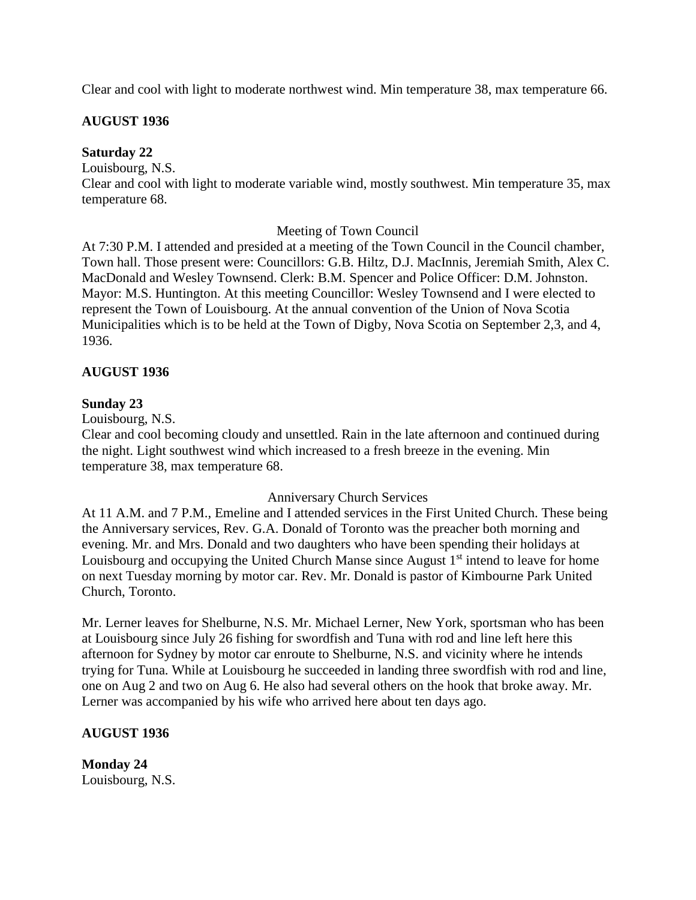Clear and cool with light to moderate northwest wind. Min temperature 38, max temperature 66.

### **AUGUST 1936**

#### **Saturday 22**

Louisbourg, N.S.

Clear and cool with light to moderate variable wind, mostly southwest. Min temperature 35, max temperature 68.

#### Meeting of Town Council

At 7:30 P.M. I attended and presided at a meeting of the Town Council in the Council chamber, Town hall. Those present were: Councillors: G.B. Hiltz, D.J. MacInnis, Jeremiah Smith, Alex C. MacDonald and Wesley Townsend. Clerk: B.M. Spencer and Police Officer: D.M. Johnston. Mayor: M.S. Huntington. At this meeting Councillor: Wesley Townsend and I were elected to represent the Town of Louisbourg. At the annual convention of the Union of Nova Scotia Municipalities which is to be held at the Town of Digby, Nova Scotia on September 2,3, and 4, 1936.

#### **AUGUST 1936**

### **Sunday 23**

Louisbourg, N.S.

Clear and cool becoming cloudy and unsettled. Rain in the late afternoon and continued during the night. Light southwest wind which increased to a fresh breeze in the evening. Min temperature 38, max temperature 68.

#### Anniversary Church Services

At 11 A.M. and 7 P.M., Emeline and I attended services in the First United Church. These being the Anniversary services, Rev. G.A. Donald of Toronto was the preacher both morning and evening. Mr. and Mrs. Donald and two daughters who have been spending their holidays at Louisbourg and occupying the United Church Manse since August 1<sup>st</sup> intend to leave for home on next Tuesday morning by motor car. Rev. Mr. Donald is pastor of Kimbourne Park United Church, Toronto.

Mr. Lerner leaves for Shelburne, N.S. Mr. Michael Lerner, New York, sportsman who has been at Louisbourg since July 26 fishing for swordfish and Tuna with rod and line left here this afternoon for Sydney by motor car enroute to Shelburne, N.S. and vicinity where he intends trying for Tuna. While at Louisbourg he succeeded in landing three swordfish with rod and line, one on Aug 2 and two on Aug 6. He also had several others on the hook that broke away. Mr. Lerner was accompanied by his wife who arrived here about ten days ago.

# **AUGUST 1936**

**Monday 24** Louisbourg, N.S.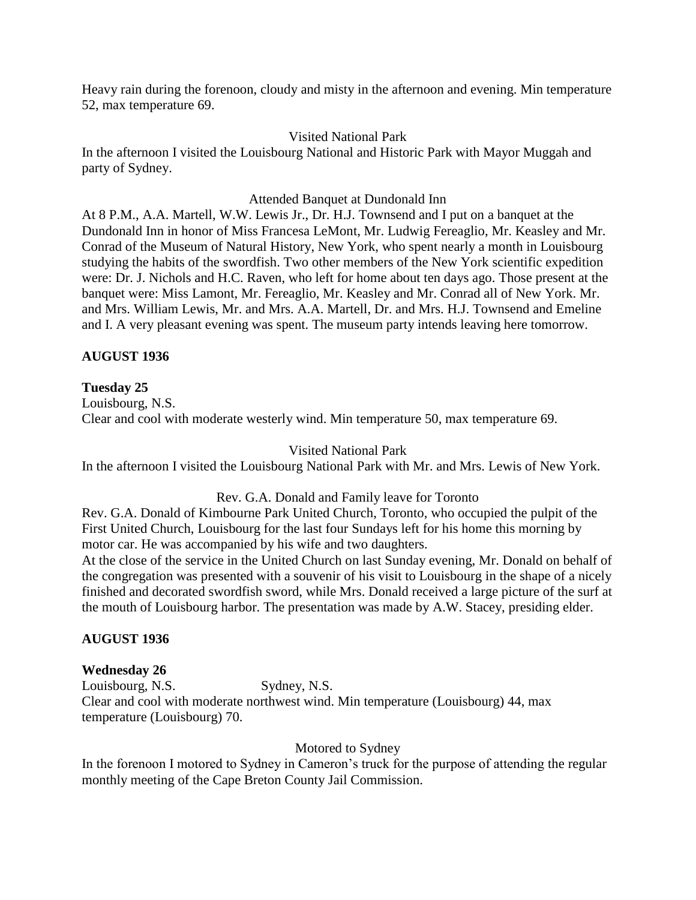Heavy rain during the forenoon, cloudy and misty in the afternoon and evening. Min temperature 52, max temperature 69.

#### Visited National Park

In the afternoon I visited the Louisbourg National and Historic Park with Mayor Muggah and party of Sydney.

#### Attended Banquet at Dundonald Inn

At 8 P.M., A.A. Martell, W.W. Lewis Jr., Dr. H.J. Townsend and I put on a banquet at the Dundonald Inn in honor of Miss Francesa LeMont, Mr. Ludwig Fereaglio, Mr. Keasley and Mr. Conrad of the Museum of Natural History, New York, who spent nearly a month in Louisbourg studying the habits of the swordfish. Two other members of the New York scientific expedition were: Dr. J. Nichols and H.C. Raven, who left for home about ten days ago. Those present at the banquet were: Miss Lamont, Mr. Fereaglio, Mr. Keasley and Mr. Conrad all of New York. Mr. and Mrs. William Lewis, Mr. and Mrs. A.A. Martell, Dr. and Mrs. H.J. Townsend and Emeline and I. A very pleasant evening was spent. The museum party intends leaving here tomorrow.

### **AUGUST 1936**

#### **Tuesday 25**

Louisbourg, N.S. Clear and cool with moderate westerly wind. Min temperature 50, max temperature 69.

#### Visited National Park

In the afternoon I visited the Louisbourg National Park with Mr. and Mrs. Lewis of New York.

#### Rev. G.A. Donald and Family leave for Toronto

Rev. G.A. Donald of Kimbourne Park United Church, Toronto, who occupied the pulpit of the First United Church, Louisbourg for the last four Sundays left for his home this morning by motor car. He was accompanied by his wife and two daughters.

At the close of the service in the United Church on last Sunday evening, Mr. Donald on behalf of the congregation was presented with a souvenir of his visit to Louisbourg in the shape of a nicely finished and decorated swordfish sword, while Mrs. Donald received a large picture of the surf at the mouth of Louisbourg harbor. The presentation was made by A.W. Stacey, presiding elder.

#### **AUGUST 1936**

# **Wednesday 26**

Louisbourg, N.S. Sydney, N.S. Clear and cool with moderate northwest wind. Min temperature (Louisbourg) 44, max temperature (Louisbourg) 70.

#### Motored to Sydney

In the forenoon I motored to Sydney in Cameron's truck for the purpose of attending the regular monthly meeting of the Cape Breton County Jail Commission.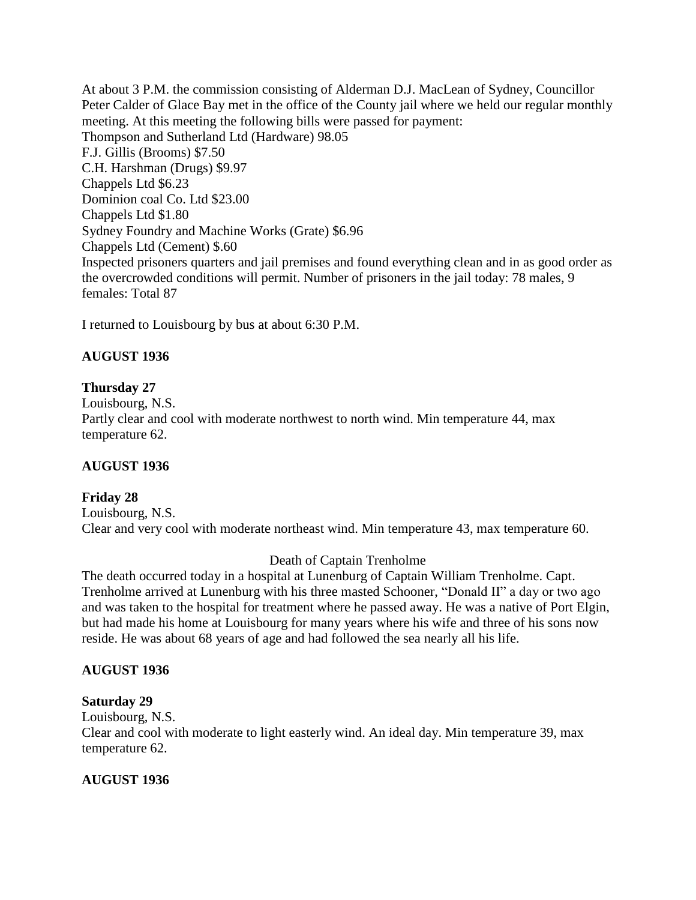At about 3 P.M. the commission consisting of Alderman D.J. MacLean of Sydney, Councillor Peter Calder of Glace Bay met in the office of the County jail where we held our regular monthly meeting. At this meeting the following bills were passed for payment: Thompson and Sutherland Ltd (Hardware) 98.05 F.J. Gillis (Brooms) \$7.50 C.H. Harshman (Drugs) \$9.97 Chappels Ltd \$6.23 Dominion coal Co. Ltd \$23.00 Chappels Ltd \$1.80 Sydney Foundry and Machine Works (Grate) \$6.96 Chappels Ltd (Cement) \$.60 Inspected prisoners quarters and jail premises and found everything clean and in as good order as the overcrowded conditions will permit. Number of prisoners in the jail today: 78 males, 9 females: Total 87

I returned to Louisbourg by bus at about 6:30 P.M.

# **AUGUST 1936**

# **Thursday 27**

Louisbourg, N.S. Partly clear and cool with moderate northwest to north wind. Min temperature 44, max temperature 62.

# **AUGUST 1936**

# **Friday 28**

Louisbourg, N.S. Clear and very cool with moderate northeast wind. Min temperature 43, max temperature 60.

# Death of Captain Trenholme

The death occurred today in a hospital at Lunenburg of Captain William Trenholme. Capt. Trenholme arrived at Lunenburg with his three masted Schooner, "Donald II" a day or two ago and was taken to the hospital for treatment where he passed away. He was a native of Port Elgin, but had made his home at Louisbourg for many years where his wife and three of his sons now reside. He was about 68 years of age and had followed the sea nearly all his life.

# **AUGUST 1936**

# **Saturday 29**

Louisbourg, N.S.

Clear and cool with moderate to light easterly wind. An ideal day. Min temperature 39, max temperature 62.

# **AUGUST 1936**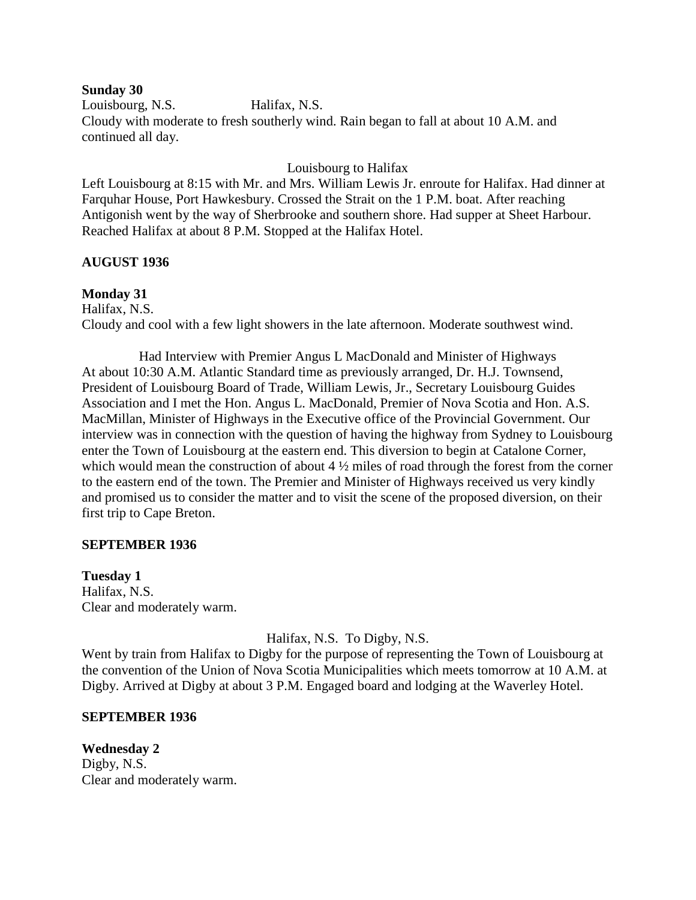#### **Sunday 30**

Louisbourg, N.S. Halifax, N.S. Cloudy with moderate to fresh southerly wind. Rain began to fall at about 10 A.M. and continued all day.

### Louisbourg to Halifax

Left Louisbourg at 8:15 with Mr. and Mrs. William Lewis Jr. enroute for Halifax. Had dinner at Farquhar House, Port Hawkesbury. Crossed the Strait on the 1 P.M. boat. After reaching Antigonish went by the way of Sherbrooke and southern shore. Had supper at Sheet Harbour. Reached Halifax at about 8 P.M. Stopped at the Halifax Hotel.

### **AUGUST 1936**

# **Monday 31**

Halifax, N.S.

Cloudy and cool with a few light showers in the late afternoon. Moderate southwest wind.

Had Interview with Premier Angus L MacDonald and Minister of Highways At about 10:30 A.M. Atlantic Standard time as previously arranged, Dr. H.J. Townsend, President of Louisbourg Board of Trade, William Lewis, Jr., Secretary Louisbourg Guides Association and I met the Hon. Angus L. MacDonald, Premier of Nova Scotia and Hon. A.S. MacMillan, Minister of Highways in the Executive office of the Provincial Government. Our interview was in connection with the question of having the highway from Sydney to Louisbourg enter the Town of Louisbourg at the eastern end. This diversion to begin at Catalone Corner, which would mean the construction of about  $4\frac{1}{2}$  miles of road through the forest from the corner to the eastern end of the town. The Premier and Minister of Highways received us very kindly and promised us to consider the matter and to visit the scene of the proposed diversion, on their first trip to Cape Breton.

#### **SEPTEMBER 1936**

#### **Tuesday 1**

Halifax, N.S. Clear and moderately warm.

Halifax, N.S. To Digby, N.S.

Went by train from Halifax to Digby for the purpose of representing the Town of Louisbourg at the convention of the Union of Nova Scotia Municipalities which meets tomorrow at 10 A.M. at Digby. Arrived at Digby at about 3 P.M. Engaged board and lodging at the Waverley Hotel.

#### **SEPTEMBER 1936**

**Wednesday 2** Digby, N.S. Clear and moderately warm.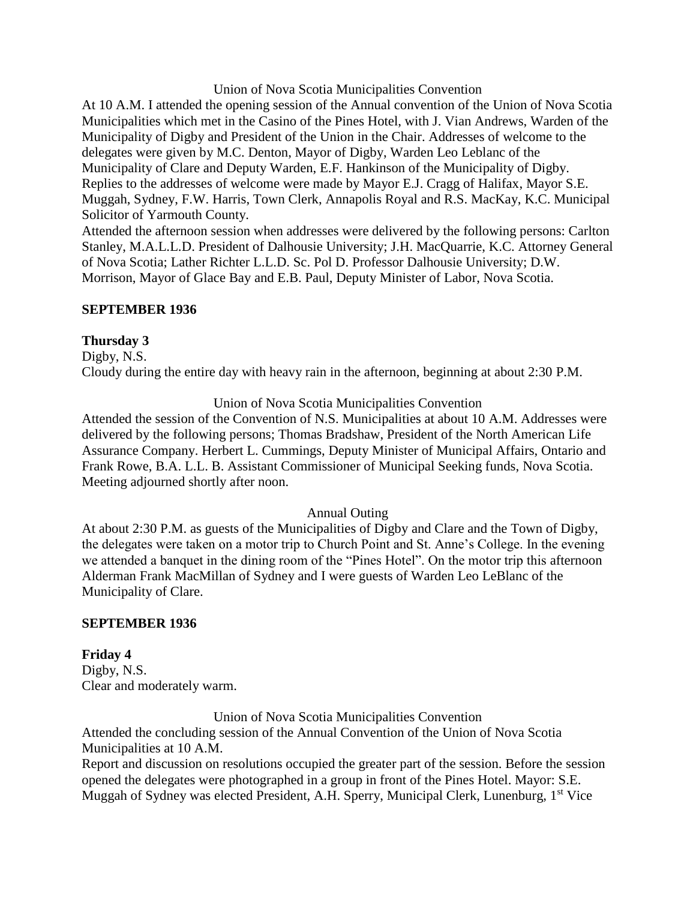#### Union of Nova Scotia Municipalities Convention

At 10 A.M. I attended the opening session of the Annual convention of the Union of Nova Scotia Municipalities which met in the Casino of the Pines Hotel, with J. Vian Andrews, Warden of the Municipality of Digby and President of the Union in the Chair. Addresses of welcome to the delegates were given by M.C. Denton, Mayor of Digby, Warden Leo Leblanc of the Municipality of Clare and Deputy Warden, E.F. Hankinson of the Municipality of Digby. Replies to the addresses of welcome were made by Mayor E.J. Cragg of Halifax, Mayor S.E. Muggah, Sydney, F.W. Harris, Town Clerk, Annapolis Royal and R.S. MacKay, K.C. Municipal Solicitor of Yarmouth County.

Attended the afternoon session when addresses were delivered by the following persons: Carlton Stanley, M.A.L.L.D. President of Dalhousie University; J.H. MacQuarrie, K.C. Attorney General of Nova Scotia; Lather Richter L.L.D. Sc. Pol D. Professor Dalhousie University; D.W. Morrison, Mayor of Glace Bay and E.B. Paul, Deputy Minister of Labor, Nova Scotia.

### **SEPTEMBER 1936**

# **Thursday 3**

Digby, N.S. Cloudy during the entire day with heavy rain in the afternoon, beginning at about 2:30 P.M.

### Union of Nova Scotia Municipalities Convention

Attended the session of the Convention of N.S. Municipalities at about 10 A.M. Addresses were delivered by the following persons; Thomas Bradshaw, President of the North American Life Assurance Company. Herbert L. Cummings, Deputy Minister of Municipal Affairs, Ontario and Frank Rowe, B.A. L.L. B. Assistant Commissioner of Municipal Seeking funds, Nova Scotia. Meeting adjourned shortly after noon.

#### Annual Outing

At about 2:30 P.M. as guests of the Municipalities of Digby and Clare and the Town of Digby, the delegates were taken on a motor trip to Church Point and St. Anne's College. In the evening we attended a banquet in the dining room of the "Pines Hotel". On the motor trip this afternoon Alderman Frank MacMillan of Sydney and I were guests of Warden Leo LeBlanc of the Municipality of Clare.

#### **SEPTEMBER 1936**

# **Friday 4**

Digby, N.S. Clear and moderately warm.

Union of Nova Scotia Municipalities Convention

Attended the concluding session of the Annual Convention of the Union of Nova Scotia Municipalities at 10 A.M.

Report and discussion on resolutions occupied the greater part of the session. Before the session opened the delegates were photographed in a group in front of the Pines Hotel. Mayor: S.E. Muggah of Sydney was elected President, A.H. Sperry, Municipal Clerk, Lunenburg, 1<sup>st</sup> Vice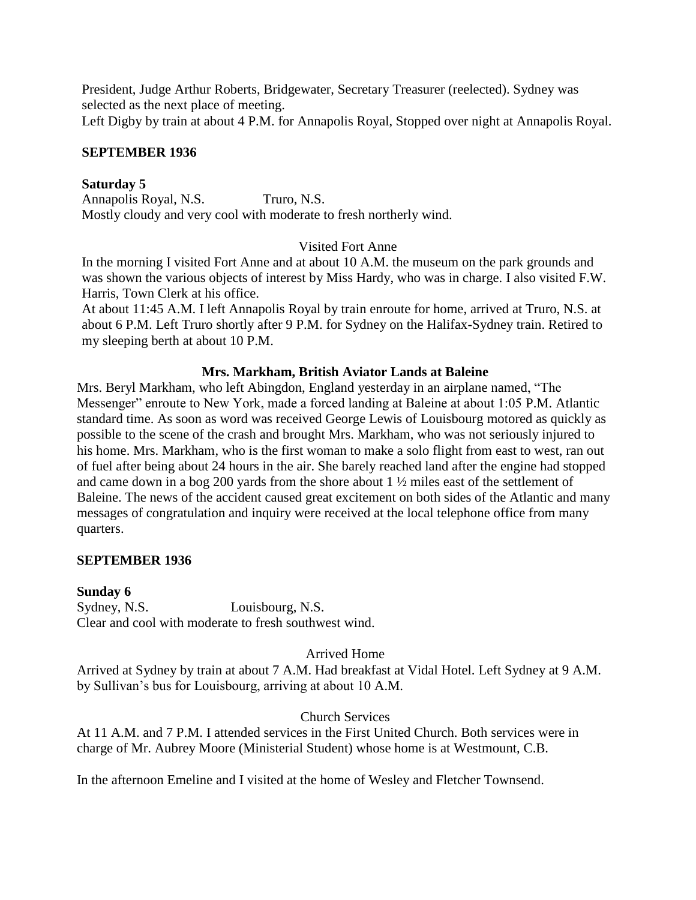President, Judge Arthur Roberts, Bridgewater, Secretary Treasurer (reelected). Sydney was selected as the next place of meeting.

Left Digby by train at about 4 P.M. for Annapolis Royal, Stopped over night at Annapolis Royal.

## **SEPTEMBER 1936**

## **Saturday 5**

Annapolis Royal, N.S. Truro, N.S. Mostly cloudy and very cool with moderate to fresh northerly wind.

## Visited Fort Anne

In the morning I visited Fort Anne and at about 10 A.M. the museum on the park grounds and was shown the various objects of interest by Miss Hardy, who was in charge. I also visited F.W. Harris, Town Clerk at his office.

At about 11:45 A.M. I left Annapolis Royal by train enroute for home, arrived at Truro, N.S. at about 6 P.M. Left Truro shortly after 9 P.M. for Sydney on the Halifax-Sydney train. Retired to my sleeping berth at about 10 P.M.

## **Mrs. Markham, British Aviator Lands at Baleine**

Mrs. Beryl Markham, who left Abingdon, England yesterday in an airplane named, "The Messenger" enroute to New York, made a forced landing at Baleine at about 1:05 P.M. Atlantic standard time. As soon as word was received George Lewis of Louisbourg motored as quickly as possible to the scene of the crash and brought Mrs. Markham, who was not seriously injured to his home. Mrs. Markham, who is the first woman to make a solo flight from east to west, ran out of fuel after being about 24 hours in the air. She barely reached land after the engine had stopped and came down in a bog 200 yards from the shore about 1 ½ miles east of the settlement of Baleine. The news of the accident caused great excitement on both sides of the Atlantic and many messages of congratulation and inquiry were received at the local telephone office from many quarters.

### **SEPTEMBER 1936**

### **Sunday 6**

Sydney, N.S. Louisbourg, N.S. Clear and cool with moderate to fresh southwest wind.

### Arrived Home

Arrived at Sydney by train at about 7 A.M. Had breakfast at Vidal Hotel. Left Sydney at 9 A.M. by Sullivan's bus for Louisbourg, arriving at about 10 A.M.

# Church Services

At 11 A.M. and 7 P.M. I attended services in the First United Church. Both services were in charge of Mr. Aubrey Moore (Ministerial Student) whose home is at Westmount, C.B.

In the afternoon Emeline and I visited at the home of Wesley and Fletcher Townsend.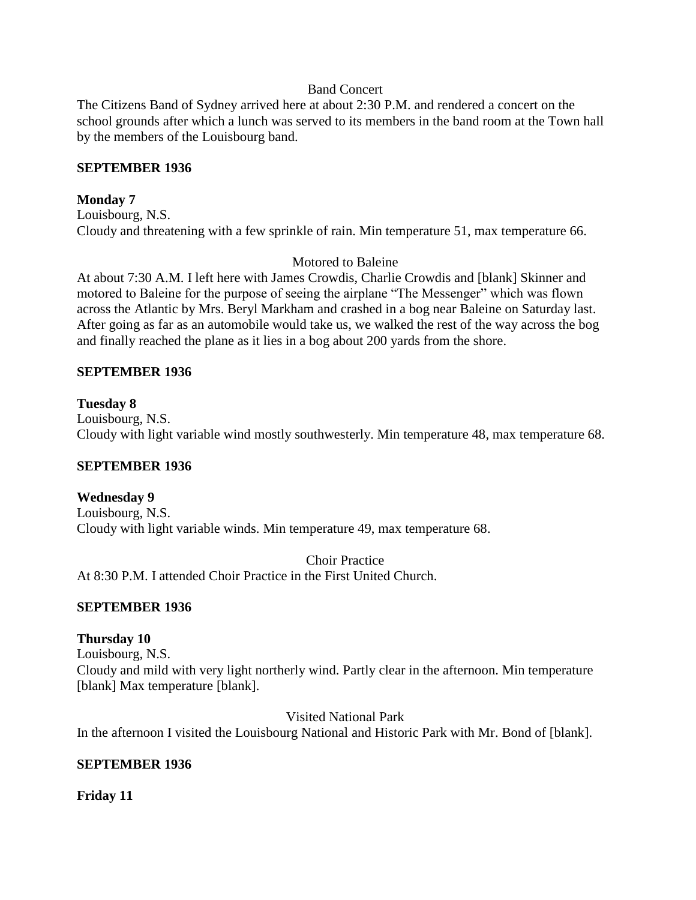### Band Concert

The Citizens Band of Sydney arrived here at about 2:30 P.M. and rendered a concert on the school grounds after which a lunch was served to its members in the band room at the Town hall by the members of the Louisbourg band.

### **SEPTEMBER 1936**

### **Monday 7**

Louisbourg, N.S. Cloudy and threatening with a few sprinkle of rain. Min temperature 51, max temperature 66.

### Motored to Baleine

At about 7:30 A.M. I left here with James Crowdis, Charlie Crowdis and [blank] Skinner and motored to Baleine for the purpose of seeing the airplane "The Messenger" which was flown across the Atlantic by Mrs. Beryl Markham and crashed in a bog near Baleine on Saturday last. After going as far as an automobile would take us, we walked the rest of the way across the bog and finally reached the plane as it lies in a bog about 200 yards from the shore.

### **SEPTEMBER 1936**

### **Tuesday 8**

Louisbourg, N.S. Cloudy with light variable wind mostly southwesterly. Min temperature 48, max temperature 68.

### **SEPTEMBER 1936**

### **Wednesday 9**

Louisbourg, N.S. Cloudy with light variable winds. Min temperature 49, max temperature 68.

Choir Practice

At 8:30 P.M. I attended Choir Practice in the First United Church.

### **SEPTEMBER 1936**

### **Thursday 10**

Louisbourg, N.S.

Cloudy and mild with very light northerly wind. Partly clear in the afternoon. Min temperature [blank] Max temperature [blank].

Visited National Park

In the afternoon I visited the Louisbourg National and Historic Park with Mr. Bond of [blank].

### **SEPTEMBER 1936**

### **Friday 11**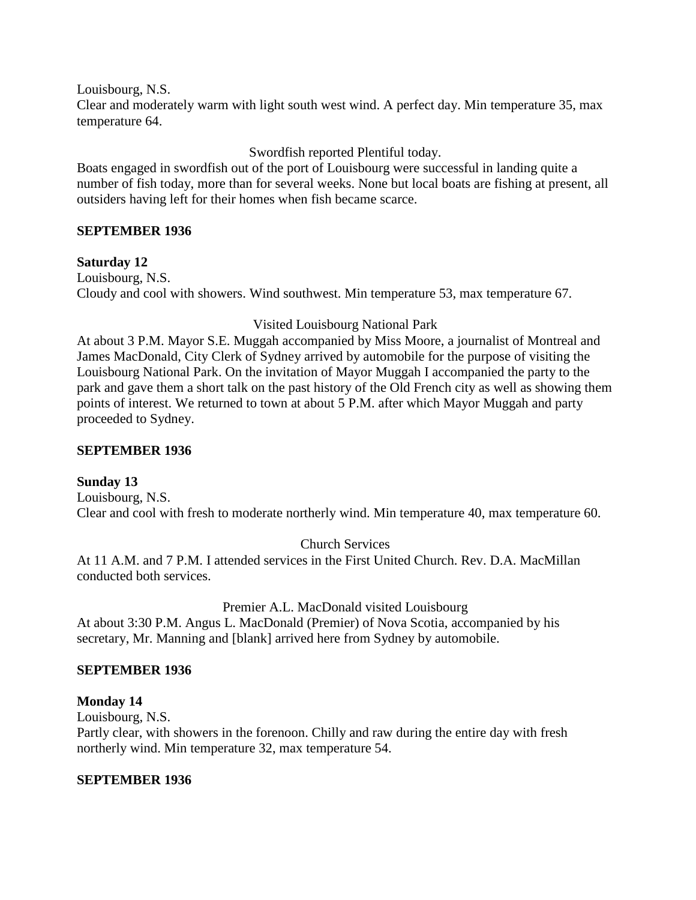Louisbourg, N.S.

Clear and moderately warm with light south west wind. A perfect day. Min temperature 35, max temperature 64.

Swordfish reported Plentiful today.

Boats engaged in swordfish out of the port of Louisbourg were successful in landing quite a number of fish today, more than for several weeks. None but local boats are fishing at present, all outsiders having left for their homes when fish became scarce.

# **SEPTEMBER 1936**

**Saturday 12** Louisbourg, N.S. Cloudy and cool with showers. Wind southwest. Min temperature 53, max temperature 67.

# Visited Louisbourg National Park

At about 3 P.M. Mayor S.E. Muggah accompanied by Miss Moore, a journalist of Montreal and James MacDonald, City Clerk of Sydney arrived by automobile for the purpose of visiting the Louisbourg National Park. On the invitation of Mayor Muggah I accompanied the party to the park and gave them a short talk on the past history of the Old French city as well as showing them points of interest. We returned to town at about 5 P.M. after which Mayor Muggah and party proceeded to Sydney.

## **SEPTEMBER 1936**

# **Sunday 13**

Louisbourg, N.S. Clear and cool with fresh to moderate northerly wind. Min temperature 40, max temperature 60.

Church Services

At 11 A.M. and 7 P.M. I attended services in the First United Church. Rev. D.A. MacMillan conducted both services.

Premier A.L. MacDonald visited Louisbourg

At about 3:30 P.M. Angus L. MacDonald (Premier) of Nova Scotia, accompanied by his secretary, Mr. Manning and [blank] arrived here from Sydney by automobile.

# **SEPTEMBER 1936**

# **Monday 14**

Louisbourg, N.S.

Partly clear, with showers in the forenoon. Chilly and raw during the entire day with fresh northerly wind. Min temperature 32, max temperature 54.

# **SEPTEMBER 1936**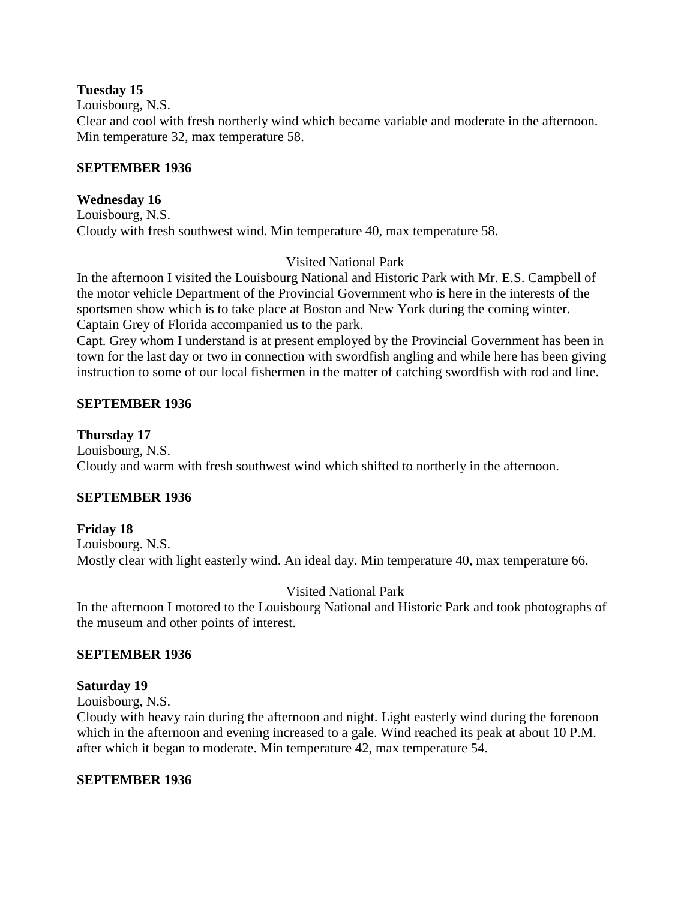### **Tuesday 15**

Louisbourg, N.S.

Clear and cool with fresh northerly wind which became variable and moderate in the afternoon. Min temperature 32, max temperature 58.

### **SEPTEMBER 1936**

### **Wednesday 16**

Louisbourg, N.S. Cloudy with fresh southwest wind. Min temperature 40, max temperature 58.

# Visited National Park

In the afternoon I visited the Louisbourg National and Historic Park with Mr. E.S. Campbell of the motor vehicle Department of the Provincial Government who is here in the interests of the sportsmen show which is to take place at Boston and New York during the coming winter. Captain Grey of Florida accompanied us to the park.

Capt. Grey whom I understand is at present employed by the Provincial Government has been in town for the last day or two in connection with swordfish angling and while here has been giving instruction to some of our local fishermen in the matter of catching swordfish with rod and line.

# **SEPTEMBER 1936**

## **Thursday 17**

Louisbourg, N.S. Cloudy and warm with fresh southwest wind which shifted to northerly in the afternoon.

# **SEPTEMBER 1936**

# **Friday 18**

Louisbourg. N.S. Mostly clear with light easterly wind. An ideal day. Min temperature 40, max temperature 66.

# Visited National Park

In the afternoon I motored to the Louisbourg National and Historic Park and took photographs of the museum and other points of interest.

### **SEPTEMBER 1936**

### **Saturday 19**

Louisbourg, N.S.

Cloudy with heavy rain during the afternoon and night. Light easterly wind during the forenoon which in the afternoon and evening increased to a gale. Wind reached its peak at about 10 P.M. after which it began to moderate. Min temperature 42, max temperature 54.

# **SEPTEMBER 1936**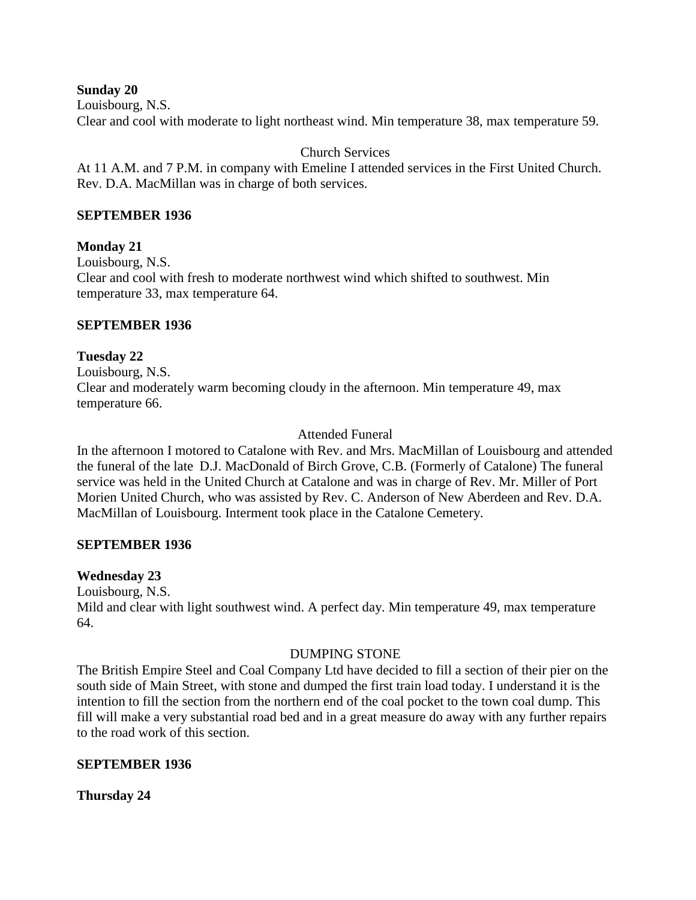**Sunday 20**

Louisbourg, N.S.

Clear and cool with moderate to light northeast wind. Min temperature 38, max temperature 59.

Church Services

At 11 A.M. and 7 P.M. in company with Emeline I attended services in the First United Church. Rev. D.A. MacMillan was in charge of both services.

## **SEPTEMBER 1936**

# **Monday 21**

Louisbourg, N.S. Clear and cool with fresh to moderate northwest wind which shifted to southwest. Min temperature 33, max temperature 64.

## **SEPTEMBER 1936**

## **Tuesday 22**

Louisbourg, N.S. Clear and moderately warm becoming cloudy in the afternoon. Min temperature 49, max temperature 66.

## Attended Funeral

In the afternoon I motored to Catalone with Rev. and Mrs. MacMillan of Louisbourg and attended the funeral of the late D.J. MacDonald of Birch Grove, C.B. (Formerly of Catalone) The funeral service was held in the United Church at Catalone and was in charge of Rev. Mr. Miller of Port Morien United Church, who was assisted by Rev. C. Anderson of New Aberdeen and Rev. D.A. MacMillan of Louisbourg. Interment took place in the Catalone Cemetery.

### **SEPTEMBER 1936**

### **Wednesday 23**

Louisbourg, N.S.

Mild and clear with light southwest wind. A perfect day. Min temperature 49, max temperature 64.

### DUMPING STONE

The British Empire Steel and Coal Company Ltd have decided to fill a section of their pier on the south side of Main Street, with stone and dumped the first train load today. I understand it is the intention to fill the section from the northern end of the coal pocket to the town coal dump. This fill will make a very substantial road bed and in a great measure do away with any further repairs to the road work of this section.

# **SEPTEMBER 1936**

**Thursday 24**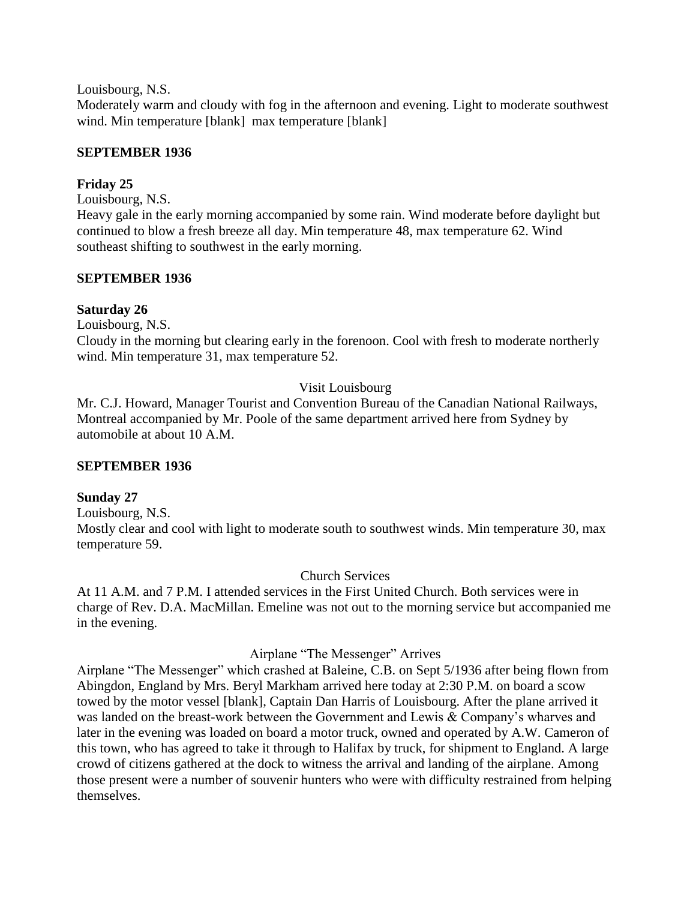Louisbourg, N.S.

Moderately warm and cloudy with fog in the afternoon and evening. Light to moderate southwest wind. Min temperature [blank] max temperature [blank]

# **SEPTEMBER 1936**

# **Friday 25**

Louisbourg, N.S.

Heavy gale in the early morning accompanied by some rain. Wind moderate before daylight but continued to blow a fresh breeze all day. Min temperature 48, max temperature 62. Wind southeast shifting to southwest in the early morning.

# **SEPTEMBER 1936**

# **Saturday 26**

Louisbourg, N.S.

Cloudy in the morning but clearing early in the forenoon. Cool with fresh to moderate northerly wind. Min temperature 31, max temperature 52.

# Visit Louisbourg

Mr. C.J. Howard, Manager Tourist and Convention Bureau of the Canadian National Railways, Montreal accompanied by Mr. Poole of the same department arrived here from Sydney by automobile at about 10 A.M.

# **SEPTEMBER 1936**

# **Sunday 27**

Louisbourg, N.S. Mostly clear and cool with light to moderate south to southwest winds. Min temperature 30, max temperature 59.

Church Services

At 11 A.M. and 7 P.M. I attended services in the First United Church. Both services were in charge of Rev. D.A. MacMillan. Emeline was not out to the morning service but accompanied me in the evening.

# Airplane "The Messenger" Arrives

Airplane "The Messenger" which crashed at Baleine, C.B. on Sept 5/1936 after being flown from Abingdon, England by Mrs. Beryl Markham arrived here today at 2:30 P.M. on board a scow towed by the motor vessel [blank], Captain Dan Harris of Louisbourg. After the plane arrived it was landed on the breast-work between the Government and Lewis & Company's wharves and later in the evening was loaded on board a motor truck, owned and operated by A.W. Cameron of this town, who has agreed to take it through to Halifax by truck, for shipment to England. A large crowd of citizens gathered at the dock to witness the arrival and landing of the airplane. Among those present were a number of souvenir hunters who were with difficulty restrained from helping themselves.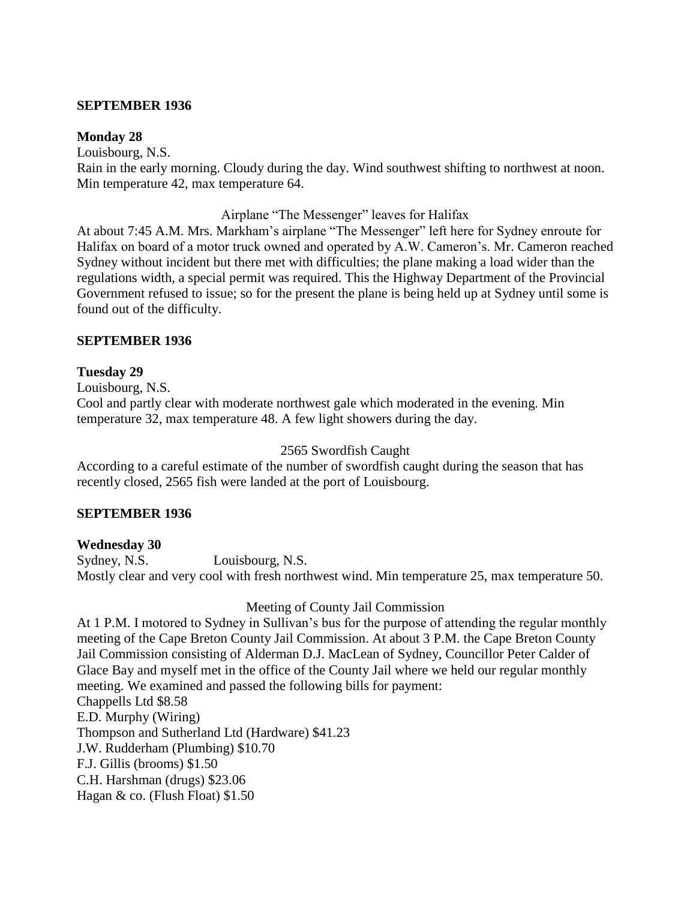### **SEPTEMBER 1936**

#### **Monday 28**

Louisbourg, N.S. Rain in the early morning. Cloudy during the day. Wind southwest shifting to northwest at noon. Min temperature 42, max temperature 64.

### Airplane "The Messenger" leaves for Halifax

At about 7:45 A.M. Mrs. Markham's airplane "The Messenger" left here for Sydney enroute for Halifax on board of a motor truck owned and operated by A.W. Cameron's. Mr. Cameron reached Sydney without incident but there met with difficulties; the plane making a load wider than the regulations width, a special permit was required. This the Highway Department of the Provincial Government refused to issue; so for the present the plane is being held up at Sydney until some is found out of the difficulty.

### **SEPTEMBER 1936**

### **Tuesday 29**

Louisbourg, N.S.

Cool and partly clear with moderate northwest gale which moderated in the evening. Min temperature 32, max temperature 48. A few light showers during the day.

#### 2565 Swordfish Caught

According to a careful estimate of the number of swordfish caught during the season that has recently closed, 2565 fish were landed at the port of Louisbourg.

### **SEPTEMBER 1936**

### **Wednesday 30**

Sydney, N.S. Louisbourg, N.S. Mostly clear and very cool with fresh northwest wind. Min temperature 25, max temperature 50.

### Meeting of County Jail Commission

At 1 P.M. I motored to Sydney in Sullivan's bus for the purpose of attending the regular monthly meeting of the Cape Breton County Jail Commission. At about 3 P.M. the Cape Breton County Jail Commission consisting of Alderman D.J. MacLean of Sydney, Councillor Peter Calder of Glace Bay and myself met in the office of the County Jail where we held our regular monthly meeting. We examined and passed the following bills for payment: Chappells Ltd \$8.58 E.D. Murphy (Wiring) Thompson and Sutherland Ltd (Hardware) \$41.23 J.W. Rudderham (Plumbing) \$10.70 F.J. Gillis (brooms) \$1.50 C.H. Harshman (drugs) \$23.06 Hagan & co. (Flush Float) \$1.50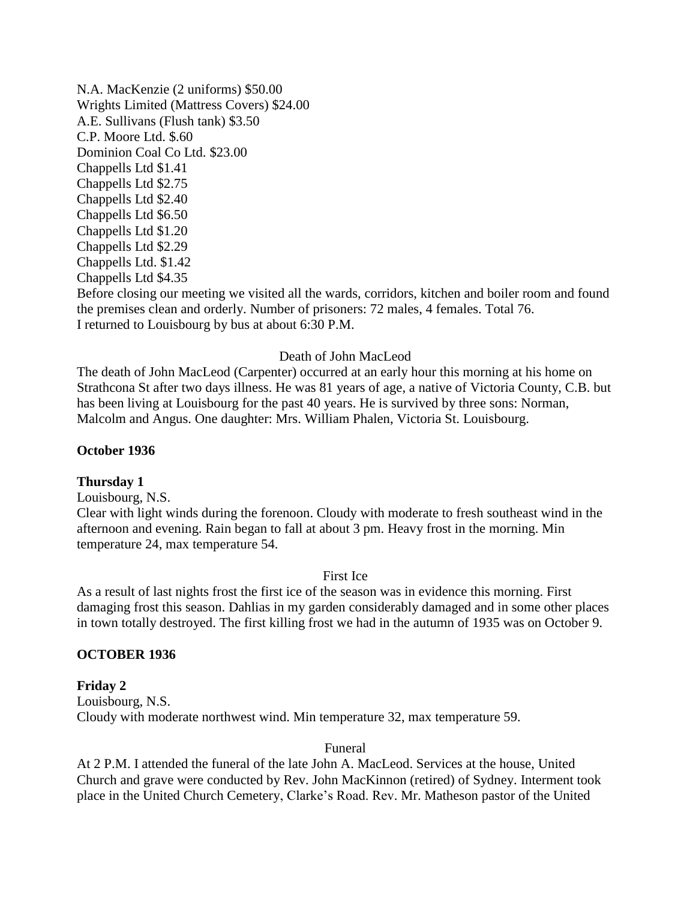N.A. MacKenzie (2 uniforms) \$50.00 Wrights Limited (Mattress Covers) \$24.00 A.E. Sullivans (Flush tank) \$3.50 C.P. Moore Ltd. \$.60 Dominion Coal Co Ltd. \$23.00 Chappells Ltd \$1.41 Chappells Ltd \$2.75 Chappells Ltd \$2.40 Chappells Ltd \$6.50 Chappells Ltd \$1.20 Chappells Ltd \$2.29 Chappells Ltd. \$1.42 Chappells Ltd \$4.35 Before closing our meeting we visited all the wards, corridors, kitchen and boiler room and found the premises clean and orderly. Number of prisoners: 72 males, 4 females. Total 76. I returned to Louisbourg by bus at about 6:30 P.M.

### Death of John MacLeod

The death of John MacLeod (Carpenter) occurred at an early hour this morning at his home on Strathcona St after two days illness. He was 81 years of age, a native of Victoria County, C.B. but has been living at Louisbourg for the past 40 years. He is survived by three sons: Norman, Malcolm and Angus. One daughter: Mrs. William Phalen, Victoria St. Louisbourg.

#### **October 1936**

#### **Thursday 1**

Louisbourg, N.S.

Clear with light winds during the forenoon. Cloudy with moderate to fresh southeast wind in the afternoon and evening. Rain began to fall at about 3 pm. Heavy frost in the morning. Min temperature 24, max temperature 54.

#### First Ice

As a result of last nights frost the first ice of the season was in evidence this morning. First damaging frost this season. Dahlias in my garden considerably damaged and in some other places in town totally destroyed. The first killing frost we had in the autumn of 1935 was on October 9.

#### **OCTOBER 1936**

#### **Friday 2**

Louisbourg, N.S. Cloudy with moderate northwest wind. Min temperature 32, max temperature 59.

#### Funeral

At 2 P.M. I attended the funeral of the late John A. MacLeod. Services at the house, United Church and grave were conducted by Rev. John MacKinnon (retired) of Sydney. Interment took place in the United Church Cemetery, Clarke's Road. Rev. Mr. Matheson pastor of the United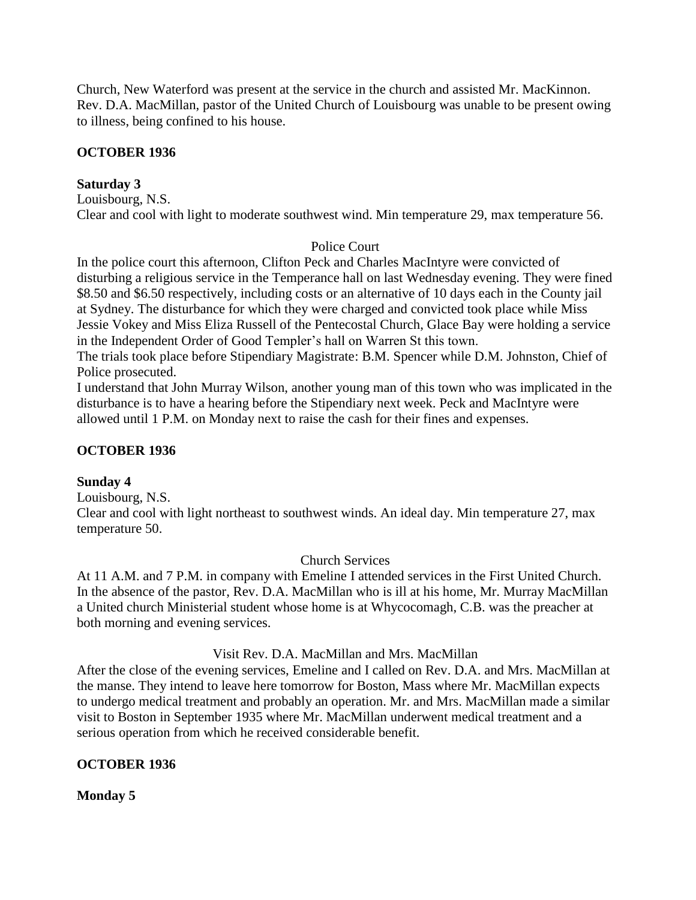Church, New Waterford was present at the service in the church and assisted Mr. MacKinnon. Rev. D.A. MacMillan, pastor of the United Church of Louisbourg was unable to be present owing to illness, being confined to his house.

## **OCTOBER 1936**

## **Saturday 3**

Louisbourg, N.S. Clear and cool with light to moderate southwest wind. Min temperature 29, max temperature 56.

## Police Court

In the police court this afternoon, Clifton Peck and Charles MacIntyre were convicted of disturbing a religious service in the Temperance hall on last Wednesday evening. They were fined \$8.50 and \$6.50 respectively, including costs or an alternative of 10 days each in the County jail at Sydney. The disturbance for which they were charged and convicted took place while Miss Jessie Vokey and Miss Eliza Russell of the Pentecostal Church, Glace Bay were holding a service in the Independent Order of Good Templer's hall on Warren St this town.

The trials took place before Stipendiary Magistrate: B.M. Spencer while D.M. Johnston, Chief of Police prosecuted.

I understand that John Murray Wilson, another young man of this town who was implicated in the disturbance is to have a hearing before the Stipendiary next week. Peck and MacIntyre were allowed until 1 P.M. on Monday next to raise the cash for their fines and expenses.

### **OCTOBER 1936**

### **Sunday 4**

Louisbourg, N.S.

Clear and cool with light northeast to southwest winds. An ideal day. Min temperature 27, max temperature 50.

Church Services

At 11 A.M. and 7 P.M. in company with Emeline I attended services in the First United Church. In the absence of the pastor, Rev. D.A. MacMillan who is ill at his home, Mr. Murray MacMillan a United church Ministerial student whose home is at Whycocomagh, C.B. was the preacher at both morning and evening services.

### Visit Rev. D.A. MacMillan and Mrs. MacMillan

After the close of the evening services, Emeline and I called on Rev. D.A. and Mrs. MacMillan at the manse. They intend to leave here tomorrow for Boston, Mass where Mr. MacMillan expects to undergo medical treatment and probably an operation. Mr. and Mrs. MacMillan made a similar visit to Boston in September 1935 where Mr. MacMillan underwent medical treatment and a serious operation from which he received considerable benefit.

### **OCTOBER 1936**

**Monday 5**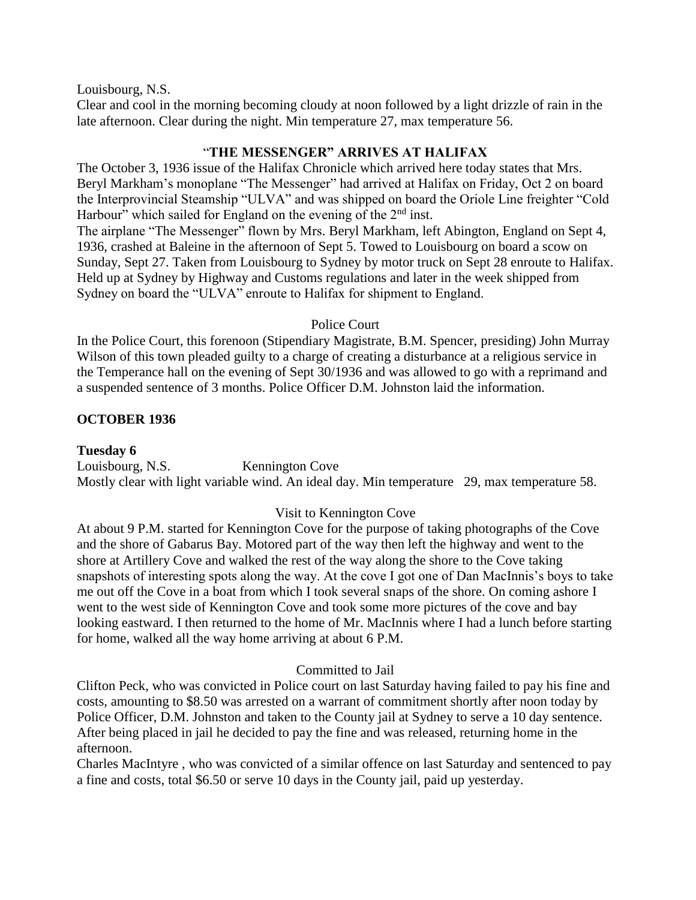Louisbourg, N.S.

Clear and cool in the morning becoming cloudy at noon followed by a light drizzle of rain in the late afternoon. Clear during the night. Min temperature 27, max temperature 56.

# "**THE MESSENGER" ARRIVES AT HALIFAX**

The October 3, 1936 issue of the Halifax Chronicle which arrived here today states that Mrs. Beryl Markham's monoplane "The Messenger" had arrived at Halifax on Friday, Oct 2 on board the Interprovincial Steamship "ULVA" and was shipped on board the Oriole Line freighter "Cold Harbour" which sailed for England on the evening of the  $2<sup>nd</sup>$  inst.

The airplane "The Messenger" flown by Mrs. Beryl Markham, left Abington, England on Sept 4, 1936, crashed at Baleine in the afternoon of Sept 5. Towed to Louisbourg on board a scow on Sunday, Sept 27. Taken from Louisbourg to Sydney by motor truck on Sept 28 enroute to Halifax. Held up at Sydney by Highway and Customs regulations and later in the week shipped from Sydney on board the "ULVA" enroute to Halifax for shipment to England.

# Police Court

In the Police Court, this forenoon (Stipendiary Magistrate, B.M. Spencer, presiding) John Murray Wilson of this town pleaded guilty to a charge of creating a disturbance at a religious service in the Temperance hall on the evening of Sept 30/1936 and was allowed to go with a reprimand and a suspended sentence of 3 months. Police Officer D.M. Johnston laid the information.

# **OCTOBER 1936**

# **Tuesday 6**

Louisbourg, N.S. Kennington Cove Mostly clear with light variable wind. An ideal day. Min temperature 29, max temperature 58.

# Visit to Kennington Cove

At about 9 P.M. started for Kennington Cove for the purpose of taking photographs of the Cove and the shore of Gabarus Bay. Motored part of the way then left the highway and went to the shore at Artillery Cove and walked the rest of the way along the shore to the Cove taking snapshots of interesting spots along the way. At the cove I got one of Dan MacInnis's boys to take me out off the Cove in a boat from which I took several snaps of the shore. On coming ashore I went to the west side of Kennington Cove and took some more pictures of the cove and bay looking eastward. I then returned to the home of Mr. MacInnis where I had a lunch before starting for home, walked all the way home arriving at about 6 P.M.

# Committed to Jail

Clifton Peck, who was convicted in Police court on last Saturday having failed to pay his fine and costs, amounting to \$8.50 was arrested on a warrant of commitment shortly after noon today by Police Officer, D.M. Johnston and taken to the County jail at Sydney to serve a 10 day sentence. After being placed in jail he decided to pay the fine and was released, returning home in the afternoon.

Charles MacIntyre , who was convicted of a similar offence on last Saturday and sentenced to pay a fine and costs, total \$6.50 or serve 10 days in the County jail, paid up yesterday.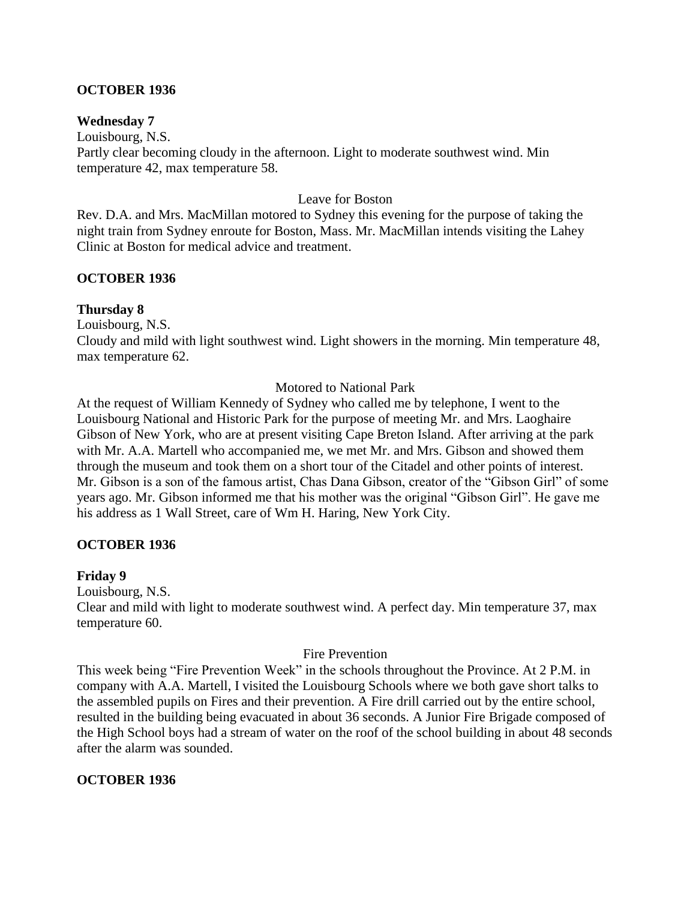## **OCTOBER 1936**

### **Wednesday 7**

Louisbourg, N.S. Partly clear becoming cloudy in the afternoon. Light to moderate southwest wind. Min temperature 42, max temperature 58.

### Leave for Boston

Rev. D.A. and Mrs. MacMillan motored to Sydney this evening for the purpose of taking the night train from Sydney enroute for Boston, Mass. Mr. MacMillan intends visiting the Lahey Clinic at Boston for medical advice and treatment.

## **OCTOBER 1936**

### **Thursday 8**

Louisbourg, N.S.

Cloudy and mild with light southwest wind. Light showers in the morning. Min temperature 48, max temperature 62.

### Motored to National Park

At the request of William Kennedy of Sydney who called me by telephone, I went to the Louisbourg National and Historic Park for the purpose of meeting Mr. and Mrs. Laoghaire Gibson of New York, who are at present visiting Cape Breton Island. After arriving at the park with Mr. A.A. Martell who accompanied me, we met Mr. and Mrs. Gibson and showed them through the museum and took them on a short tour of the Citadel and other points of interest. Mr. Gibson is a son of the famous artist, Chas Dana Gibson, creator of the "Gibson Girl" of some years ago. Mr. Gibson informed me that his mother was the original "Gibson Girl". He gave me his address as 1 Wall Street, care of Wm H. Haring, New York City.

### **OCTOBER 1936**

### **Friday 9**

Louisbourg, N.S.

Clear and mild with light to moderate southwest wind. A perfect day. Min temperature 37, max temperature 60.

### Fire Prevention

This week being "Fire Prevention Week" in the schools throughout the Province. At 2 P.M. in company with A.A. Martell, I visited the Louisbourg Schools where we both gave short talks to the assembled pupils on Fires and their prevention. A Fire drill carried out by the entire school, resulted in the building being evacuated in about 36 seconds. A Junior Fire Brigade composed of the High School boys had a stream of water on the roof of the school building in about 48 seconds after the alarm was sounded.

### **OCTOBER 1936**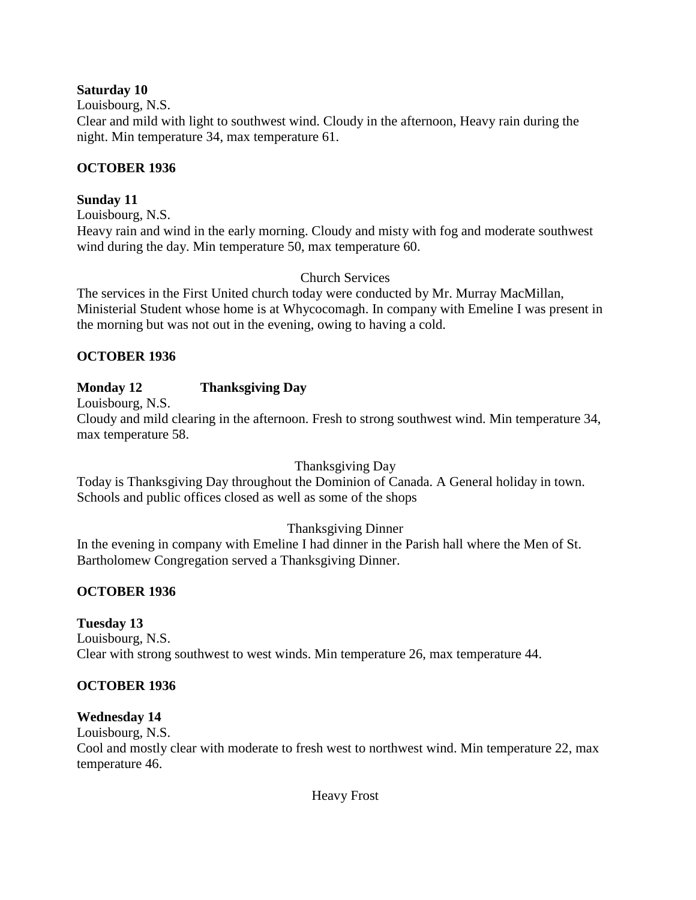## **Saturday 10**

Louisbourg, N.S.

Clear and mild with light to southwest wind. Cloudy in the afternoon, Heavy rain during the night. Min temperature 34, max temperature 61.

# **OCTOBER 1936**

# **Sunday 11**

Louisbourg, N.S.

Heavy rain and wind in the early morning. Cloudy and misty with fog and moderate southwest wind during the day. Min temperature 50, max temperature 60.

# Church Services

The services in the First United church today were conducted by Mr. Murray MacMillan, Ministerial Student whose home is at Whycocomagh. In company with Emeline I was present in the morning but was not out in the evening, owing to having a cold.

# **OCTOBER 1936**

# **Monday 12 Thanksgiving Day**

Louisbourg, N.S.

Cloudy and mild clearing in the afternoon. Fresh to strong southwest wind. Min temperature 34, max temperature 58.

# Thanksgiving Day

Today is Thanksgiving Day throughout the Dominion of Canada. A General holiday in town. Schools and public offices closed as well as some of the shops

# Thanksgiving Dinner

In the evening in company with Emeline I had dinner in the Parish hall where the Men of St. Bartholomew Congregation served a Thanksgiving Dinner.

# **OCTOBER 1936**

# **Tuesday 13**

Louisbourg, N.S. Clear with strong southwest to west winds. Min temperature 26, max temperature 44.

# **OCTOBER 1936**

# **Wednesday 14**

Louisbourg, N.S.

Cool and mostly clear with moderate to fresh west to northwest wind. Min temperature 22, max temperature 46.

Heavy Frost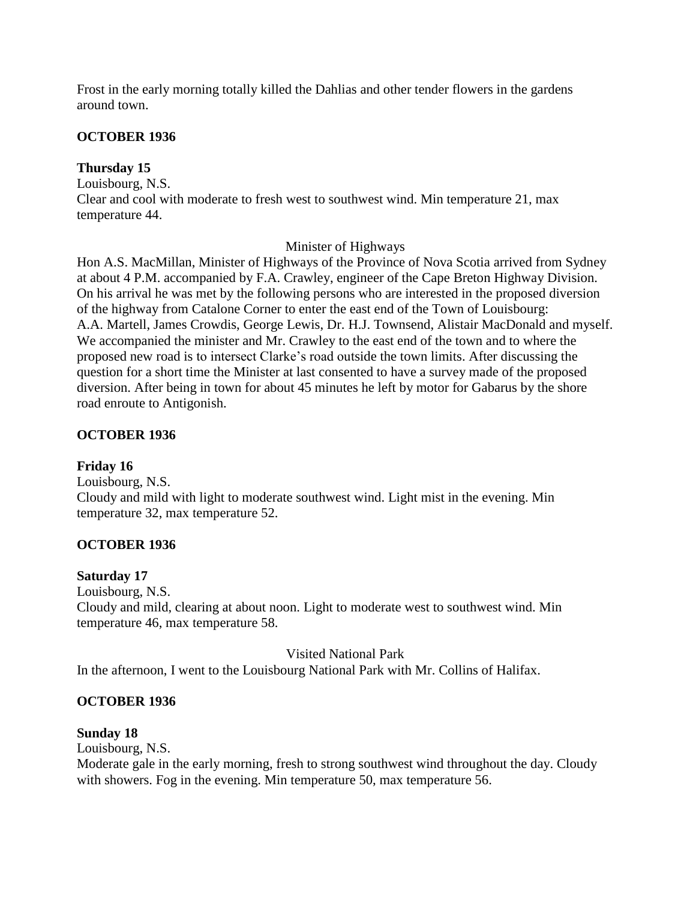Frost in the early morning totally killed the Dahlias and other tender flowers in the gardens around town.

# **OCTOBER 1936**

## **Thursday 15**

Louisbourg, N.S. Clear and cool with moderate to fresh west to southwest wind. Min temperature 21, max temperature 44.

## Minister of Highways

Hon A.S. MacMillan, Minister of Highways of the Province of Nova Scotia arrived from Sydney at about 4 P.M. accompanied by F.A. Crawley, engineer of the Cape Breton Highway Division. On his arrival he was met by the following persons who are interested in the proposed diversion of the highway from Catalone Corner to enter the east end of the Town of Louisbourg: A.A. Martell, James Crowdis, George Lewis, Dr. H.J. Townsend, Alistair MacDonald and myself. We accompanied the minister and Mr. Crawley to the east end of the town and to where the proposed new road is to intersect Clarke's road outside the town limits. After discussing the question for a short time the Minister at last consented to have a survey made of the proposed diversion. After being in town for about 45 minutes he left by motor for Gabarus by the shore road enroute to Antigonish.

# **OCTOBER 1936**

# **Friday 16**

Louisbourg, N.S. Cloudy and mild with light to moderate southwest wind. Light mist in the evening. Min temperature 32, max temperature 52.

# **OCTOBER 1936**

# **Saturday 17**

Louisbourg, N.S.

Cloudy and mild, clearing at about noon. Light to moderate west to southwest wind. Min temperature 46, max temperature 58.

Visited National Park

In the afternoon, I went to the Louisbourg National Park with Mr. Collins of Halifax.

# **OCTOBER 1936**

# **Sunday 18**

Louisbourg, N.S.

Moderate gale in the early morning, fresh to strong southwest wind throughout the day. Cloudy with showers. Fog in the evening. Min temperature 50, max temperature 56.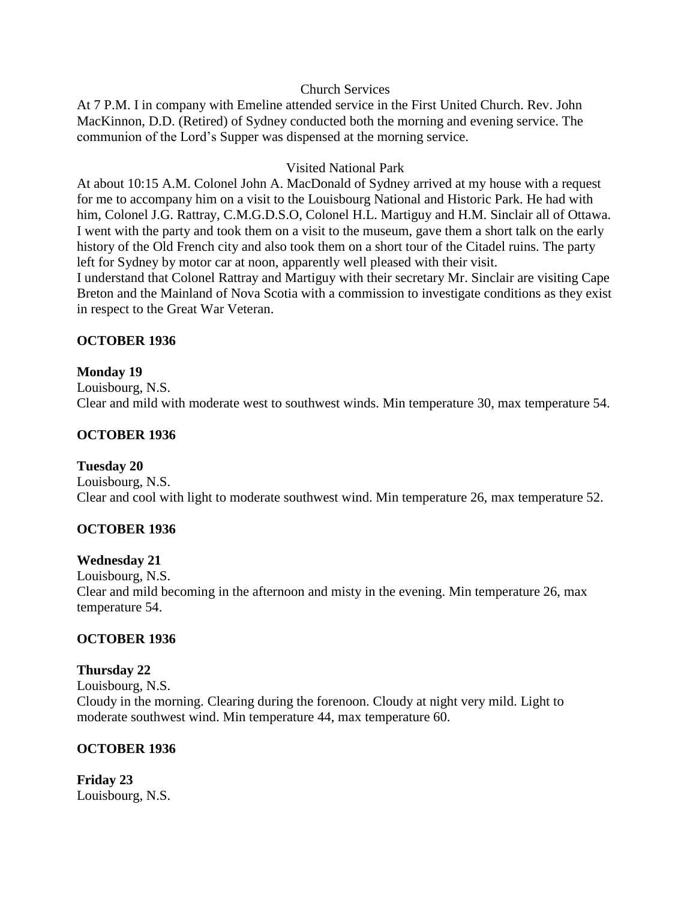### Church Services

At 7 P.M. I in company with Emeline attended service in the First United Church. Rev. John MacKinnon, D.D. (Retired) of Sydney conducted both the morning and evening service. The communion of the Lord's Supper was dispensed at the morning service.

### Visited National Park

At about 10:15 A.M. Colonel John A. MacDonald of Sydney arrived at my house with a request for me to accompany him on a visit to the Louisbourg National and Historic Park. He had with him, Colonel J.G. Rattray, C.M.G.D.S.O, Colonel H.L. Martiguy and H.M. Sinclair all of Ottawa. I went with the party and took them on a visit to the museum, gave them a short talk on the early history of the Old French city and also took them on a short tour of the Citadel ruins. The party left for Sydney by motor car at noon, apparently well pleased with their visit.

I understand that Colonel Rattray and Martiguy with their secretary Mr. Sinclair are visiting Cape Breton and the Mainland of Nova Scotia with a commission to investigate conditions as they exist in respect to the Great War Veteran.

### **OCTOBER 1936**

### **Monday 19**

Louisbourg, N.S. Clear and mild with moderate west to southwest winds. Min temperature 30, max temperature 54.

### **OCTOBER 1936**

#### **Tuesday 20**

Louisbourg, N.S. Clear and cool with light to moderate southwest wind. Min temperature 26, max temperature 52.

### **OCTOBER 1936**

#### **Wednesday 21**

Louisbourg, N.S. Clear and mild becoming in the afternoon and misty in the evening. Min temperature 26, max temperature 54.

### **OCTOBER 1936**

# **Thursday 22**

Louisbourg, N.S. Cloudy in the morning. Clearing during the forenoon. Cloudy at night very mild. Light to moderate southwest wind. Min temperature 44, max temperature 60.

### **OCTOBER 1936**

**Friday 23** Louisbourg, N.S.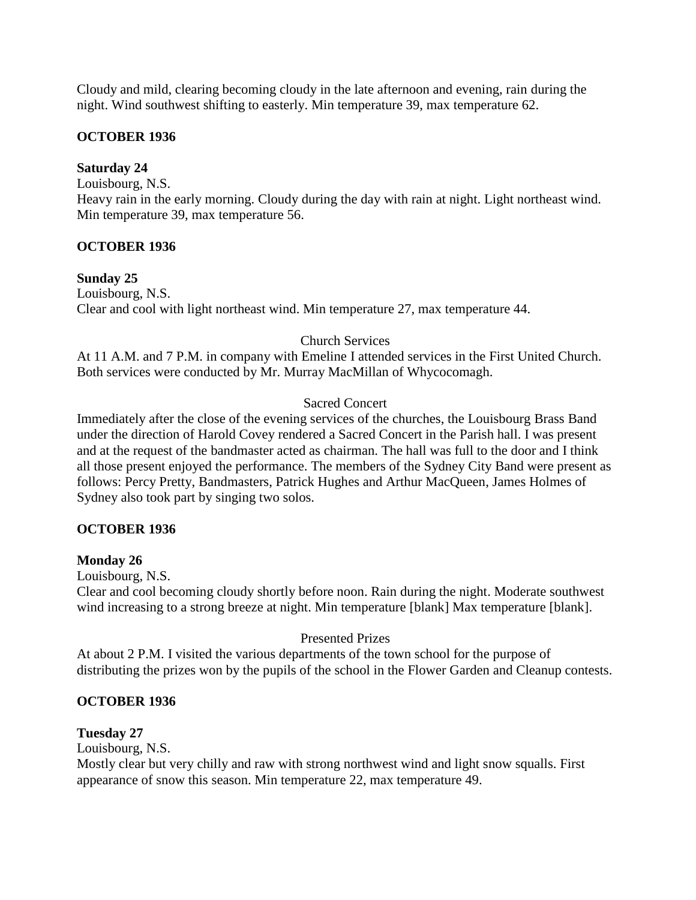Cloudy and mild, clearing becoming cloudy in the late afternoon and evening, rain during the night. Wind southwest shifting to easterly. Min temperature 39, max temperature 62.

# **OCTOBER 1936**

# **Saturday 24**

Louisbourg, N.S.

Heavy rain in the early morning. Cloudy during the day with rain at night. Light northeast wind. Min temperature 39, max temperature 56.

# **OCTOBER 1936**

# **Sunday 25**

Louisbourg, N.S. Clear and cool with light northeast wind. Min temperature 27, max temperature 44.

# Church Services

At 11 A.M. and 7 P.M. in company with Emeline I attended services in the First United Church. Both services were conducted by Mr. Murray MacMillan of Whycocomagh.

# Sacred Concert

Immediately after the close of the evening services of the churches, the Louisbourg Brass Band under the direction of Harold Covey rendered a Sacred Concert in the Parish hall. I was present and at the request of the bandmaster acted as chairman. The hall was full to the door and I think all those present enjoyed the performance. The members of the Sydney City Band were present as follows: Percy Pretty, Bandmasters, Patrick Hughes and Arthur MacQueen, James Holmes of Sydney also took part by singing two solos.

# **OCTOBER 1936**

# **Monday 26**

Louisbourg, N.S.

Clear and cool becoming cloudy shortly before noon. Rain during the night. Moderate southwest wind increasing to a strong breeze at night. Min temperature [blank] Max temperature [blank].

# Presented Prizes

At about 2 P.M. I visited the various departments of the town school for the purpose of distributing the prizes won by the pupils of the school in the Flower Garden and Cleanup contests.

# **OCTOBER 1936**

# **Tuesday 27**

Louisbourg, N.S.

Mostly clear but very chilly and raw with strong northwest wind and light snow squalls. First appearance of snow this season. Min temperature 22, max temperature 49.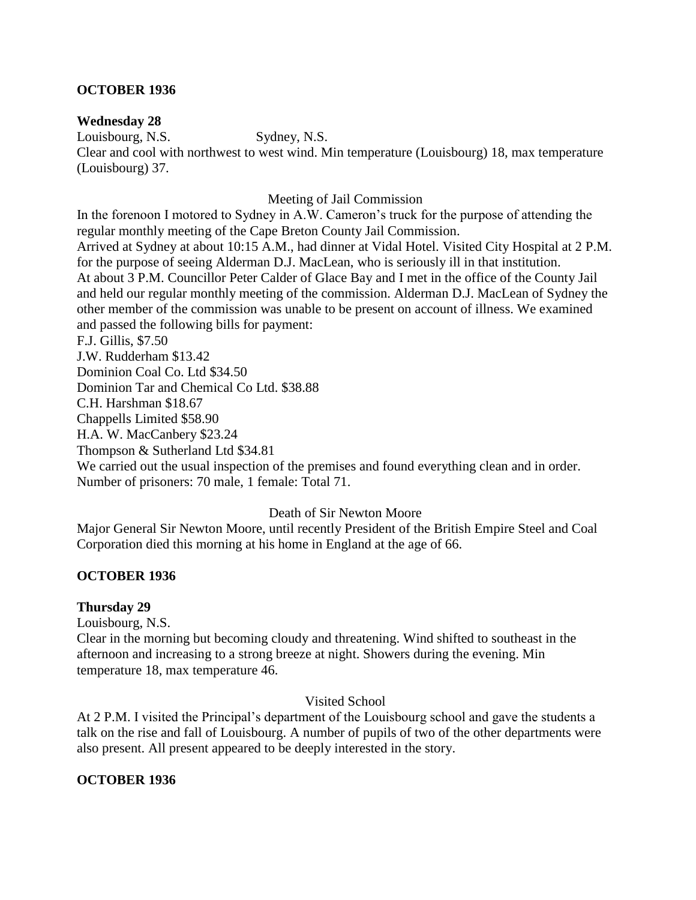## **OCTOBER 1936**

### **Wednesday 28**

Louisbourg, N.S. Sydney, N.S.

Clear and cool with northwest to west wind. Min temperature (Louisbourg) 18, max temperature (Louisbourg) 37.

Meeting of Jail Commission

In the forenoon I motored to Sydney in A.W. Cameron's truck for the purpose of attending the regular monthly meeting of the Cape Breton County Jail Commission. Arrived at Sydney at about 10:15 A.M., had dinner at Vidal Hotel. Visited City Hospital at 2 P.M. for the purpose of seeing Alderman D.J. MacLean, who is seriously ill in that institution. At about 3 P.M. Councillor Peter Calder of Glace Bay and I met in the office of the County Jail and held our regular monthly meeting of the commission. Alderman D.J. MacLean of Sydney the other member of the commission was unable to be present on account of illness. We examined

and passed the following bills for payment:

F.J. Gillis, \$7.50

J.W. Rudderham \$13.42

Dominion Coal Co. Ltd \$34.50

Dominion Tar and Chemical Co Ltd. \$38.88

C.H. Harshman \$18.67

Chappells Limited \$58.90

H.A. W. MacCanbery \$23.24

Thompson & Sutherland Ltd \$34.81

We carried out the usual inspection of the premises and found everything clean and in order. Number of prisoners: 70 male, 1 female: Total 71.

### Death of Sir Newton Moore

Major General Sir Newton Moore, until recently President of the British Empire Steel and Coal Corporation died this morning at his home in England at the age of 66.

# **OCTOBER 1936**

### **Thursday 29**

Louisbourg, N.S.

Clear in the morning but becoming cloudy and threatening. Wind shifted to southeast in the afternoon and increasing to a strong breeze at night. Showers during the evening. Min temperature 18, max temperature 46.

### Visited School

At 2 P.M. I visited the Principal's department of the Louisbourg school and gave the students a talk on the rise and fall of Louisbourg. A number of pupils of two of the other departments were also present. All present appeared to be deeply interested in the story.

# **OCTOBER 1936**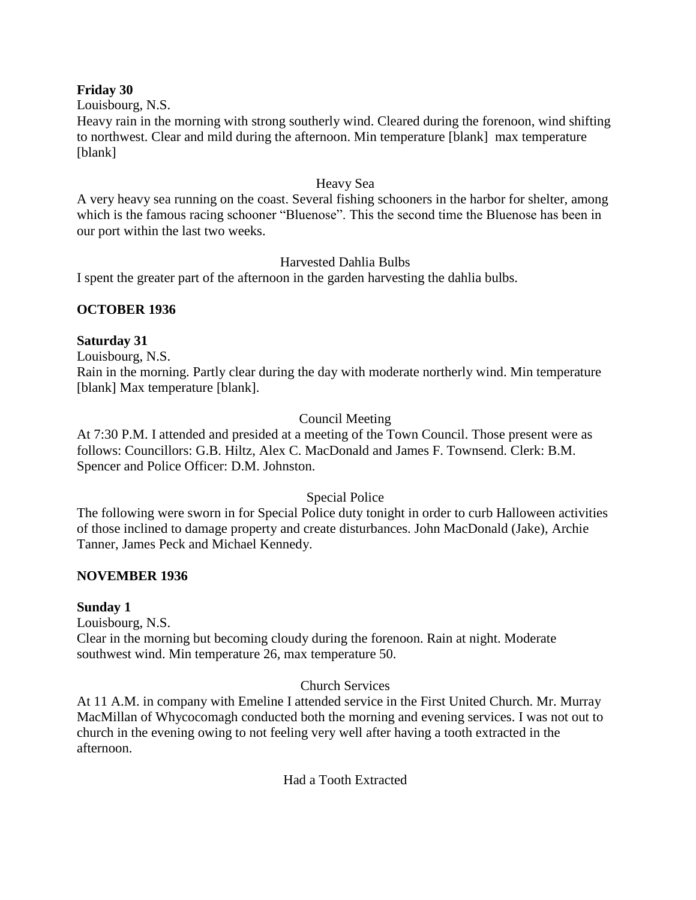### **Friday 30**

Louisbourg, N.S.

Heavy rain in the morning with strong southerly wind. Cleared during the forenoon, wind shifting to northwest. Clear and mild during the afternoon. Min temperature [blank] max temperature [blank]

### Heavy Sea

A very heavy sea running on the coast. Several fishing schooners in the harbor for shelter, among which is the famous racing schooner "Bluenose". This the second time the Bluenose has been in our port within the last two weeks.

### Harvested Dahlia Bulbs

I spent the greater part of the afternoon in the garden harvesting the dahlia bulbs.

### **OCTOBER 1936**

### **Saturday 31**

Louisbourg, N.S.

Rain in the morning. Partly clear during the day with moderate northerly wind. Min temperature [blank] Max temperature [blank].

# Council Meeting

At 7:30 P.M. I attended and presided at a meeting of the Town Council. Those present were as follows: Councillors: G.B. Hiltz, Alex C. MacDonald and James F. Townsend. Clerk: B.M. Spencer and Police Officer: D.M. Johnston.

### Special Police

The following were sworn in for Special Police duty tonight in order to curb Halloween activities of those inclined to damage property and create disturbances. John MacDonald (Jake), Archie Tanner, James Peck and Michael Kennedy.

### **NOVEMBER 1936**

#### **Sunday 1**

Louisbourg, N.S.

Clear in the morning but becoming cloudy during the forenoon. Rain at night. Moderate southwest wind. Min temperature 26, max temperature 50.

### Church Services

At 11 A.M. in company with Emeline I attended service in the First United Church. Mr. Murray MacMillan of Whycocomagh conducted both the morning and evening services. I was not out to church in the evening owing to not feeling very well after having a tooth extracted in the afternoon.

Had a Tooth Extracted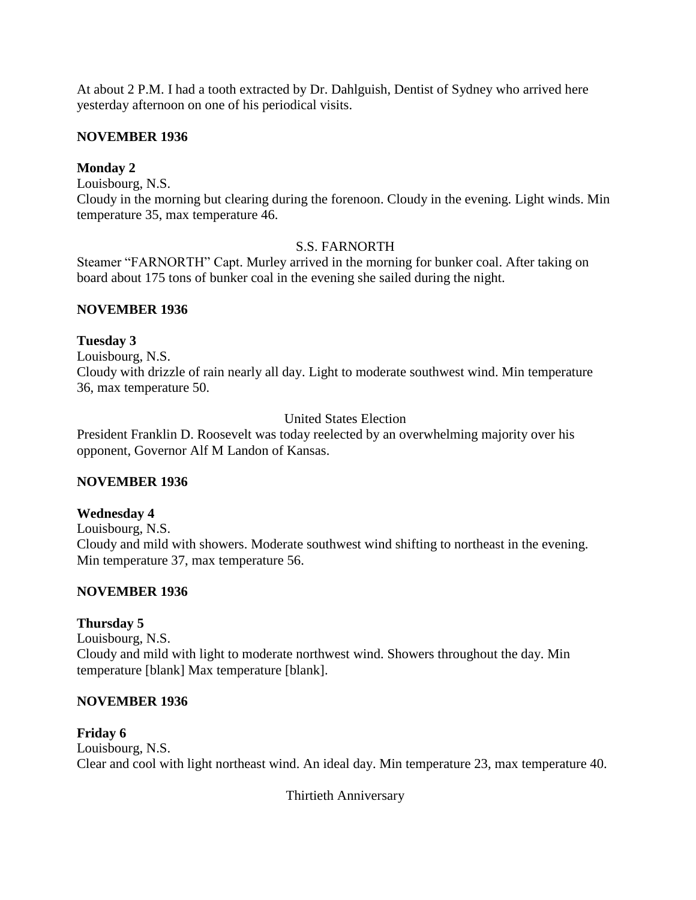At about 2 P.M. I had a tooth extracted by Dr. Dahlguish, Dentist of Sydney who arrived here yesterday afternoon on one of his periodical visits.

## **NOVEMBER 1936**

## **Monday 2**

Louisbourg, N.S.

Cloudy in the morning but clearing during the forenoon. Cloudy in the evening. Light winds. Min temperature 35, max temperature 46.

## S.S. FARNORTH

Steamer "FARNORTH" Capt. Murley arrived in the morning for bunker coal. After taking on board about 175 tons of bunker coal in the evening she sailed during the night.

### **NOVEMBER 1936**

## **Tuesday 3**

Louisbourg, N.S. Cloudy with drizzle of rain nearly all day. Light to moderate southwest wind. Min temperature 36, max temperature 50.

# United States Election

President Franklin D. Roosevelt was today reelected by an overwhelming majority over his opponent, Governor Alf M Landon of Kansas.

# **NOVEMBER 1936**

### **Wednesday 4**

Louisbourg, N.S. Cloudy and mild with showers. Moderate southwest wind shifting to northeast in the evening. Min temperature 37, max temperature 56.

# **NOVEMBER 1936**

# **Thursday 5**

Louisbourg, N.S. Cloudy and mild with light to moderate northwest wind. Showers throughout the day. Min temperature [blank] Max temperature [blank].

# **NOVEMBER 1936**

**Friday 6** Louisbourg, N.S. Clear and cool with light northeast wind. An ideal day. Min temperature 23, max temperature 40.

Thirtieth Anniversary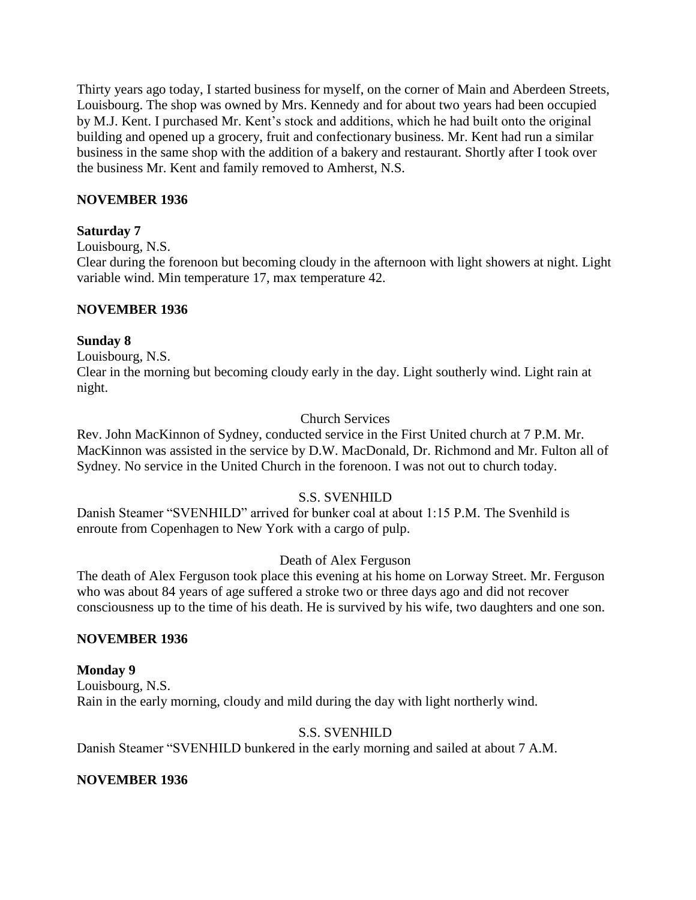Thirty years ago today, I started business for myself, on the corner of Main and Aberdeen Streets, Louisbourg. The shop was owned by Mrs. Kennedy and for about two years had been occupied by M.J. Kent. I purchased Mr. Kent's stock and additions, which he had built onto the original building and opened up a grocery, fruit and confectionary business. Mr. Kent had run a similar business in the same shop with the addition of a bakery and restaurant. Shortly after I took over the business Mr. Kent and family removed to Amherst, N.S.

## **NOVEMBER 1936**

### **Saturday 7**

Louisbourg, N.S.

Clear during the forenoon but becoming cloudy in the afternoon with light showers at night. Light variable wind. Min temperature 17, max temperature 42.

### **NOVEMBER 1936**

### **Sunday 8**

Louisbourg, N.S.

Clear in the morning but becoming cloudy early in the day. Light southerly wind. Light rain at night.

### Church Services

Rev. John MacKinnon of Sydney, conducted service in the First United church at 7 P.M. Mr. MacKinnon was assisted in the service by D.W. MacDonald, Dr. Richmond and Mr. Fulton all of Sydney. No service in the United Church in the forenoon. I was not out to church today.

### S.S. SVENHILD

Danish Steamer "SVENHILD" arrived for bunker coal at about 1:15 P.M. The Svenhild is enroute from Copenhagen to New York with a cargo of pulp.

### Death of Alex Ferguson

The death of Alex Ferguson took place this evening at his home on Lorway Street. Mr. Ferguson who was about 84 years of age suffered a stroke two or three days ago and did not recover consciousness up to the time of his death. He is survived by his wife, two daughters and one son.

### **NOVEMBER 1936**

### **Monday 9**

Louisbourg, N.S. Rain in the early morning, cloudy and mild during the day with light northerly wind.

# S.S. SVENHILD

Danish Steamer "SVENHILD bunkered in the early morning and sailed at about 7 A.M.

### **NOVEMBER 1936**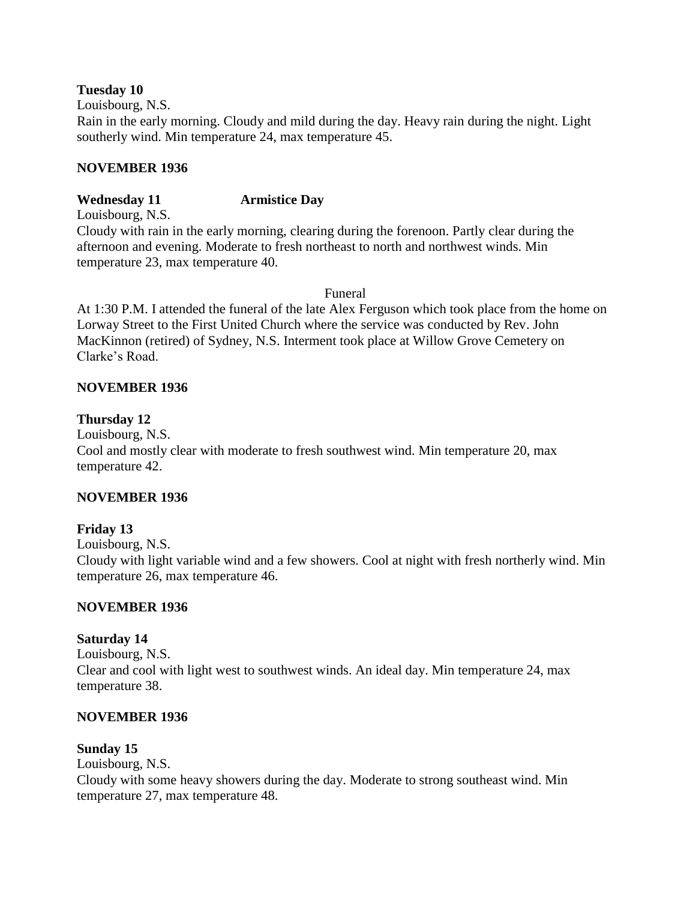**Tuesday 10**

Louisbourg, N.S.

Rain in the early morning. Cloudy and mild during the day. Heavy rain during the night. Light southerly wind. Min temperature 24, max temperature 45.

## **NOVEMBER 1936**

# **Wednesday 11 Armistice Day**

Louisbourg, N.S.

Cloudy with rain in the early morning, clearing during the forenoon. Partly clear during the afternoon and evening. Moderate to fresh northeast to north and northwest winds. Min temperature 23, max temperature 40.

Funeral

At 1:30 P.M. I attended the funeral of the late Alex Ferguson which took place from the home on Lorway Street to the First United Church where the service was conducted by Rev. John MacKinnon (retired) of Sydney, N.S. Interment took place at Willow Grove Cemetery on Clarke's Road.

# **NOVEMBER 1936**

# **Thursday 12**

Louisbourg, N.S.

Cool and mostly clear with moderate to fresh southwest wind. Min temperature 20, max temperature 42.

# **NOVEMBER 1936**

# **Friday 13**

Louisbourg, N.S.

Cloudy with light variable wind and a few showers. Cool at night with fresh northerly wind. Min temperature 26, max temperature 46.

# **NOVEMBER 1936**

# **Saturday 14**

Louisbourg, N.S. Clear and cool with light west to southwest winds. An ideal day. Min temperature 24, max temperature 38.

# **NOVEMBER 1936**

# **Sunday 15**

Louisbourg, N.S.

Cloudy with some heavy showers during the day. Moderate to strong southeast wind. Min temperature 27, max temperature 48.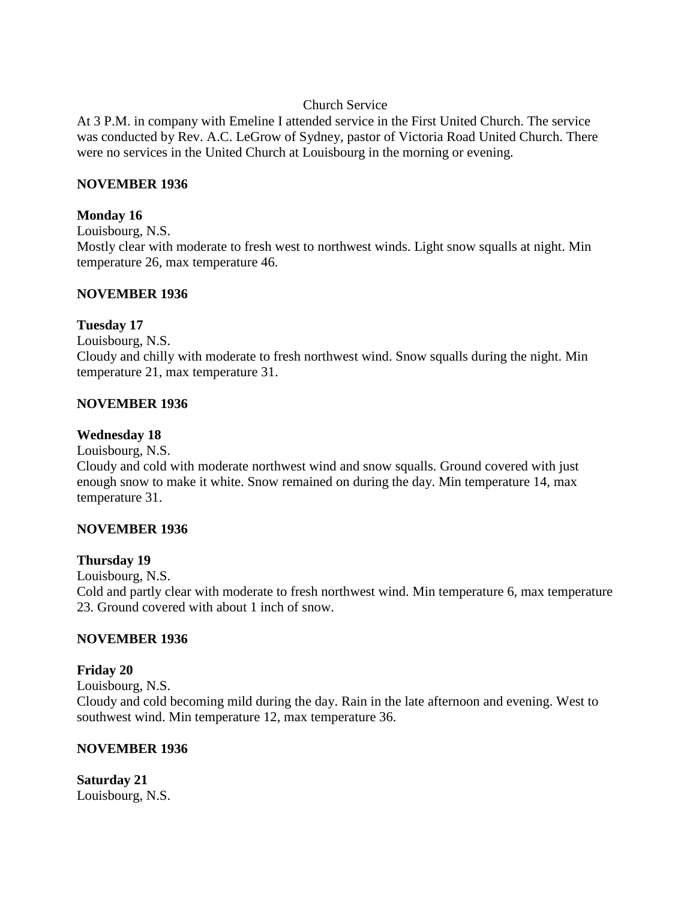## Church Service

At 3 P.M. in company with Emeline I attended service in the First United Church. The service was conducted by Rev. A.C. LeGrow of Sydney, pastor of Victoria Road United Church. There were no services in the United Church at Louisbourg in the morning or evening.

## **NOVEMBER 1936**

## **Monday 16**

Louisbourg, N.S.

Mostly clear with moderate to fresh west to northwest winds. Light snow squalls at night. Min temperature 26, max temperature 46.

## **NOVEMBER 1936**

## **Tuesday 17**

Louisbourg, N.S.

Cloudy and chilly with moderate to fresh northwest wind. Snow squalls during the night. Min temperature 21, max temperature 31.

## **NOVEMBER 1936**

## **Wednesday 18**

Louisbourg, N.S.

Cloudy and cold with moderate northwest wind and snow squalls. Ground covered with just enough snow to make it white. Snow remained on during the day. Min temperature 14, max temperature 31.

# **NOVEMBER 1936**

### **Thursday 19**

Louisbourg, N.S.

Cold and partly clear with moderate to fresh northwest wind. Min temperature 6, max temperature 23. Ground covered with about 1 inch of snow.

# **NOVEMBER 1936**

# **Friday 20**

Louisbourg, N.S.

Cloudy and cold becoming mild during the day. Rain in the late afternoon and evening. West to southwest wind. Min temperature 12, max temperature 36.

### **NOVEMBER 1936**

**Saturday 21** Louisbourg, N.S.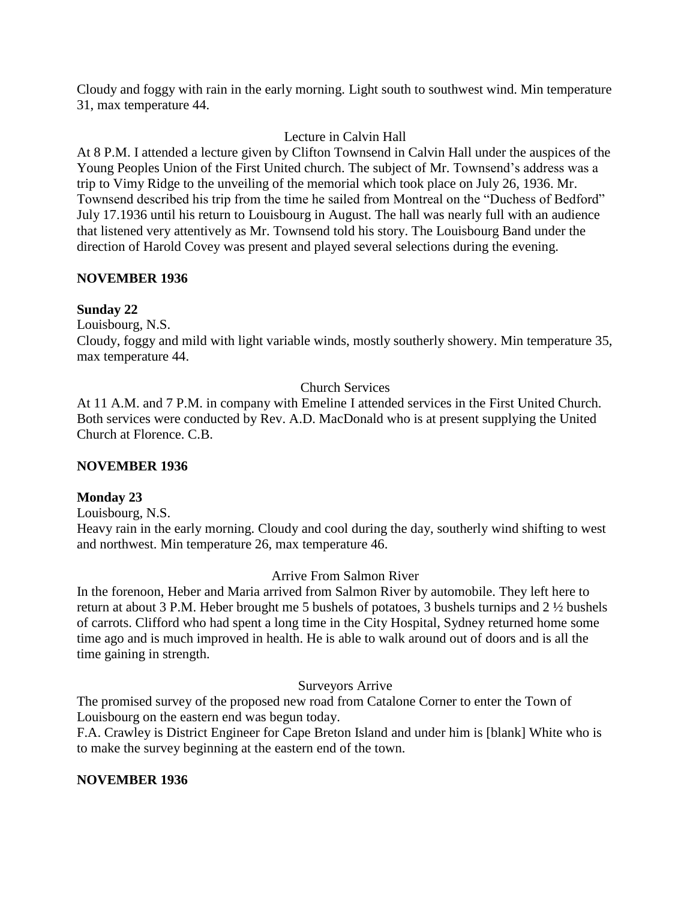Cloudy and foggy with rain in the early morning. Light south to southwest wind. Min temperature 31, max temperature 44.

# Lecture in Calvin Hall

At 8 P.M. I attended a lecture given by Clifton Townsend in Calvin Hall under the auspices of the Young Peoples Union of the First United church. The subject of Mr. Townsend's address was a trip to Vimy Ridge to the unveiling of the memorial which took place on July 26, 1936. Mr. Townsend described his trip from the time he sailed from Montreal on the "Duchess of Bedford" July 17.1936 until his return to Louisbourg in August. The hall was nearly full with an audience that listened very attentively as Mr. Townsend told his story. The Louisbourg Band under the direction of Harold Covey was present and played several selections during the evening.

# **NOVEMBER 1936**

# **Sunday 22**

Louisbourg, N.S.

Cloudy, foggy and mild with light variable winds, mostly southerly showery. Min temperature 35, max temperature 44.

# Church Services

At 11 A.M. and 7 P.M. in company with Emeline I attended services in the First United Church. Both services were conducted by Rev. A.D. MacDonald who is at present supplying the United Church at Florence. C.B.

# **NOVEMBER 1936**

# **Monday 23**

Louisbourg, N.S.

Heavy rain in the early morning. Cloudy and cool during the day, southerly wind shifting to west and northwest. Min temperature 26, max temperature 46.

# Arrive From Salmon River

In the forenoon, Heber and Maria arrived from Salmon River by automobile. They left here to return at about 3 P.M. Heber brought me 5 bushels of potatoes, 3 bushels turnips and 2 ½ bushels of carrots. Clifford who had spent a long time in the City Hospital, Sydney returned home some time ago and is much improved in health. He is able to walk around out of doors and is all the time gaining in strength.

# Surveyors Arrive

The promised survey of the proposed new road from Catalone Corner to enter the Town of Louisbourg on the eastern end was begun today.

F.A. Crawley is District Engineer for Cape Breton Island and under him is [blank] White who is to make the survey beginning at the eastern end of the town.

# **NOVEMBER 1936**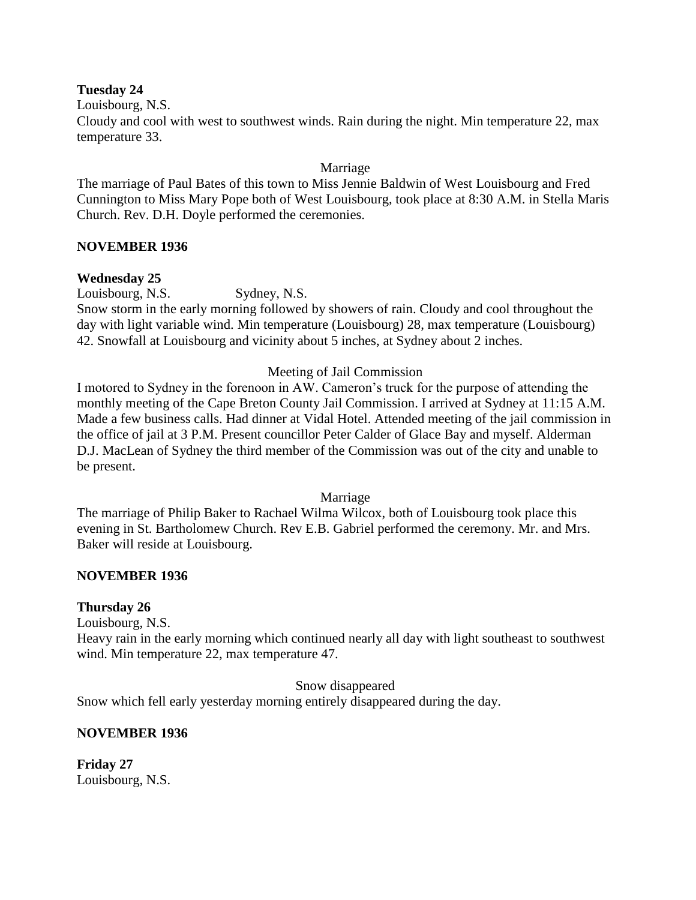### **Tuesday 24**

Louisbourg, N.S.

Cloudy and cool with west to southwest winds. Rain during the night. Min temperature 22, max temperature 33.

## Marriage

The marriage of Paul Bates of this town to Miss Jennie Baldwin of West Louisbourg and Fred Cunnington to Miss Mary Pope both of West Louisbourg, took place at 8:30 A.M. in Stella Maris Church. Rev. D.H. Doyle performed the ceremonies.

### **NOVEMBER 1936**

## **Wednesday 25**

Louisbourg, N.S. Sydney, N.S.

Snow storm in the early morning followed by showers of rain. Cloudy and cool throughout the day with light variable wind. Min temperature (Louisbourg) 28, max temperature (Louisbourg) 42. Snowfall at Louisbourg and vicinity about 5 inches, at Sydney about 2 inches.

## Meeting of Jail Commission

I motored to Sydney in the forenoon in AW. Cameron's truck for the purpose of attending the monthly meeting of the Cape Breton County Jail Commission. I arrived at Sydney at 11:15 A.M. Made a few business calls. Had dinner at Vidal Hotel. Attended meeting of the jail commission in the office of jail at 3 P.M. Present councillor Peter Calder of Glace Bay and myself. Alderman D.J. MacLean of Sydney the third member of the Commission was out of the city and unable to be present.

### Marriage

The marriage of Philip Baker to Rachael Wilma Wilcox, both of Louisbourg took place this evening in St. Bartholomew Church. Rev E.B. Gabriel performed the ceremony. Mr. and Mrs. Baker will reside at Louisbourg.

### **NOVEMBER 1936**

### **Thursday 26**

Louisbourg, N.S.

Heavy rain in the early morning which continued nearly all day with light southeast to southwest wind. Min temperature 22, max temperature 47.

Snow disappeared

Snow which fell early yesterday morning entirely disappeared during the day.

# **NOVEMBER 1936**

**Friday 27** Louisbourg, N.S.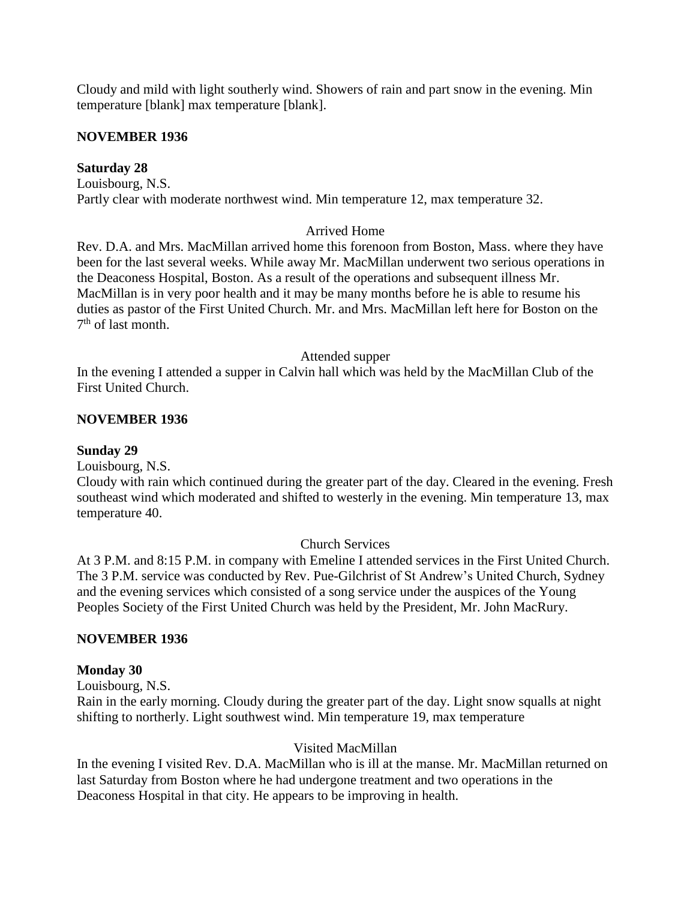Cloudy and mild with light southerly wind. Showers of rain and part snow in the evening. Min temperature [blank] max temperature [blank].

### **NOVEMBER 1936**

## **Saturday 28**

Louisbourg, N.S. Partly clear with moderate northwest wind. Min temperature 12, max temperature 32.

# Arrived Home

Rev. D.A. and Mrs. MacMillan arrived home this forenoon from Boston, Mass. where they have been for the last several weeks. While away Mr. MacMillan underwent two serious operations in the Deaconess Hospital, Boston. As a result of the operations and subsequent illness Mr. MacMillan is in very poor health and it may be many months before he is able to resume his duties as pastor of the First United Church. Mr. and Mrs. MacMillan left here for Boston on the 7<sup>th</sup> of last month.

### Attended supper

In the evening I attended a supper in Calvin hall which was held by the MacMillan Club of the First United Church.

## **NOVEMBER 1936**

### **Sunday 29**

Louisbourg, N.S.

Cloudy with rain which continued during the greater part of the day. Cleared in the evening. Fresh southeast wind which moderated and shifted to westerly in the evening. Min temperature 13, max temperature 40.

### Church Services

At 3 P.M. and 8:15 P.M. in company with Emeline I attended services in the First United Church. The 3 P.M. service was conducted by Rev. Pue-Gilchrist of St Andrew's United Church, Sydney and the evening services which consisted of a song service under the auspices of the Young Peoples Society of the First United Church was held by the President, Mr. John MacRury.

# **NOVEMBER 1936**

### **Monday 30**

Louisbourg, N.S.

Rain in the early morning. Cloudy during the greater part of the day. Light snow squalls at night shifting to northerly. Light southwest wind. Min temperature 19, max temperature

# Visited MacMillan

In the evening I visited Rev. D.A. MacMillan who is ill at the manse. Mr. MacMillan returned on last Saturday from Boston where he had undergone treatment and two operations in the Deaconess Hospital in that city. He appears to be improving in health.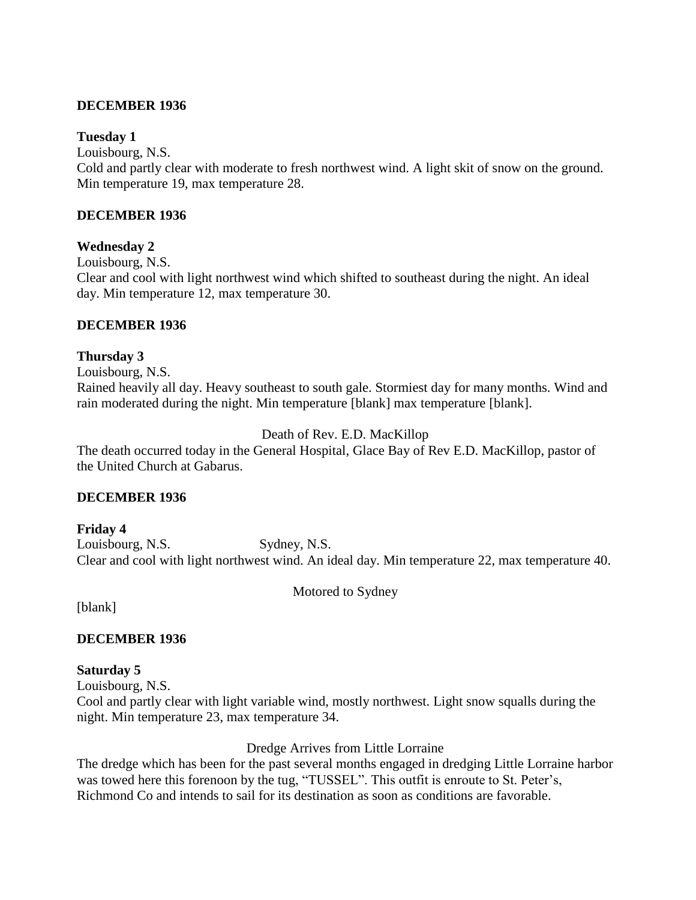## **DECEMBER 1936**

### **Tuesday 1**

Louisbourg, N.S.

Cold and partly clear with moderate to fresh northwest wind. A light skit of snow on the ground. Min temperature 19, max temperature 28.

## **DECEMBER 1936**

## **Wednesday 2**

Louisbourg, N.S.

Clear and cool with light northwest wind which shifted to southeast during the night. An ideal day. Min temperature 12, max temperature 30.

## **DECEMBER 1936**

## **Thursday 3**

Louisbourg, N.S. Rained heavily all day. Heavy southeast to south gale. Stormiest day for many months. Wind and rain moderated during the night. Min temperature [blank] max temperature [blank].

# Death of Rev. E.D. MacKillop

The death occurred today in the General Hospital, Glace Bay of Rev E.D. MacKillop, pastor of the United Church at Gabarus.

### **DECEMBER 1936**

**Friday 4** Louisbourg, N.S. Sydney, N.S. Clear and cool with light northwest wind. An ideal day. Min temperature 22, max temperature 40.

Motored to Sydney

[blank]

# **DECEMBER 1936**

# **Saturday 5**

Louisbourg, N.S.

Cool and partly clear with light variable wind, mostly northwest. Light snow squalls during the night. Min temperature 23, max temperature 34.

Dredge Arrives from Little Lorraine

The dredge which has been for the past several months engaged in dredging Little Lorraine harbor was towed here this forenoon by the tug, "TUSSEL". This outfit is enroute to St. Peter's, Richmond Co and intends to sail for its destination as soon as conditions are favorable.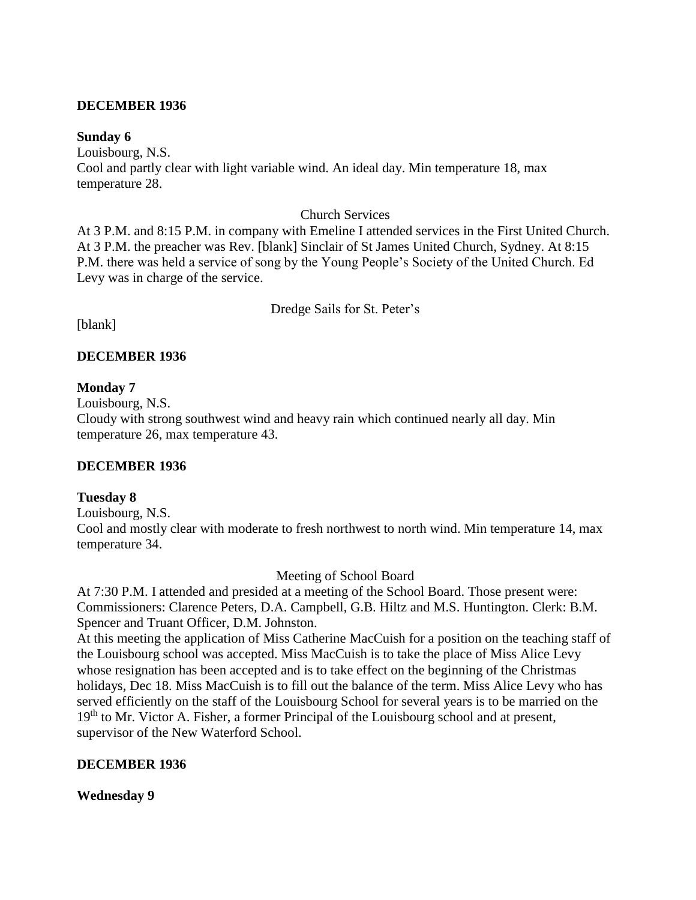### **DECEMBER 1936**

### **Sunday 6**

Louisbourg, N.S. Cool and partly clear with light variable wind. An ideal day. Min temperature 18, max temperature 28.

### Church Services

At 3 P.M. and 8:15 P.M. in company with Emeline I attended services in the First United Church. At 3 P.M. the preacher was Rev. [blank] Sinclair of St James United Church, Sydney. At 8:15 P.M. there was held a service of song by the Young People's Society of the United Church. Ed Levy was in charge of the service.

Dredge Sails for St. Peter's

[blank]

# **DECEMBER 1936**

### **Monday 7**

Louisbourg, N.S.

Cloudy with strong southwest wind and heavy rain which continued nearly all day. Min temperature 26, max temperature 43.

### **DECEMBER 1936**

### **Tuesday 8**

Louisbourg, N.S.

Cool and mostly clear with moderate to fresh northwest to north wind. Min temperature 14, max temperature 34.

Meeting of School Board

At 7:30 P.M. I attended and presided at a meeting of the School Board. Those present were: Commissioners: Clarence Peters, D.A. Campbell, G.B. Hiltz and M.S. Huntington. Clerk: B.M. Spencer and Truant Officer, D.M. Johnston.

At this meeting the application of Miss Catherine MacCuish for a position on the teaching staff of the Louisbourg school was accepted. Miss MacCuish is to take the place of Miss Alice Levy whose resignation has been accepted and is to take effect on the beginning of the Christmas holidays, Dec 18. Miss MacCuish is to fill out the balance of the term. Miss Alice Levy who has served efficiently on the staff of the Louisbourg School for several years is to be married on the 19<sup>th</sup> to Mr. Victor A. Fisher, a former Principal of the Louisbourg school and at present, supervisor of the New Waterford School.

### **DECEMBER 1936**

### **Wednesday 9**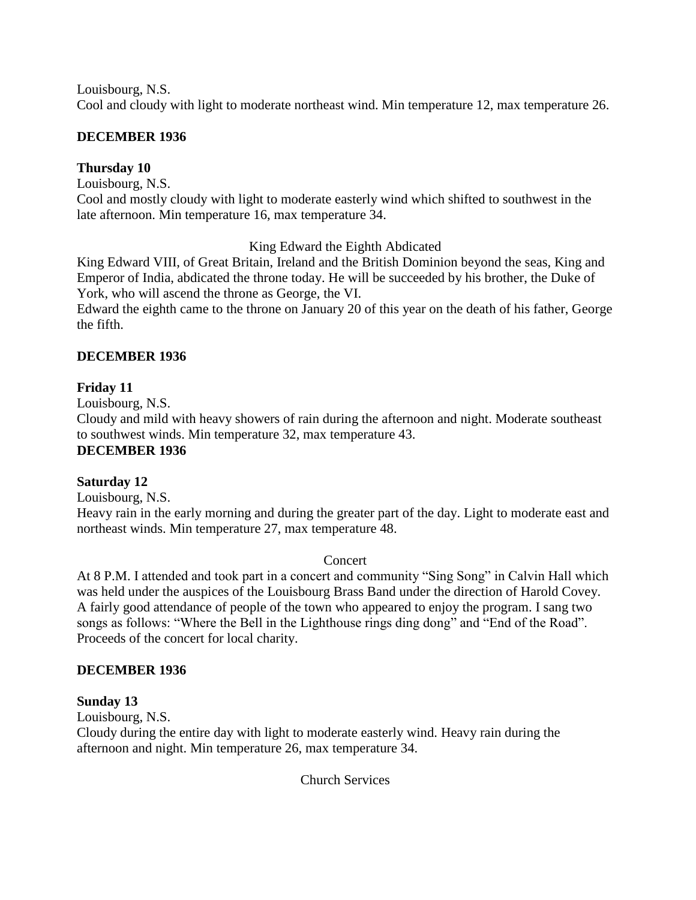Louisbourg, N.S.

Cool and cloudy with light to moderate northeast wind. Min temperature 12, max temperature 26.

# **DECEMBER 1936**

# **Thursday 10**

Louisbourg, N.S.

Cool and mostly cloudy with light to moderate easterly wind which shifted to southwest in the late afternoon. Min temperature 16, max temperature 34.

# King Edward the Eighth Abdicated

King Edward VIII, of Great Britain, Ireland and the British Dominion beyond the seas, King and Emperor of India, abdicated the throne today. He will be succeeded by his brother, the Duke of York, who will ascend the throne as George, the VI.

Edward the eighth came to the throne on January 20 of this year on the death of his father, George the fifth.

# **DECEMBER 1936**

# **Friday 11**

Louisbourg, N.S.

Cloudy and mild with heavy showers of rain during the afternoon and night. Moderate southeast to southwest winds. Min temperature 32, max temperature 43. **DECEMBER 1936**

# **Saturday 12**

Louisbourg, N.S.

Heavy rain in the early morning and during the greater part of the day. Light to moderate east and northeast winds. Min temperature 27, max temperature 48.

# **Concert**

At 8 P.M. I attended and took part in a concert and community "Sing Song" in Calvin Hall which was held under the auspices of the Louisbourg Brass Band under the direction of Harold Covey. A fairly good attendance of people of the town who appeared to enjoy the program. I sang two songs as follows: "Where the Bell in the Lighthouse rings ding dong" and "End of the Road". Proceeds of the concert for local charity.

# **DECEMBER 1936**

# **Sunday 13**

Louisbourg, N.S.

Cloudy during the entire day with light to moderate easterly wind. Heavy rain during the afternoon and night. Min temperature 26, max temperature 34.

Church Services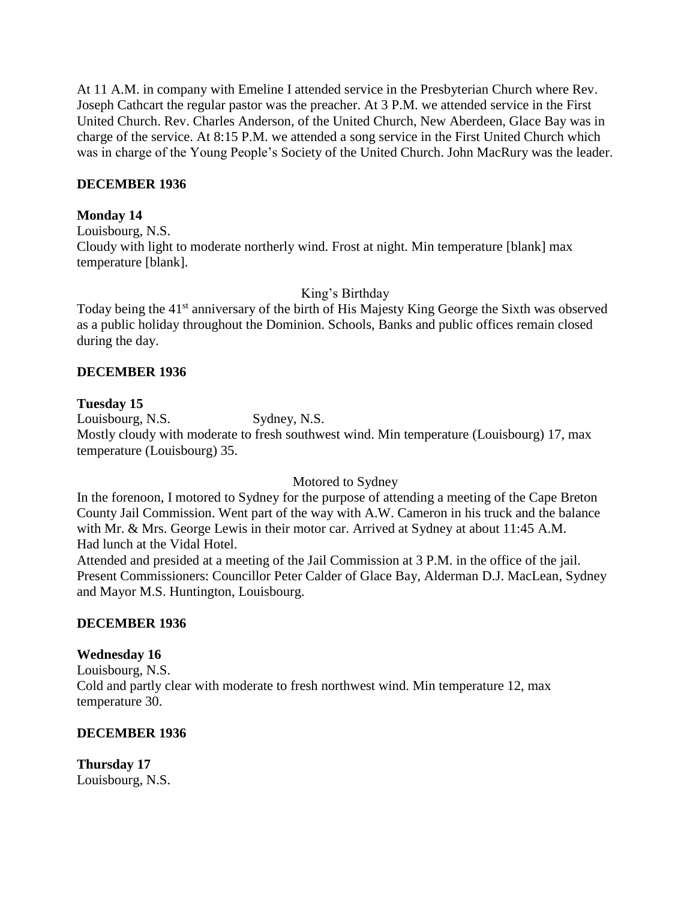At 11 A.M. in company with Emeline I attended service in the Presbyterian Church where Rev. Joseph Cathcart the regular pastor was the preacher. At 3 P.M. we attended service in the First United Church. Rev. Charles Anderson, of the United Church, New Aberdeen, Glace Bay was in charge of the service. At 8:15 P.M. we attended a song service in the First United Church which was in charge of the Young People's Society of the United Church. John MacRury was the leader.

### **DECEMBER 1936**

### **Monday 14**

Louisbourg, N.S. Cloudy with light to moderate northerly wind. Frost at night. Min temperature [blank] max temperature [blank].

King's Birthday

Today being the 41<sup>st</sup> anniversary of the birth of His Majesty King George the Sixth was observed as a public holiday throughout the Dominion. Schools, Banks and public offices remain closed during the day.

## **DECEMBER 1936**

## **Tuesday 15**

Louisbourg, N.S. Sydney, N.S. Mostly cloudy with moderate to fresh southwest wind. Min temperature (Louisbourg) 17, max temperature (Louisbourg) 35.

### Motored to Sydney

In the forenoon, I motored to Sydney for the purpose of attending a meeting of the Cape Breton County Jail Commission. Went part of the way with A.W. Cameron in his truck and the balance with Mr. & Mrs. George Lewis in their motor car. Arrived at Sydney at about 11:45 A.M. Had lunch at the Vidal Hotel.

Attended and presided at a meeting of the Jail Commission at 3 P.M. in the office of the jail. Present Commissioners: Councillor Peter Calder of Glace Bay, Alderman D.J. MacLean, Sydney and Mayor M.S. Huntington, Louisbourg.

### **DECEMBER 1936**

### **Wednesday 16**

Louisbourg, N.S. Cold and partly clear with moderate to fresh northwest wind. Min temperature 12, max temperature 30.

# **DECEMBER 1936**

**Thursday 17** Louisbourg, N.S.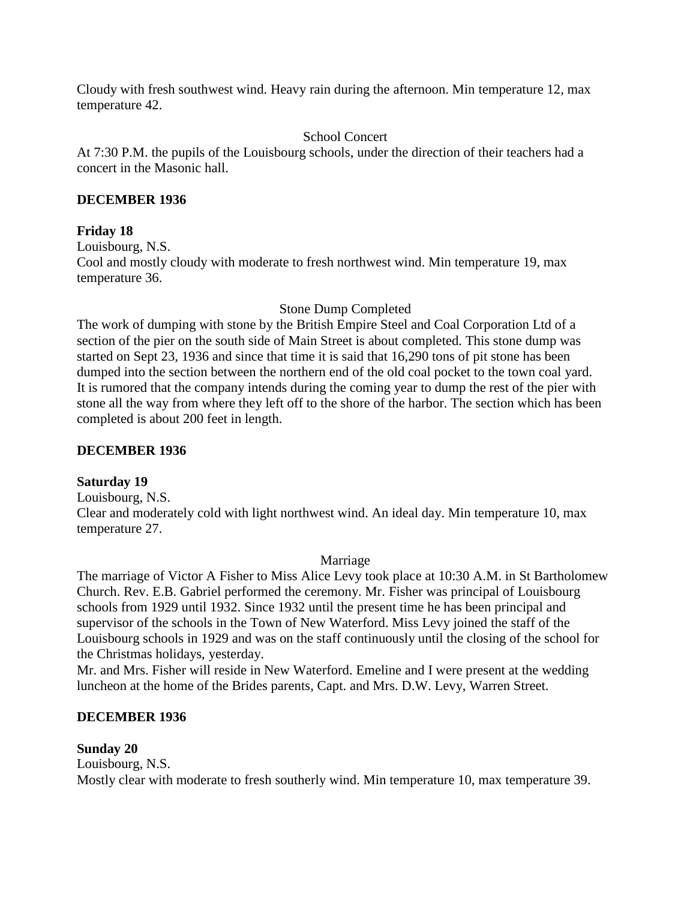Cloudy with fresh southwest wind. Heavy rain during the afternoon. Min temperature 12, max temperature 42.

## School Concert

At 7:30 P.M. the pupils of the Louisbourg schools, under the direction of their teachers had a concert in the Masonic hall.

## **DECEMBER 1936**

## **Friday 18**

Louisbourg, N.S.

Cool and mostly cloudy with moderate to fresh northwest wind. Min temperature 19, max temperature 36.

## Stone Dump Completed

The work of dumping with stone by the British Empire Steel and Coal Corporation Ltd of a section of the pier on the south side of Main Street is about completed. This stone dump was started on Sept 23, 1936 and since that time it is said that 16,290 tons of pit stone has been dumped into the section between the northern end of the old coal pocket to the town coal yard. It is rumored that the company intends during the coming year to dump the rest of the pier with stone all the way from where they left off to the shore of the harbor. The section which has been completed is about 200 feet in length.

# **DECEMBER 1936**

### **Saturday 19**

Louisbourg, N.S. Clear and moderately cold with light northwest wind. An ideal day. Min temperature 10, max temperature 27.

### Marriage

The marriage of Victor A Fisher to Miss Alice Levy took place at 10:30 A.M. in St Bartholomew Church. Rev. E.B. Gabriel performed the ceremony. Mr. Fisher was principal of Louisbourg schools from 1929 until 1932. Since 1932 until the present time he has been principal and supervisor of the schools in the Town of New Waterford. Miss Levy joined the staff of the Louisbourg schools in 1929 and was on the staff continuously until the closing of the school for the Christmas holidays, yesterday.

Mr. and Mrs. Fisher will reside in New Waterford. Emeline and I were present at the wedding luncheon at the home of the Brides parents, Capt. and Mrs. D.W. Levy, Warren Street.

# **DECEMBER 1936**

# **Sunday 20**

Louisbourg, N.S. Mostly clear with moderate to fresh southerly wind. Min temperature 10, max temperature 39.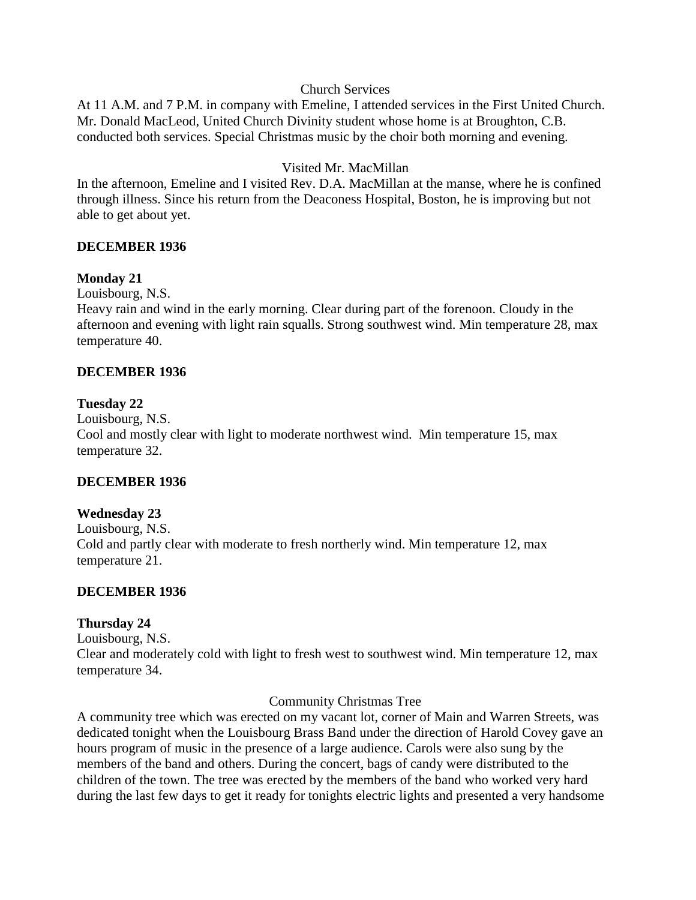### Church Services

At 11 A.M. and 7 P.M. in company with Emeline, I attended services in the First United Church. Mr. Donald MacLeod, United Church Divinity student whose home is at Broughton, C.B. conducted both services. Special Christmas music by the choir both morning and evening.

# Visited Mr. MacMillan

In the afternoon, Emeline and I visited Rev. D.A. MacMillan at the manse, where he is confined through illness. Since his return from the Deaconess Hospital, Boston, he is improving but not able to get about yet.

## **DECEMBER 1936**

## **Monday 21**

Louisbourg, N.S.

Heavy rain and wind in the early morning. Clear during part of the forenoon. Cloudy in the afternoon and evening with light rain squalls. Strong southwest wind. Min temperature 28, max temperature 40.

## **DECEMBER 1936**

## **Tuesday 22**

Louisbourg, N.S. Cool and mostly clear with light to moderate northwest wind. Min temperature 15, max temperature 32.

# **DECEMBER 1936**

### **Wednesday 23**

Louisbourg, N.S. Cold and partly clear with moderate to fresh northerly wind. Min temperature 12, max temperature 21.

### **DECEMBER 1936**

### **Thursday 24**

Louisbourg, N.S.

Clear and moderately cold with light to fresh west to southwest wind. Min temperature 12, max temperature 34.

### Community Christmas Tree

A community tree which was erected on my vacant lot, corner of Main and Warren Streets, was dedicated tonight when the Louisbourg Brass Band under the direction of Harold Covey gave an hours program of music in the presence of a large audience. Carols were also sung by the members of the band and others. During the concert, bags of candy were distributed to the children of the town. The tree was erected by the members of the band who worked very hard during the last few days to get it ready for tonights electric lights and presented a very handsome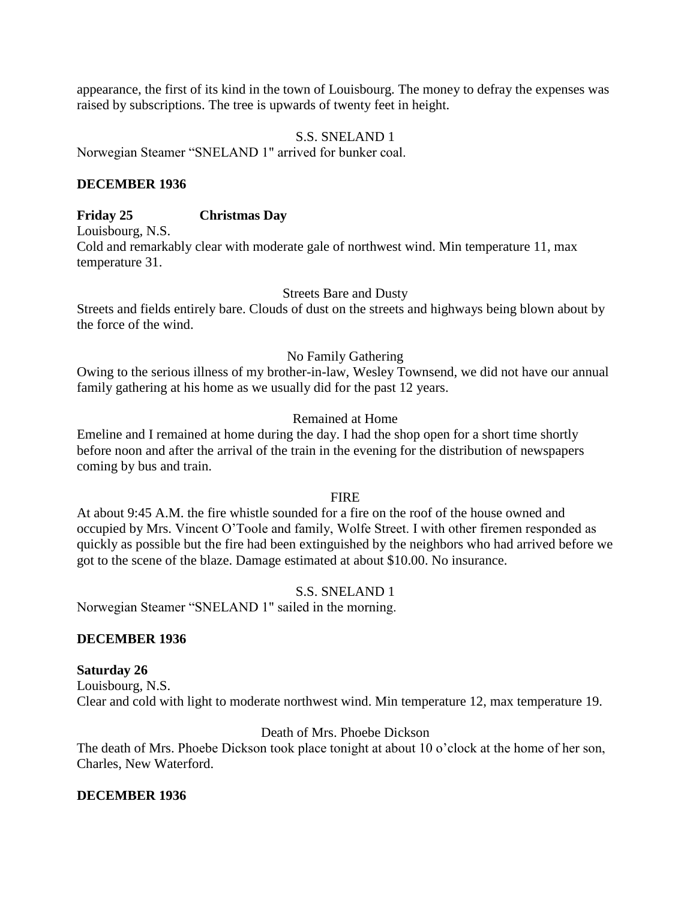appearance, the first of its kind in the town of Louisbourg. The money to defray the expenses was raised by subscriptions. The tree is upwards of twenty feet in height.

### S.S. SNELAND 1

Norwegian Steamer "SNELAND 1" arrived for bunker coal.

### **DECEMBER 1936**

## **Friday 25 Christmas Day**

Louisbourg, N.S.

Cold and remarkably clear with moderate gale of northwest wind. Min temperature 11, max temperature 31.

### Streets Bare and Dusty

Streets and fields entirely bare. Clouds of dust on the streets and highways being blown about by the force of the wind.

### No Family Gathering

Owing to the serious illness of my brother-in-law, Wesley Townsend, we did not have our annual family gathering at his home as we usually did for the past 12 years.

### Remained at Home

Emeline and I remained at home during the day. I had the shop open for a short time shortly before noon and after the arrival of the train in the evening for the distribution of newspapers coming by bus and train.

### FIRE

At about 9:45 A.M. the fire whistle sounded for a fire on the roof of the house owned and occupied by Mrs. Vincent O'Toole and family, Wolfe Street. I with other firemen responded as quickly as possible but the fire had been extinguished by the neighbors who had arrived before we got to the scene of the blaze. Damage estimated at about \$10.00. No insurance.

### S.S. SNELAND 1

Norwegian Steamer "SNELAND 1" sailed in the morning.

### **DECEMBER 1936**

### **Saturday 26**

Louisbourg, N.S. Clear and cold with light to moderate northwest wind. Min temperature 12, max temperature 19.

### Death of Mrs. Phoebe Dickson

The death of Mrs. Phoebe Dickson took place tonight at about 10 o'clock at the home of her son, Charles, New Waterford.

### **DECEMBER 1936**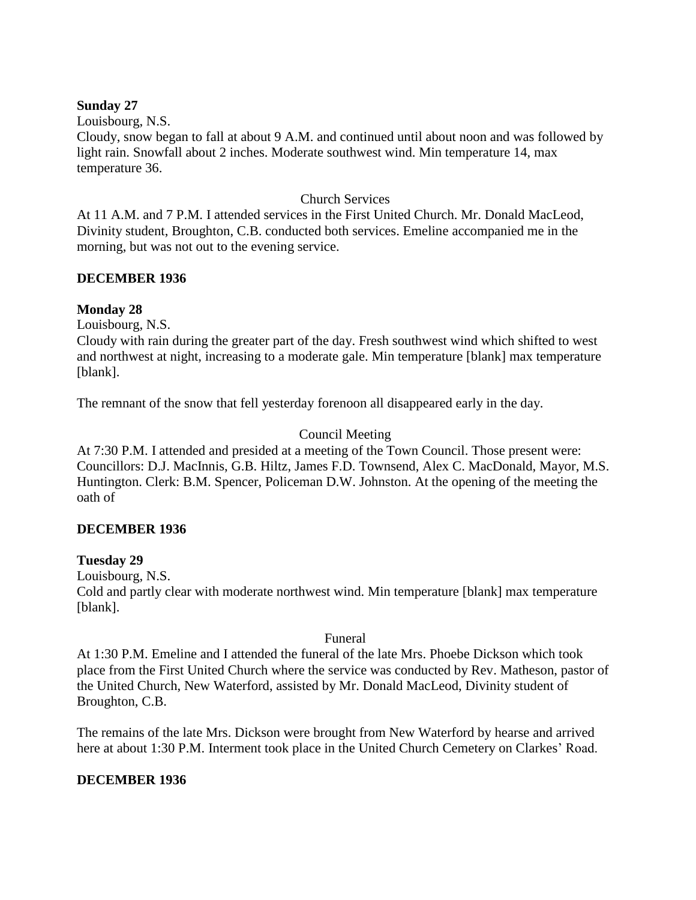### **Sunday 27**

Louisbourg, N.S.

Cloudy, snow began to fall at about 9 A.M. and continued until about noon and was followed by light rain. Snowfall about 2 inches. Moderate southwest wind. Min temperature 14, max temperature 36.

# Church Services

At 11 A.M. and 7 P.M. I attended services in the First United Church. Mr. Donald MacLeod, Divinity student, Broughton, C.B. conducted both services. Emeline accompanied me in the morning, but was not out to the evening service.

# **DECEMBER 1936**

# **Monday 28**

Louisbourg, N.S.

Cloudy with rain during the greater part of the day. Fresh southwest wind which shifted to west and northwest at night, increasing to a moderate gale. Min temperature [blank] max temperature [blank].

The remnant of the snow that fell yesterday forenoon all disappeared early in the day.

# Council Meeting

At 7:30 P.M. I attended and presided at a meeting of the Town Council. Those present were: Councillors: D.J. MacInnis, G.B. Hiltz, James F.D. Townsend, Alex C. MacDonald, Mayor, M.S. Huntington. Clerk: B.M. Spencer, Policeman D.W. Johnston. At the opening of the meeting the oath of

# **DECEMBER 1936**

# **Tuesday 29**

Louisbourg, N.S.

Cold and partly clear with moderate northwest wind. Min temperature [blank] max temperature [blank].

# Funeral

At 1:30 P.M. Emeline and I attended the funeral of the late Mrs. Phoebe Dickson which took place from the First United Church where the service was conducted by Rev. Matheson, pastor of the United Church, New Waterford, assisted by Mr. Donald MacLeod, Divinity student of Broughton, C.B.

The remains of the late Mrs. Dickson were brought from New Waterford by hearse and arrived here at about 1:30 P.M. Interment took place in the United Church Cemetery on Clarkes' Road.

# **DECEMBER 1936**